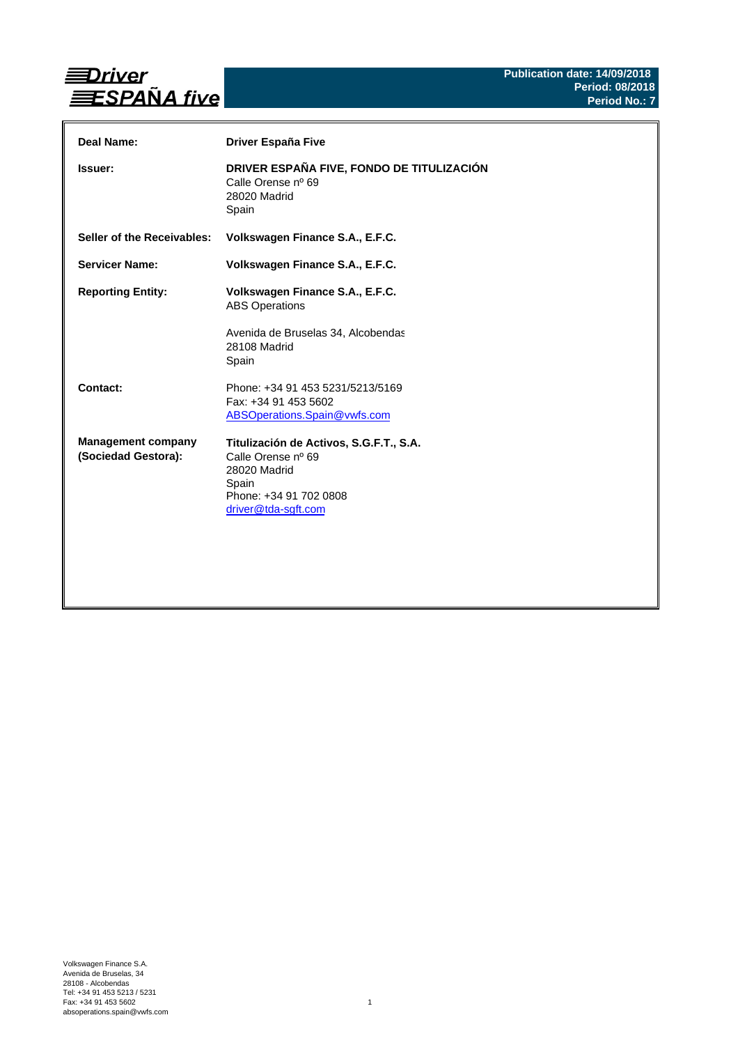

| Deal Name:                                       | Driver España Five                                                                                                                      |
|--------------------------------------------------|-----------------------------------------------------------------------------------------------------------------------------------------|
| Issuer:                                          | DRIVER ESPAÑA FIVE, FONDO DE TITULIZACIÓN<br>Calle Orense nº 69<br>28020 Madrid<br>Spain                                                |
| Seller of the Receivables:                       | Volkswagen Finance S.A., E.F.C.                                                                                                         |
| <b>Servicer Name:</b>                            | Volkswagen Finance S.A., E.F.C.                                                                                                         |
| <b>Reporting Entity:</b>                         | Volkswagen Finance S.A., E.F.C.<br><b>ABS Operations</b><br>Avenida de Bruselas 34, Alcobendas<br>28108 Madrid<br>Spain                 |
| Contact:                                         | Phone: +34 91 453 5231/5213/5169<br>Fax: +34 91 453 5602<br>ABSOperations.Spain@vwfs.com                                                |
| <b>Management company</b><br>(Sociedad Gestora): | Titulización de Activos, S.G.F.T., S.A.<br>Calle Orense nº 69<br>28020 Madrid<br>Spain<br>Phone: +34 91 702 0808<br>driver@tda-sgft.com |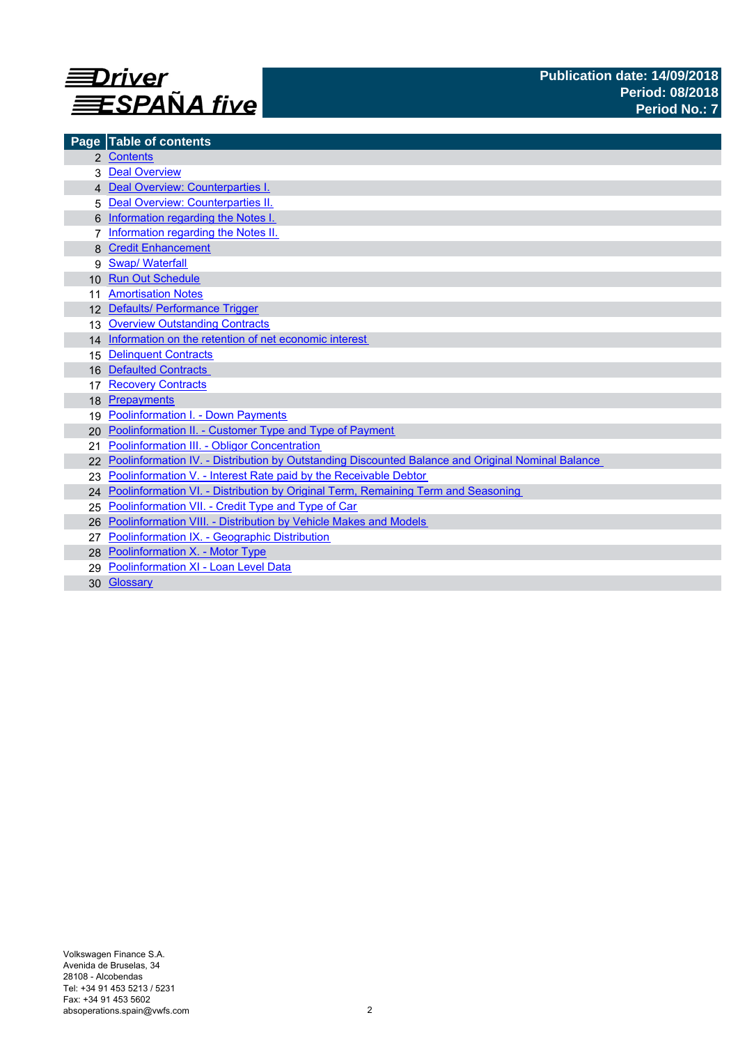

| Page            | <b>Table of contents</b>                                                                          |
|-----------------|---------------------------------------------------------------------------------------------------|
|                 | 2 Contents                                                                                        |
|                 | <b>Deal Overview</b>                                                                              |
|                 | 4 Deal Overview: Counterparties I.                                                                |
|                 | Deal Overview: Counterparties II.                                                                 |
|                 | Information regarding the Notes I.                                                                |
|                 | Information regarding the Notes II.                                                               |
|                 | <b>Credit Enhancement</b>                                                                         |
| 9               | <b>Swap/Waterfall</b>                                                                             |
| 10 <sup>1</sup> | <b>Run Out Schedule</b>                                                                           |
|                 | <b>Amortisation Notes</b>                                                                         |
|                 | 12 Defaults/ Performance Trigger                                                                  |
| 13              | <b>Overview Outstanding Contracts</b>                                                             |
|                 | 14 Information on the retention of net economic interest                                          |
| 15              | <b>Delinquent Contracts</b>                                                                       |
| 16              | <b>Defaulted Contracts</b>                                                                        |
| 17              | <b>Recovery Contracts</b>                                                                         |
| 18              | Prepayments                                                                                       |
| 19              | <b>Poolinformation I. - Down Payments</b>                                                         |
| 20              | Poolinformation II. - Customer Type and Type of Payment                                           |
| 21              | Poolinformation III. - Obligor Concentration                                                      |
|                 | Poolinformation IV. - Distribution by Outstanding Discounted Balance and Original Nominal Balance |
|                 | Poolinformation V. - Interest Rate paid by the Receivable Debtor                                  |
|                 | 24 Poolinformation VI. - Distribution by Original Term, Remaining Term and Seasoning              |
| 25              | Poolinformation VII. - Credit Type and Type of Car                                                |
| 26              | Poolinformation VIII. - Distribution by Vehicle Makes and Models                                  |
|                 | Poolinformation IX. - Geographic Distribution                                                     |
|                 | 28 Poolinformation X. - Motor Type                                                                |
| 29              | Poolinformation XI - Loan Level Data                                                              |
|                 | 30 Glossary                                                                                       |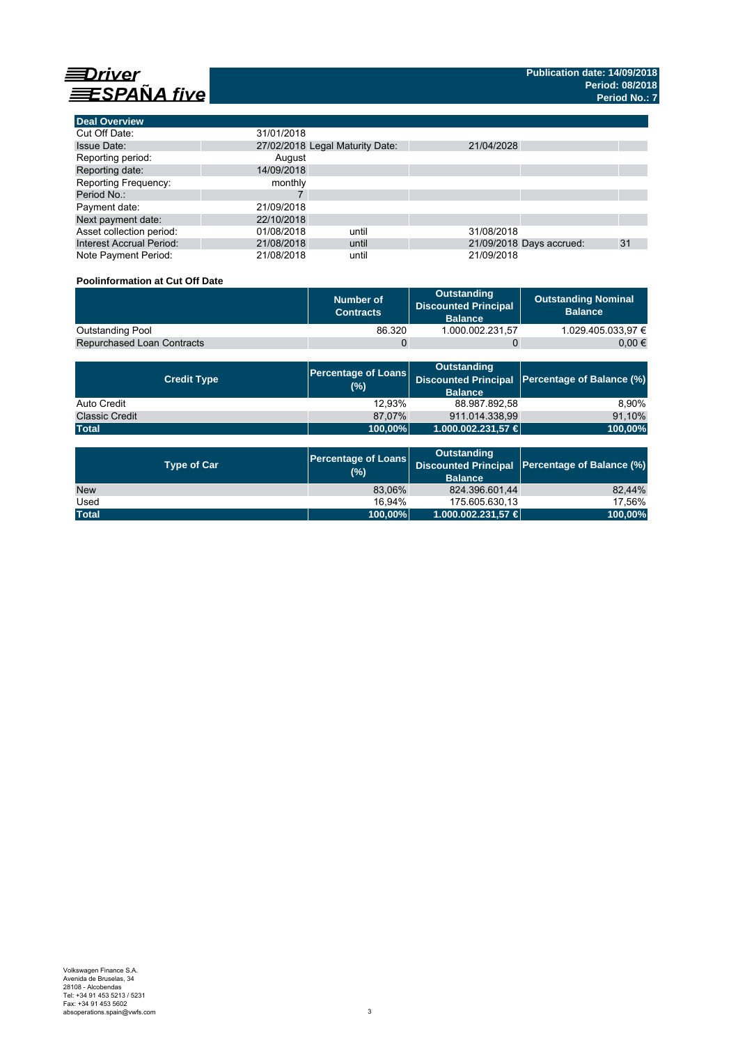

| <b>Deal Overview</b>            |            |                                 |            |                          |    |
|---------------------------------|------------|---------------------------------|------------|--------------------------|----|
| Cut Off Date:                   | 31/01/2018 |                                 |            |                          |    |
| <b>Issue Date:</b>              |            | 27/02/2018 Legal Maturity Date: | 21/04/2028 |                          |    |
| Reporting period:               | August     |                                 |            |                          |    |
| Reporting date:                 | 14/09/2018 |                                 |            |                          |    |
| Reporting Frequency:            | monthly    |                                 |            |                          |    |
| Period No.:                     |            |                                 |            |                          |    |
| Payment date:                   | 21/09/2018 |                                 |            |                          |    |
| Next payment date:              | 22/10/2018 |                                 |            |                          |    |
| Asset collection period:        | 01/08/2018 | until                           | 31/08/2018 |                          |    |
| <b>Interest Accrual Period:</b> | 21/08/2018 | until                           |            | 21/09/2018 Days accrued: | 31 |
| Note Payment Period:            | 21/08/2018 | until                           | 21/09/2018 |                          |    |

### **Poolinformation at Cut Off Date**

|                                   | Number of<br><b>Contracts</b> | Outstanding<br><b>Discounted Principal</b><br><b>Balance</b> | <b>Outstanding Nominal</b><br><b>Balance</b> |
|-----------------------------------|-------------------------------|--------------------------------------------------------------|----------------------------------------------|
| <b>Outstanding Pool</b>           | 86.320                        | 1.000.002.231.57                                             | 1.029.405.033.97 €                           |
| <b>Repurchased Loan Contracts</b> |                               |                                                              | 0.00 €                                       |

| <b>Credit Type</b>    | (%)          | <b>Outstanding</b><br><b>Balance</b> | Percentage of Loans Discounted Principal Percentage of Balance (%) |
|-----------------------|--------------|--------------------------------------|--------------------------------------------------------------------|
| Auto Credit           | 12.93%       | 88.987.892.58                        | 8.90%                                                              |
| <b>Classic Credit</b> | 87.07%       | 911.014.338.99                       | 91,10%                                                             |
| <b>Total</b>          | $ 100,00\% $ | 1.000.002.231,57 €                   | 100,00%                                                            |

| <b>Type of Car</b> | <b>Percentage of Loans</b><br>(%) | <b>Outstanding</b><br><b>Balance</b> | Discounted Principal   Percentage of Balance (%) |  |
|--------------------|-----------------------------------|--------------------------------------|--------------------------------------------------|--|
| <b>New</b>         | 83,06%                            | 824.396.601,44                       | 82.44%                                           |  |
| Used               | 16.94%                            | 175.605.630.13                       | 17.56%                                           |  |
| <b>Total</b>       | 100,00%                           | $1.000.002.231.57 \in$               | 100,00%                                          |  |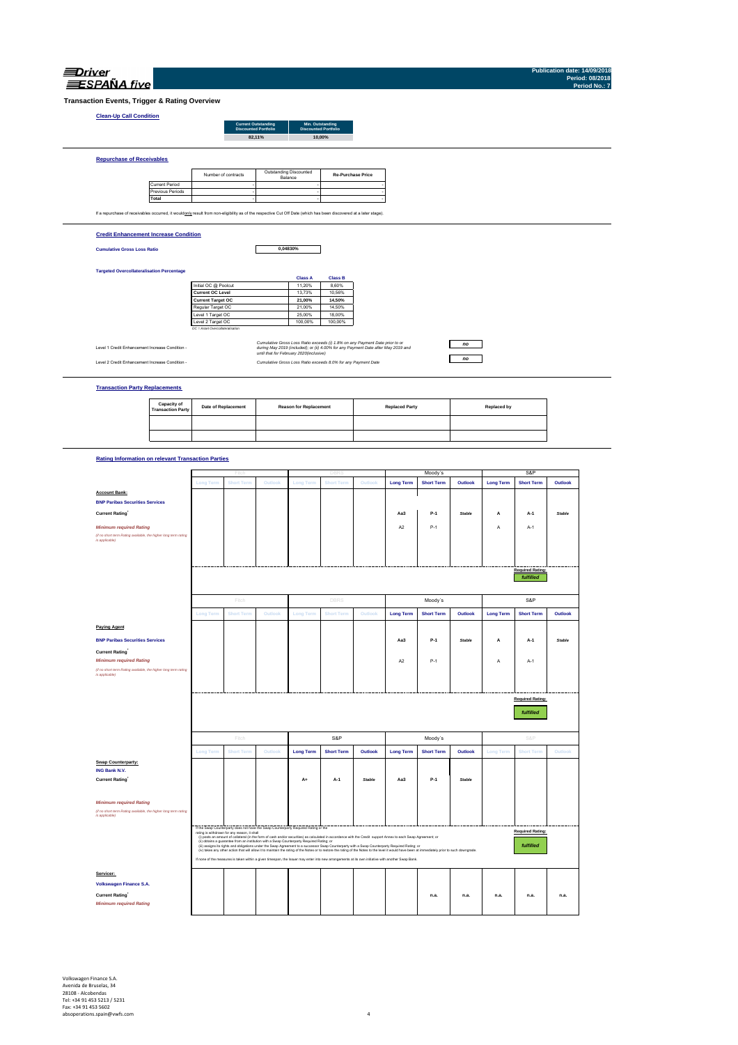| RPANA. |
|--------|

**Publication date: 14/09/2018 Period: 08/2018 Period No.: 7**

 $\overline{\phantom{a}}$ 

 $\overline{\phantom{0}}$ 

**Transaction** 

| <b>Clean-Up Call Condition</b>                   |                       |                                                                                                                                                                   |                                                           |                                                               |                                                                                                                                                                   |    |  |
|--------------------------------------------------|-----------------------|-------------------------------------------------------------------------------------------------------------------------------------------------------------------|-----------------------------------------------------------|---------------------------------------------------------------|-------------------------------------------------------------------------------------------------------------------------------------------------------------------|----|--|
|                                                  |                       |                                                                                                                                                                   | <b>Current Outstanding</b><br><b>Discounted Portfolio</b> | Min. Outstanding<br><b>Discounted Portfolio</b>               |                                                                                                                                                                   |    |  |
|                                                  |                       |                                                                                                                                                                   | 82,11%                                                    | 10.00%                                                        |                                                                                                                                                                   |    |  |
|                                                  |                       |                                                                                                                                                                   |                                                           |                                                               |                                                                                                                                                                   |    |  |
| <b>Repurchase of Receivables</b>                 |                       |                                                                                                                                                                   |                                                           |                                                               |                                                                                                                                                                   |    |  |
|                                                  |                       |                                                                                                                                                                   |                                                           |                                                               |                                                                                                                                                                   |    |  |
|                                                  |                       | Number of contracts                                                                                                                                               | Outstanding Discounted<br>Balance                         |                                                               | <b>Re-Purchase Price</b>                                                                                                                                          |    |  |
|                                                  | <b>Current Period</b> |                                                                                                                                                                   |                                                           |                                                               |                                                                                                                                                                   |    |  |
|                                                  | Previous Periods      |                                                                                                                                                                   |                                                           |                                                               |                                                                                                                                                                   |    |  |
|                                                  | Total                 |                                                                                                                                                                   |                                                           |                                                               |                                                                                                                                                                   |    |  |
|                                                  |                       |                                                                                                                                                                   |                                                           |                                                               |                                                                                                                                                                   |    |  |
|                                                  |                       | If a repurchase of receivables occurred, it wouldonly result from non-eligibility as of the respective Cut Off Date (which has been discovered at a later stage). |                                                           |                                                               |                                                                                                                                                                   |    |  |
|                                                  |                       |                                                                                                                                                                   |                                                           |                                                               |                                                                                                                                                                   |    |  |
| <b>Credit Enhancement Increase Condition</b>     |                       |                                                                                                                                                                   |                                                           |                                                               |                                                                                                                                                                   |    |  |
|                                                  |                       |                                                                                                                                                                   |                                                           |                                                               |                                                                                                                                                                   |    |  |
| <b>Cumulative Gross Loss Ratio</b>               |                       |                                                                                                                                                                   | 0,04830%                                                  |                                                               |                                                                                                                                                                   |    |  |
|                                                  |                       |                                                                                                                                                                   |                                                           |                                                               |                                                                                                                                                                   |    |  |
| <b>Targeted Overcollateralisation Percentage</b> |                       |                                                                                                                                                                   |                                                           |                                                               |                                                                                                                                                                   |    |  |
|                                                  |                       |                                                                                                                                                                   |                                                           | <b>Class A</b><br><b>Class B</b>                              |                                                                                                                                                                   |    |  |
|                                                  |                       | Initial OC @ Poolcut                                                                                                                                              |                                                           | 8.60%<br>11,20%                                               |                                                                                                                                                                   |    |  |
|                                                  |                       | <b>Current OC Level</b>                                                                                                                                           |                                                           | 13,73%<br>10.56%                                              |                                                                                                                                                                   |    |  |
|                                                  |                       | <b>Current Target OC</b>                                                                                                                                          |                                                           | 14,50%<br>21,00%                                              |                                                                                                                                                                   |    |  |
|                                                  |                       | Regular Target OC                                                                                                                                                 |                                                           | 14,50%<br>21,00%                                              |                                                                                                                                                                   |    |  |
|                                                  |                       | Level 1 Target OC                                                                                                                                                 |                                                           | 25,00%<br>18,00%                                              |                                                                                                                                                                   |    |  |
|                                                  |                       | Level 2 Target OC                                                                                                                                                 |                                                           | 100,00%<br>100.00%                                            |                                                                                                                                                                   |    |  |
|                                                  |                       | OC = Asset Overcollateralisation                                                                                                                                  |                                                           |                                                               |                                                                                                                                                                   |    |  |
|                                                  |                       |                                                                                                                                                                   |                                                           |                                                               |                                                                                                                                                                   |    |  |
| Level 1 Credit Enhancement Increase Condition -  |                       |                                                                                                                                                                   |                                                           |                                                               | Cumulative Gross Loss Ratio exceeds (i) 1.8% on any Payment Date prior to or<br>during May 2019 (included); or (ii) 4.00% for any Payment Date after May 2019 and | no |  |
|                                                  |                       |                                                                                                                                                                   | until that for February 2020/inclusive)                   |                                                               |                                                                                                                                                                   |    |  |
| Level 2 Credit Enhancement Increase Condition -  |                       |                                                                                                                                                                   |                                                           | Cumulative Gross Loss Ratio exceeds 8.0% for any Payment Date |                                                                                                                                                                   | no |  |
|                                                  |                       |                                                                                                                                                                   |                                                           |                                                               |                                                                                                                                                                   |    |  |
|                                                  |                       |                                                                                                                                                                   |                                                           |                                                               |                                                                                                                                                                   |    |  |
|                                                  |                       |                                                                                                                                                                   |                                                           |                                                               |                                                                                                                                                                   |    |  |
| <b>Transaction Party Replacements</b>            |                       |                                                                                                                                                                   |                                                           |                                                               |                                                                                                                                                                   |    |  |
|                                                  |                       |                                                                                                                                                                   |                                                           |                                                               |                                                                                                                                                                   |    |  |

### **Rating Information on relevant Transaction Parties**

|                                                                                   |                  | Fitch                                        |                                                                                           |                  | <b>DBRS</b>                                                                                                                                                                                                                                                                                                                                        |               |                  | Moody's           |               |                  | S&P                     |               |
|-----------------------------------------------------------------------------------|------------------|----------------------------------------------|-------------------------------------------------------------------------------------------|------------------|----------------------------------------------------------------------------------------------------------------------------------------------------------------------------------------------------------------------------------------------------------------------------------------------------------------------------------------------------|---------------|------------------|-------------------|---------------|------------------|-------------------------|---------------|
|                                                                                   | <b>Long Term</b> | <b>Short Term</b>                            | Outlook                                                                                   | Long Term        | <b>Short Term</b>                                                                                                                                                                                                                                                                                                                                  | Outlook       | <b>Long Term</b> | <b>Short Term</b> | Outlook       | <b>Long Term</b> | <b>Short Term</b>       | Outlook       |
| <b>Account Bank:</b>                                                              |                  |                                              |                                                                                           |                  |                                                                                                                                                                                                                                                                                                                                                    |               |                  |                   |               |                  |                         |               |
| <b>BNP Paribas Securities Services</b>                                            |                  |                                              |                                                                                           |                  |                                                                                                                                                                                                                                                                                                                                                    |               |                  |                   |               |                  |                         |               |
| Current Rating                                                                    |                  |                                              |                                                                                           |                  |                                                                                                                                                                                                                                                                                                                                                    |               | Aa3              | $P-1$             | Stable        | A                | A-1                     | <b>Stable</b> |
| <b>Minimum required Rating</b>                                                    |                  |                                              |                                                                                           |                  |                                                                                                                                                                                                                                                                                                                                                    |               | A <sub>2</sub>   | $P-1$             |               | А                | $A-1$                   |               |
| (if no short term Rating available, the higher long term rating<br>is applicable) |                  |                                              |                                                                                           |                  |                                                                                                                                                                                                                                                                                                                                                    |               |                  |                   |               |                  |                         |               |
|                                                                                   |                  |                                              |                                                                                           |                  |                                                                                                                                                                                                                                                                                                                                                    |               |                  |                   |               |                  |                         |               |
|                                                                                   |                  |                                              |                                                                                           |                  |                                                                                                                                                                                                                                                                                                                                                    |               |                  |                   |               |                  |                         |               |
|                                                                                   |                  |                                              |                                                                                           |                  |                                                                                                                                                                                                                                                                                                                                                    |               |                  |                   |               |                  | <b>Required Rating:</b> |               |
|                                                                                   |                  |                                              |                                                                                           |                  |                                                                                                                                                                                                                                                                                                                                                    |               |                  |                   |               |                  | fulfilled               |               |
|                                                                                   |                  | Fitch                                        |                                                                                           |                  | DBRS                                                                                                                                                                                                                                                                                                                                               |               |                  | Moody's           |               |                  | S&P                     |               |
|                                                                                   | <b>Long Term</b> | <b>Short Term</b>                            | Outlook                                                                                   | <b>Long Term</b> | <b>Short Term</b>                                                                                                                                                                                                                                                                                                                                  | Outlook       | <b>Long Term</b> | <b>Short Term</b> | Outlook       | <b>Long Term</b> | <b>Short Term</b>       | Outlook       |
| <b>Paying Agent</b>                                                               |                  |                                              |                                                                                           |                  |                                                                                                                                                                                                                                                                                                                                                    |               |                  |                   |               |                  |                         |               |
| <b>BNP Paribas Securities Services</b>                                            |                  |                                              |                                                                                           |                  |                                                                                                                                                                                                                                                                                                                                                    |               | Aa3              | $P-1$             | <b>Stable</b> | A                | A-1                     | <b>Stable</b> |
| Current Rating                                                                    |                  |                                              |                                                                                           |                  |                                                                                                                                                                                                                                                                                                                                                    |               |                  |                   |               |                  |                         |               |
| <b>Minimum required Rating</b>                                                    |                  |                                              |                                                                                           |                  |                                                                                                                                                                                                                                                                                                                                                    |               | A <sub>2</sub>   | $P-1$             |               | A                | $A-1$                   |               |
| (if no short term Rating available, the higher long term rating                   |                  |                                              |                                                                                           |                  |                                                                                                                                                                                                                                                                                                                                                    |               |                  |                   |               |                  |                         |               |
| is applicable)                                                                    |                  |                                              |                                                                                           |                  |                                                                                                                                                                                                                                                                                                                                                    |               |                  |                   |               |                  |                         |               |
|                                                                                   |                  |                                              |                                                                                           |                  |                                                                                                                                                                                                                                                                                                                                                    |               |                  |                   |               |                  |                         |               |
|                                                                                   |                  |                                              |                                                                                           |                  |                                                                                                                                                                                                                                                                                                                                                    |               |                  |                   |               |                  | <b>Required Rating:</b> |               |
|                                                                                   |                  |                                              |                                                                                           |                  |                                                                                                                                                                                                                                                                                                                                                    |               |                  |                   |               |                  | fulfilled               |               |
|                                                                                   |                  |                                              |                                                                                           |                  |                                                                                                                                                                                                                                                                                                                                                    |               |                  |                   |               |                  |                         |               |
|                                                                                   |                  | Fitch                                        |                                                                                           |                  | S&P                                                                                                                                                                                                                                                                                                                                                |               |                  | Moody's           |               |                  | S&P                     |               |
|                                                                                   | <b>Long Term</b> | <b>Short Term</b>                            | Outlook                                                                                   | <b>Long Term</b> | <b>Short Term</b>                                                                                                                                                                                                                                                                                                                                  | Outlook       | <b>Long Term</b> | <b>Short Term</b> | Outlook       | <b>Long Term</b> | <b>Short Term</b>       | Outlook       |
| Swap Counterparty:                                                                |                  |                                              |                                                                                           |                  |                                                                                                                                                                                                                                                                                                                                                    |               |                  |                   |               |                  |                         |               |
| <b>ING Bank N.V.</b>                                                              |                  |                                              |                                                                                           |                  |                                                                                                                                                                                                                                                                                                                                                    |               |                  |                   |               |                  |                         |               |
| <b>Current Rating</b>                                                             |                  |                                              |                                                                                           | $A +$            | A-1                                                                                                                                                                                                                                                                                                                                                | <b>Stable</b> | Aa3              | $P-1$             | <b>Stable</b> |                  |                         |               |
|                                                                                   |                  |                                              |                                                                                           |                  |                                                                                                                                                                                                                                                                                                                                                    |               |                  |                   |               |                  |                         |               |
| <b>Minimum required Rating</b>                                                    |                  |                                              |                                                                                           |                  |                                                                                                                                                                                                                                                                                                                                                    |               |                  |                   |               |                  |                         |               |
| (if no short term Rating available, the higher long term rating<br>is applicable) |                  |                                              |                                                                                           |                  |                                                                                                                                                                                                                                                                                                                                                    |               |                  |                   |               |                  |                         |               |
|                                                                                   |                  |                                              |                                                                                           |                  |                                                                                                                                                                                                                                                                                                                                                    |               |                  |                   |               |                  |                         |               |
|                                                                                   |                  |                                              |                                                                                           |                  |                                                                                                                                                                                                                                                                                                                                                    |               |                  |                   |               |                  |                         |               |
|                                                                                   |                  | rating is withdrawn for any reason, it shall | If the Swap Counterparty does not have the Swap Counterparty Required Rating or the       |                  |                                                                                                                                                                                                                                                                                                                                                    |               |                  |                   |               |                  | <b>Required Rating:</b> |               |
|                                                                                   |                  |                                              | (ii) obtains a guarantee from an institution with a Swap Counterparty Required Rating; or |                  | (i) posts an amount of collateral (in the form of cash and/or securities) as calculated in accordance with the Credit support Annex to each Swap Agreement; or                                                                                                                                                                                     |               |                  |                   |               |                  |                         |               |
|                                                                                   |                  |                                              |                                                                                           |                  | (ii) assigns its rights and obligations under the Swap Agreement to a successor Swap Counterparty with a Swap Counterparty Required Rating; or<br>(iv) takes any other action that will allow it to maintain the rating of the Notes or to restore the rating of the Notes to the level it would have been at immediately prior to such downgrade. |               |                  |                   |               |                  | fulfilled               |               |
|                                                                                   |                  |                                              |                                                                                           |                  | If none of the measures is taken within a given timespan, the Issuer may enter into new arrangements at its own initiative with another Swap Bank.                                                                                                                                                                                                 |               |                  |                   |               |                  |                         |               |
| Servicer:                                                                         |                  |                                              |                                                                                           |                  |                                                                                                                                                                                                                                                                                                                                                    |               |                  |                   |               |                  |                         |               |
| Volkswagen Finance S.A.                                                           |                  |                                              |                                                                                           |                  |                                                                                                                                                                                                                                                                                                                                                    |               |                  |                   |               |                  |                         |               |
| <b>Current Rating</b>                                                             |                  |                                              |                                                                                           |                  |                                                                                                                                                                                                                                                                                                                                                    |               |                  | n.a.              | n.a.          | n.a.             | n.a.                    | n.a.          |
| <b>Minimum required Rating</b>                                                    |                  |                                              |                                                                                           |                  |                                                                                                                                                                                                                                                                                                                                                    |               |                  |                   |               |                  |                         |               |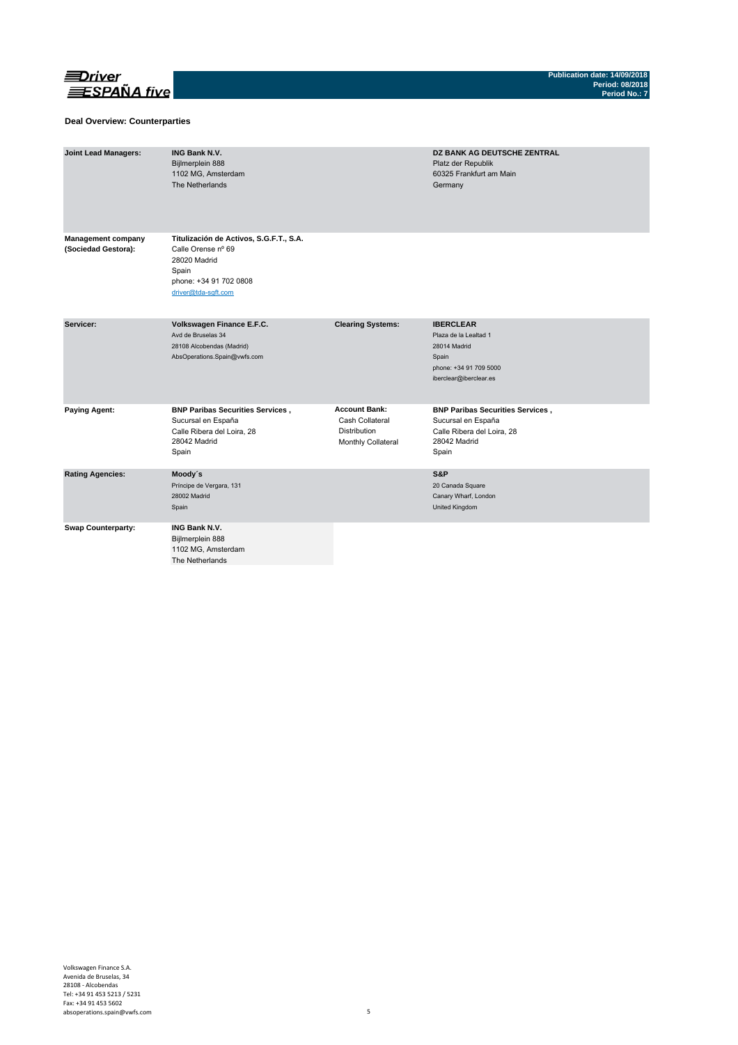

### **Deal Overview: Counterparties**

| <b>Joint Lead Managers:</b>                      | <b>ING Bank N.V.</b><br>Bijlmerplein 888<br>1102 MG, Amsterdam<br>The Netherlands                                                       |                                                                               | DZ BANK AG DEUTSCHE ZENTRAL<br>Platz der Republik<br>60325 Frankfurt am Main<br>Germany                                |
|--------------------------------------------------|-----------------------------------------------------------------------------------------------------------------------------------------|-------------------------------------------------------------------------------|------------------------------------------------------------------------------------------------------------------------|
| <b>Management company</b><br>(Sociedad Gestora): | Titulización de Activos, S.G.F.T., S.A.<br>Calle Orense nº 69<br>28020 Madrid<br>Spain<br>phone: +34 91 702 0808<br>driver@tda-sqft.com |                                                                               |                                                                                                                        |
| Servicer:                                        | Volkswagen Finance E.F.C.<br>Avd de Bruselas 34<br>28108 Alcobendas (Madrid)<br>AbsOperations.Spain@vwfs.com                            | <b>Clearing Systems:</b>                                                      | <b>IBERCLEAR</b><br>Plaza de la Lealtad 1<br>28014 Madrid<br>Spain<br>phone: +34 91 709 5000<br>iberclear@iberclear.es |
| <b>Paying Agent:</b>                             | <b>BNP Paribas Securities Services,</b><br>Sucursal en España<br>Calle Ribera del Loira, 28<br>28042 Madrid<br>Spain                    | <b>Account Bank:</b><br>Cash Collateral<br>Distribution<br>Monthly Collateral | <b>BNP Paribas Securities Services,</b><br>Sucursal en España<br>Calle Ribera del Loira, 28<br>28042 Madrid<br>Spain   |
| <b>Rating Agencies:</b>                          | Moody's<br>Príncipe de Vergara, 131<br>28002 Madrid<br>Spain                                                                            |                                                                               | S&P<br>20 Canada Square<br>Canary Wharf, London<br>United Kingdom                                                      |
| <b>Swap Counterparty:</b>                        | <b>ING Bank N.V.</b><br>Bijlmerplein 888<br>1102 MG, Amsterdam<br>The Netherlands                                                       |                                                                               |                                                                                                                        |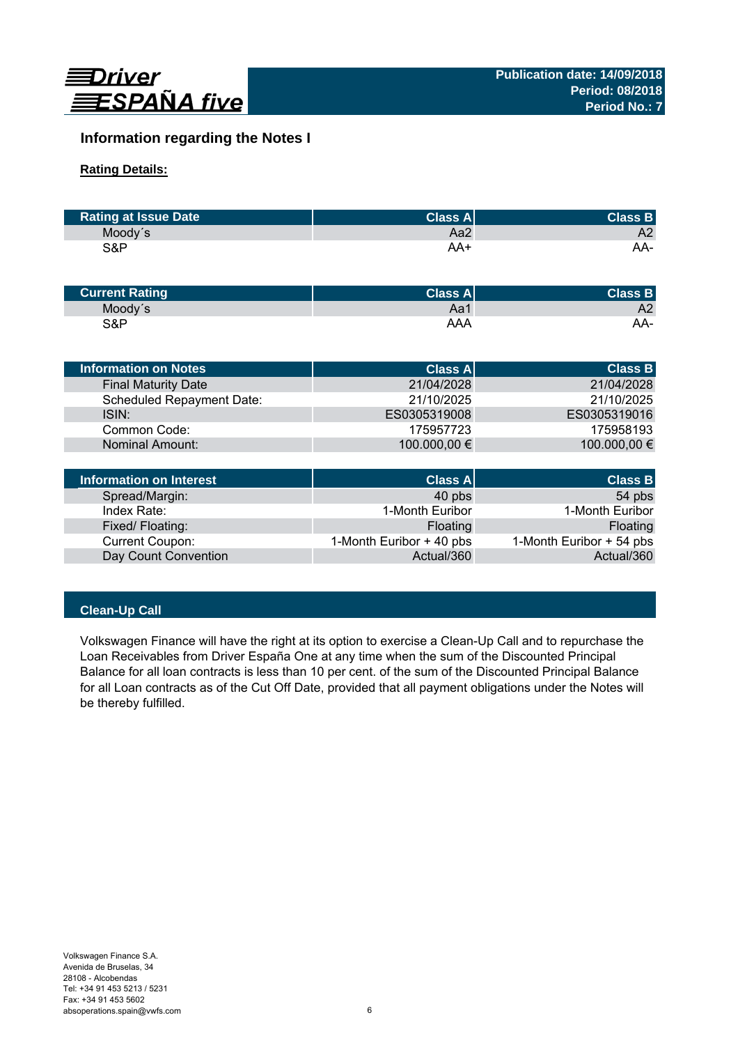

# **Information regarding the Notes I**

# **Rating Details:**

| <b>Rating at Issue Date</b> | <b>Class Al</b> | <b>Class B</b> |
|-----------------------------|-----------------|----------------|
| Moody's                     | Aa2             | A2             |
| S&P                         | AA+             | AA-            |

| <b>Current Rating</b> | Class $A^{\parallel}$ | <b>Class B</b> |
|-----------------------|-----------------------|----------------|
| Moody's               | Aa1                   | A2             |
| S&P                   | AAA                   | AA-            |

| Information on Notes       | <b>Class All</b> | <b>Class B</b> |
|----------------------------|------------------|----------------|
| <b>Final Maturity Date</b> | 21/04/2028       | 21/04/2028     |
| Scheduled Repayment Date:  | 21/10/2025       | 21/10/2025     |
| ISIN:                      | ES0305319008     | ES0305319016   |
| Common Code:               | 175957723        | 175958193      |
| Nominal Amount:            | 100.000,00 €     | 100.000,00 €   |
|                            |                  |                |

| Information on Interest | <b>Class A</b>           | <b>Class B</b>           |
|-------------------------|--------------------------|--------------------------|
| Spread/Margin:          | 40 pbs                   | 54 pbs                   |
| Index Rate:             | 1-Month Euribor          | 1-Month Euribor          |
| Fixed/Floating:         | Floating                 | Floating                 |
| <b>Current Coupon:</b>  | 1-Month Euribor + 40 pbs | 1-Month Euribor + 54 pbs |
| Day Count Convention    | Actual/360               | Actual/360               |

# **Clean-Up Call**

Volkswagen Finance will have the right at its option to exercise a Clean-Up Call and to repurchase the Loan Receivables from Driver España One at any time when the sum of the Discounted Principal Balance for all loan contracts is less than 10 per cent. of the sum of the Discounted Principal Balance for all Loan contracts as of the Cut Off Date, provided that all payment obligations under the Notes will be thereby fulfilled.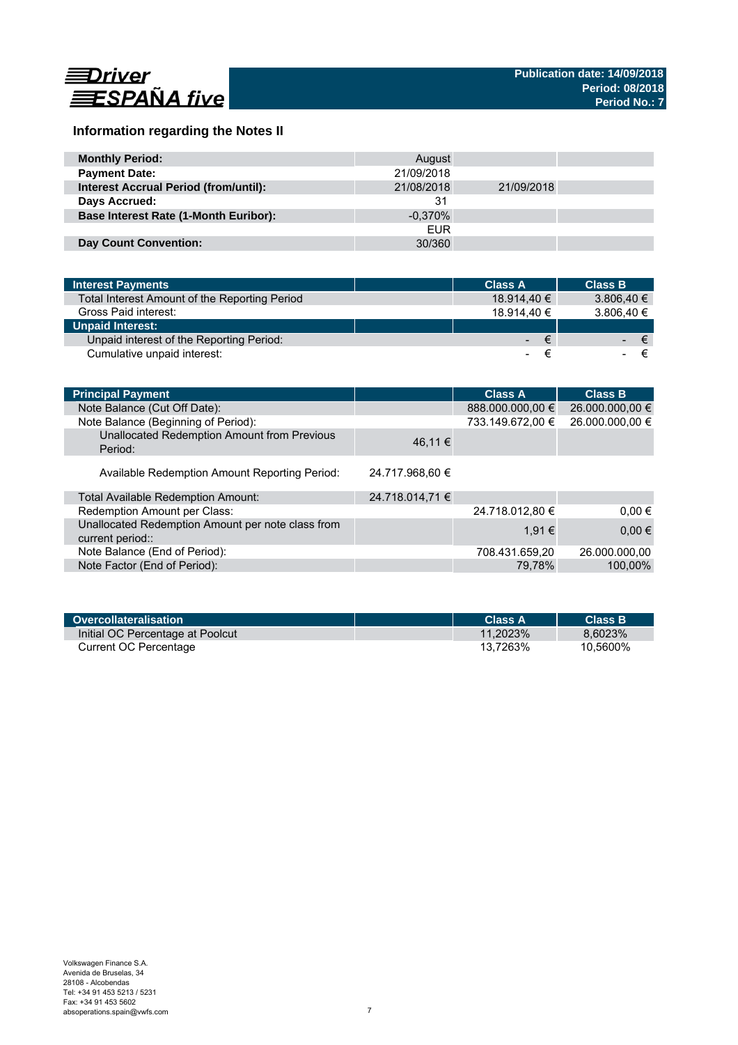

# **Information regarding the Notes II**

| <b>Monthly Period:</b>                       | August     |            |  |
|----------------------------------------------|------------|------------|--|
| <b>Payment Date:</b>                         | 21/09/2018 |            |  |
| <b>Interest Accrual Period (from/until):</b> | 21/08/2018 | 21/09/2018 |  |
| Days Accrued:                                | 31         |            |  |
| <b>Base Interest Rate (1-Month Euribor):</b> | $-0.370\%$ |            |  |
|                                              | <b>FUR</b> |            |  |
| <b>Day Count Convention:</b>                 | 30/360     |            |  |

| <b>Interest Payments</b>                      | <b>Class A</b> | <b>Class B</b>    |
|-----------------------------------------------|----------------|-------------------|
| Total Interest Amount of the Reporting Period | 18.914.40 €    | 3.806.40 €        |
| Gross Paid interest:                          | 18.914.40 €    | 3.806,40 €        |
| <b>Unpaid Interest:</b>                       |                |                   |
| Unpaid interest of the Reporting Period:      | 14 L. J        | ∕€7<br>$\epsilon$ |
| Cumulative unpaid interest:                   |                |                   |

| <b>Principal Payment</b>                                              |                 | <b>Class A</b>   | <b>Class B</b>  |
|-----------------------------------------------------------------------|-----------------|------------------|-----------------|
| Note Balance (Cut Off Date):                                          |                 | 888.000.000,00 € | 26.000.000,00 € |
| Note Balance (Beginning of Period):                                   |                 | 733.149.672.00 € | 26.000.000,00 € |
| Unallocated Redemption Amount from Previous<br>Period:                | 46,11 €         |                  |                 |
| Available Redemption Amount Reporting Period:                         | 24.717.968,60 € |                  |                 |
| Total Available Redemption Amount:                                    | 24.718.014,71 € |                  |                 |
| Redemption Amount per Class:                                          |                 | 24.718.012,80 €  | $0.00 \in$      |
| Unallocated Redemption Amount per note class from<br>current period:: |                 | 1.91 €           | $0,00 \in$      |
| Note Balance (End of Period):                                         |                 | 708.431.659,20   | 26.000.000.00   |
| Note Factor (End of Period):                                          |                 | 79.78%           | 100.00%         |

| Overcollateralisation            | Class A     | <b>Class B</b> |
|----------------------------------|-------------|----------------|
| Initial OC Percentage at Poolcut | $11.2023\%$ | 8.6023%        |
| Current OC Percentage            | 13.7263%    | 10.5600%       |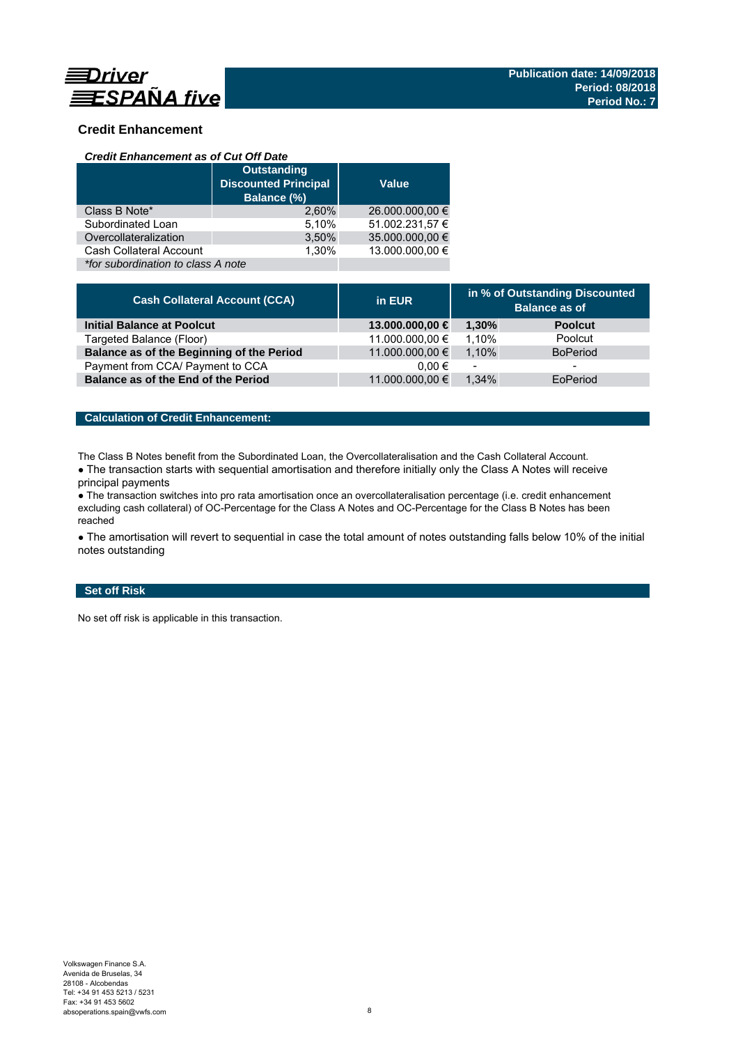

# **Credit Enhancement**

### *Credit Enhancement as of Cut Off Date*

|                                    | <b>Outstanding</b><br><b>Discounted Principal</b><br>Balance (%) | <b>Value</b>    |
|------------------------------------|------------------------------------------------------------------|-----------------|
| Class B Note*                      | 2.60%                                                            | 26.000.000,00 € |
| Subordinated Loan                  | 5,10%                                                            | 51.002.231,57 € |
| Overcollateralization              | 3,50%                                                            | 35.000.000,00 € |
| Cash Collateral Account            | 1.30%                                                            | 13.000.000.00 € |
| *for subordination to class A note |                                                                  |                 |

| <b>Cash Collateral Account (CCA)</b>      | in EUR          | in % of Outstanding Discounted<br><b>Balance as of</b> |                 |
|-------------------------------------------|-----------------|--------------------------------------------------------|-----------------|
| <b>Initial Balance at Poolcut</b>         | 13.000.000,00 € | 1.30%                                                  | <b>Poolcut</b>  |
| Targeted Balance (Floor)                  | 11.000.000,00 € | 1.10%                                                  | Poolcut         |
| Balance as of the Beginning of the Period | 11.000.000,00 € | 1.10%                                                  | <b>BoPeriod</b> |
| Payment from CCA/ Payment to CCA          | $0.00 \in$      | $\overline{\phantom{a}}$                               | -               |
| Balance as of the End of the Period       | 11.000.000,00 € | 1.34%                                                  | EoPeriod        |

### **Calculation of Credit Enhancement:**

The Class B Notes benefit from the Subordinated Loan, the Overcollateralisation and the Cash Collateral Account.

• The transaction starts with sequential amortisation and therefore initially only the Class A Notes will receive principal payments

● The transaction switches into pro rata amortisation once an overcollateralisation percentage (i.e. credit enhancement excluding cash collateral) of OC-Percentage for the Class A Notes and OC-Percentage for the Class B Notes has been reached

• The amortisation will revert to sequential in case the total amount of notes outstanding falls below 10% of the initial notes outstanding

### **Set off Risk**

No set off risk is applicable in this transaction.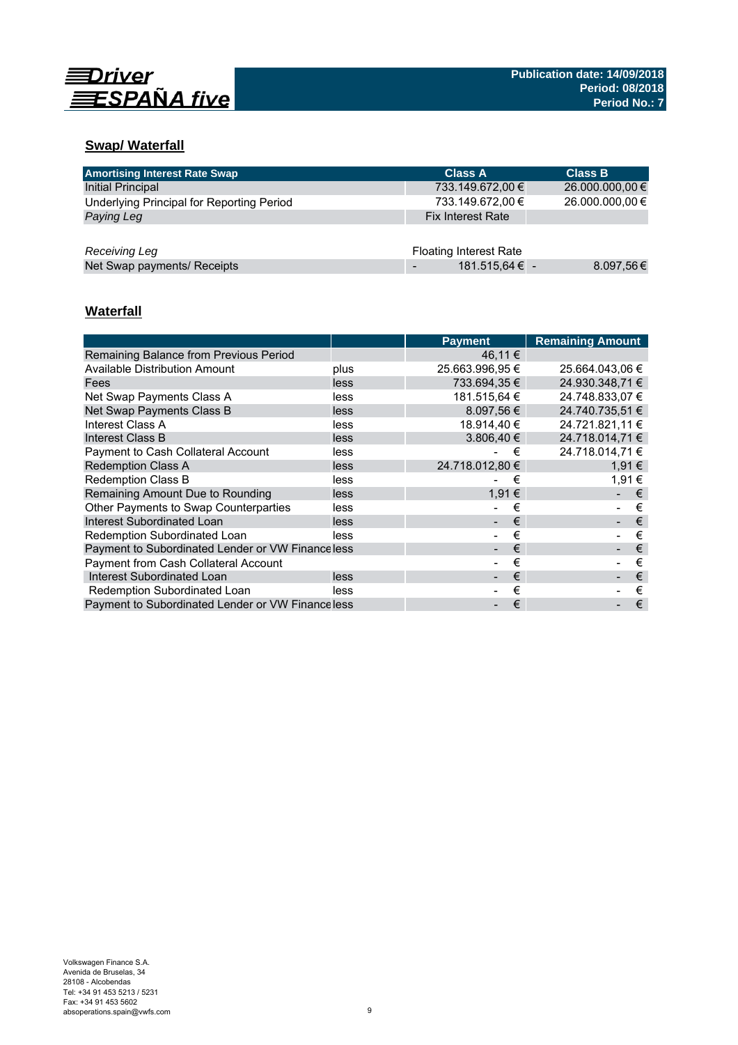

# **Swap/ Waterfall**

| <b>Amortising Interest Rate Swap</b>      | <b>Class A</b>                | <b>Class B</b>  |
|-------------------------------------------|-------------------------------|-----------------|
| <b>Initial Principal</b>                  | 733.149.672,00 €              | 26.000.000,00 € |
| Underlying Principal for Reporting Period | 733.149.672,00 €              | 26.000.000,00 € |
| Paying Leg                                | <b>Fix Interest Rate</b>      |                 |
|                                           |                               |                 |
| Receiving Leg                             | <b>Floating Interest Rate</b> |                 |
| Net Swap payments/ Receipts               | 181.515,64 € -                | 8.097,56€       |

# **Waterfall**

|                                                  |      | <b>Payment</b>  | <b>Remaining Amount</b> |
|--------------------------------------------------|------|-----------------|-------------------------|
| Remaining Balance from Previous Period           |      | 46.11 €         |                         |
| Available Distribution Amount                    | plus | 25.663.996,95 € | 25.664.043,06 €         |
| Fees                                             | less | 733.694.35 €    | 24.930.348.71 €         |
| Net Swap Payments Class A                        | less | 181.515,64 €    | 24.748.833,07 €         |
| Net Swap Payments Class B                        | less | $8.097,56 \in$  | 24.740.735,51 €         |
| Interest Class A                                 | less | 18.914,40 €     | 24.721.821,11 €         |
| Interest Class B                                 | less | 3.806,40€       | 24.718.014,71 €         |
| Payment to Cash Collateral Account               | less | €               | 24.718.014.71 €         |
| <b>Redemption Class A</b>                        | less | 24.718.012,80 € | 1.91 €                  |
| <b>Redemption Class B</b>                        | less | €               | 1,91 €                  |
| Remaining Amount Due to Rounding                 | less | 1,91 €          | €                       |
| Other Payments to Swap Counterparties            | less | €               | €                       |
| Interest Subordinated Loan                       | less | €               | €                       |
| Redemption Subordinated Loan                     | less | €               | €                       |
| Payment to Subordinated Lender or VW Financeless |      | €               | €                       |
| Payment from Cash Collateral Account             |      | €               | €                       |
| Interest Subordinated Loan                       | less | €               | €                       |
| Redemption Subordinated Loan                     | less | €               | €                       |
| Payment to Subordinated Lender or VW Financeless |      | €               | €                       |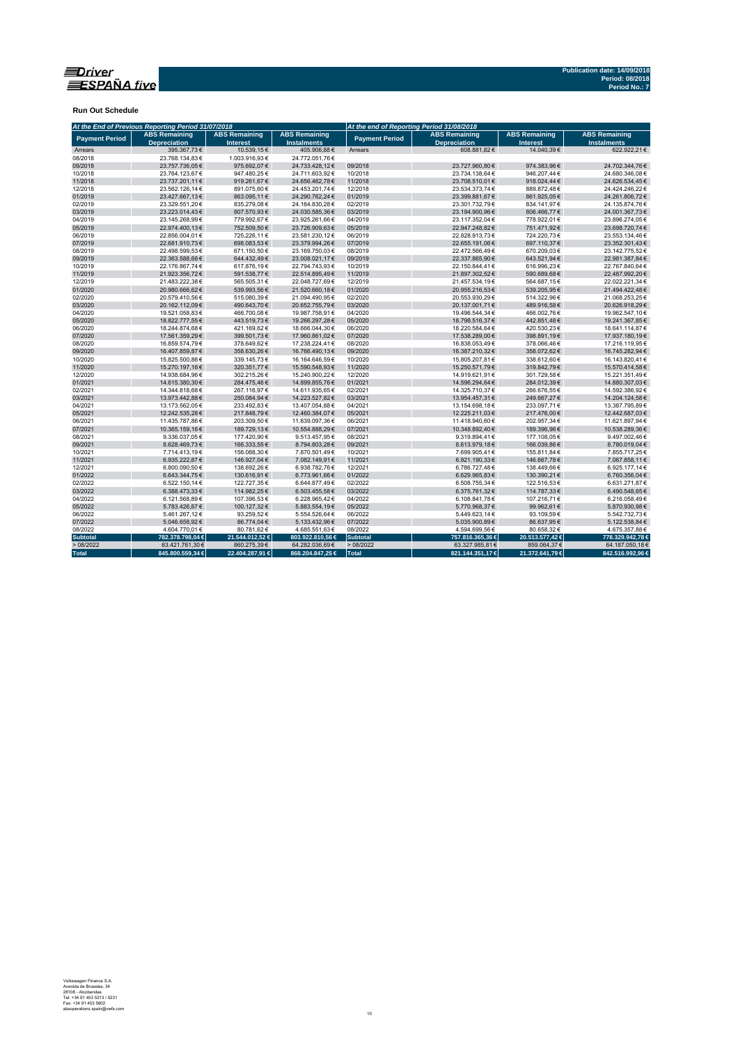

**Run Out Schedule**

|                       | At the End of Previous Reporting Period 31/07/2018 |                                         |                                            |                       | At the end of Reporting Period 31/08/2018   |                                         |                                            |
|-----------------------|----------------------------------------------------|-----------------------------------------|--------------------------------------------|-----------------------|---------------------------------------------|-----------------------------------------|--------------------------------------------|
| <b>Payment Period</b> | <b>ABS Remaining</b><br><b>Depreciation</b>        | <b>ABS Remaining</b><br><b>Interest</b> | <b>ABS Remaining</b><br><b>Instalments</b> | <b>Payment Period</b> | <b>ABS Remaining</b><br><b>Depreciation</b> | <b>ABS Remaining</b><br><b>Interest</b> | <b>ABS Remaining</b><br><b>Instalments</b> |
| Arrears               | 395.367,73€                                        | 10.539,15€                              | 405.906,88€                                | Arrears               | 608.881.82€                                 | 14.040.39€                              | 622.922.21€                                |
| 08/2018               | 23.768.134,83€                                     | 1.003.916,93€                           | 24.772.051.76€                             |                       |                                             |                                         |                                            |
| 09/2018               | 23.757.736.05€                                     | 975.692.07€                             | 24.733.428,12€                             | 09/2018               | 23.727.960,80€                              | 974.383.96€                             | 24.702.344.76€                             |
| 10/2018               | 23.764.123,67€                                     | 947.480,25€                             | 24.711.603,92€                             | 10/2018               | 23.734.138,64€                              | 946.207,44€                             | 24.680.346,08€                             |
| 11/2018               | 23.737.201,11€                                     | 919.261,67€                             | 24.656.462,78€                             | 11/2018               | 23.708.510,01€                              | 918.024,44€                             | 24.626.534,45€                             |
| 12/2018               | 23.562.126.14€                                     | 891.075,60€                             | 24.453.201,74€                             | 12/2018               | 23.534.373,74€                              | 889.872,48€                             | 24.424.246,22€                             |
| 01/2019               | 23.427.667,13€                                     | 863.095,11€                             | 24.290.762,24€                             | 01/2019               | 23.399.881,67€                              | 861.925,05€                             | 24.261.806,72€                             |
| 02/2019               | 23.329.551,20€                                     | 835.279,08€                             | 24.164.830,28€                             | 02/2019               | 23.301.732,79€                              | 834.141,97€                             | 24.135.874,76€                             |
| 03/2019               | 23.223.014,43€                                     | 807.570,93€                             | 24.030.585,36€                             | 03/2019               | 23.194.900,96€                              | 806.466,77€                             | 24.001.367,73€                             |
| 04/2019               | 23.145.268,99€                                     | 779.992,67€                             | 23.925.261,66€                             | 04/2019               | 23.117.352,04€                              | 778.922,01€                             | 23.896.274,05€                             |
| 05/2019               | 22.974.400,13€                                     | 752.509,50€                             | 23.726.909,63€                             | 05/2019               | 22.947.248,82€                              | 751.471,92€                             | 23.698.720,74€                             |
| 06/2019               | 22.856.004,01€                                     | 725.226,11€                             | 23.581.230,12€                             | 06/2019               | 22.828.913,73€                              | 724.220,73€                             | 23.553.134,46€                             |
| 07/2019               | 22.681.910,73€                                     | 698.083,53€                             | 23.379.994,26€                             | 07/2019               | 22.655.191,06€                              | 697.110,37€                             | 23.352.301,43€                             |
| 08/2019               | 22.498.599,53€                                     | 671.150,50€                             | 23.169.750,03€                             | 08/2019               | 22.472.566,49€                              | 670.209,03€                             | 23.142.775,52€                             |
| 09/2019               | 22.363.588.68€                                     | 644.432,49€                             | 23.008.021,17€                             | 09/2019               | 22.337.865.90€                              | 643.521.94 €                            | 22.981.387.84€                             |
| 10/2019               | 22.176.867,74€                                     | 617.876,19€                             | 22.794.743,93€                             | 10/2019               | 22.150.844,41€                              | 616.996,23€                             | 22.767.840,64€                             |
| 11/2019               | 21.923.356,72€                                     | 591.538,77€                             | 22.514.895,49€                             | 11/2019               | 21.897.302,52€                              | 590.689,68€                             | 22.487.992,20€                             |
| 12/2019               | 21.483.222,38€                                     | 565.505,31€                             | 22.048.727,69€                             | 12/2019               | 21.457.534,19€                              | 564.687,15€                             | 22.022.221,34€                             |
| 01/2020               | 20.980.666,62€                                     | 539.993,56€                             | 21.520.660,18€                             | 01/2020               | 20.955.216,53€                              | 539.205,95€                             | 21.494.422,48€                             |
| 02/2020               | 20.579.410.56€                                     | 515.080.39€                             | 21.094.490.95€                             | 02/2020               | 20.553.930.29€                              | 514.322.96€                             | 21.068.253.25€                             |
| 03/2020               | 20.162.112,09€                                     | 490.643,70€                             | 20.652.755,79€                             | 03/2020               | 20.137.001,71€                              | 489.916,58€                             | 20.626.918,29€                             |
| 04/2020               | 19.521.058,83€                                     | 466.700,08€                             | 19.987.758,91€                             | 04/2020               | 19.496.544,34€                              | 466.002,76€                             | 19.962.547,10€                             |
| 05/2020               | 18.822.777,55€                                     | 443.519,73€                             | 19.266.297,28€                             | 05/2020               | 18.798.516,37€                              | 442.851,48€                             | 19.241.367,85€                             |
| 06/2020               | 18.244.874,68€                                     | 421.169,62€                             | 18.666.044,30€                             | 06/2020               | 18.220.584,64€                              | 420.530,23€                             | 18.641.114.87€                             |
| 07/2020               | 17.561.359,29€                                     | 399.501,73€                             | 17.960.861,02€                             | 07/2020               | 17.538.289,00€                              | 398.891,19€                             | 17.937.180,19€                             |
| 08/2020               | 16.859.574,79€                                     | 378.649,62€                             | 17.238.224,41€                             | 08/2020               | 16.838.053,49€                              | 378.066,46€                             | 17.216.119,95€                             |
| 09/2020               | 16.407.859,87€                                     | 358.630,26€                             | 16.766.490,13€                             | 09/2020               | 16.387.210,32€                              | 358.072,62€                             | 16.745.282,94€                             |
| 10/2020               | 15.825.500,86€                                     | 339.145,73€                             | 16.164.646,59€                             | 10/2020               | 15.805.207,81€                              | 338.612,60€                             | 16.143.820,41€                             |
| 11/2020               | 15.270.197,16€                                     | 320.351,77€                             | 15.590.548,93€                             | 11/2020               | 15.250.571,79€                              | 319.842,79€                             | 15.570.414,58€                             |
| 12/2020               | 14.938.684,96€                                     | 302.215,26€                             | 15.240.900,22€                             | 12/2020               | 14.919.621,91€                              | 301.729,58€                             | 15.221.351,49€                             |
| 01/2021               | 14.615.380,30€                                     | 284.475,46€                             | 14.899.855,76€                             | 01/2021               | 14.596.294,64€                              | 284.012,39€                             | 14.880.307,03€                             |
| 02/2021               | 14.344.818.68€                                     | 267.116.97€                             | 14.611.935.65€                             | 02/2021               | 14.325.710.37€                              | 266.676,55€                             | 14.592.386.92€                             |
| 03/2021               | 13.973.442,88€                                     | 250.084,94€                             | 14.223.527,82€                             | 03/2021               | 13.954.457,31€                              | 249.667,27€                             | 14.204.124,58€                             |
| 04/2021               | 13.173.562,05€                                     | 233.492,83€                             | 13.407.054,88€                             | 04/2021               | 13.154.698,18€                              | 233.097,71€                             | 13.387.795,89€                             |
| 05/2021               | 12.242.535,28€                                     | 217.848,79€                             | 12.460.384,07€                             | 05/2021               | 12.225.211,03€                              | 217.476,00€                             | 12.442.687,03€                             |
| 06/2021               | 11.435.787,86€                                     | 203.309,50€                             | 11.639.097,36€                             | 06/2021               | 11.418.940,60€                              | 202.957,34 €                            | 11.621.897,94€                             |
| 07/2021               | 10.365.159.16€                                     | 189.729,13€                             | 10.554.888,29€                             | 07/2021               | 10.348.892.40€                              | 189.396.96€                             | 10.538.289,36€                             |
| 08/2021               | 9.336.037,05€                                      | 177.420,90€                             | 9.513.457,95€                              | 08/2021               | 9.319.894,41€                               | 177.108,05€                             | 9.497.002,46€                              |
| 09/2021               | 8.628.469,73€                                      | 166.333,55€                             | 8.794.803,28€                              | 09/2021               | 8.613.979,18€                               | 166.039,86€                             | 8.780.019,04€                              |
| 10/2021               | 7.714.413.19€                                      | 156.088,30€                             | 7.870.501,49€                              | 10/2021               | 7.699.905,41€                               | 155.811.84 €                            | 7.855.717.25€                              |
| 11/2021               | 6.935.222.87€                                      | 146.927,04€                             | 7.082.149,91€                              | 11/2021               | 6.921.190,33€                               | 146.667,78€                             | 7.067.858,11€                              |
| 12/2021               | 6.800.090,50€                                      | 138.692,26€                             | 6.938.782,76€                              | 12/2021               | 6.786.727,48€                               | 138.449,66€                             | 6.925.177,14€                              |
| 01/2022               | 6.643.344,75€                                      | 130.616,91€                             | 6.773.961,66€                              | 01/2022               | 6.629.965,83€                               | 130.390,21€                             | 6.760.356,04€                              |
| 02/2022               | 6.522.150,14€                                      | 122.727,35€                             | 6.644.877,49€                              | 02/2022               | 6.508.755,34€                               | 122.516,53€                             | 6.631.271,87€                              |
| 03/2022               | 6.388.473,33€                                      | 114.982,25€                             | 6.503.455,58€                              | 03/2022               | 6.375.761,32€                               | 114.787,33€                             | 6.490.548,65€                              |
| 04/2022               | 6.121.568,89€                                      | 107.396,53€                             | 6.228.965,42€                              | 04/2022               | 6.108.841,78€                               | 107.216,71€                             | 6.216.058,49€                              |
| 05/2022               | 5.783.426,87€                                      | 100.127,32€                             | 5.883.554,19€                              | 05/2022               | 5.770.968,37€                               | 99.962,61€                              | 5.870.930,98€                              |
| 06/2022               | 5.461.267,12€                                      | 93.259,52€                              | 5.554.526,64 €                             | 06/2022               | 5.449.623,14€                               | 93.109,59€                              | 5.542.732,73€                              |
| 07/2022               | 5.046.658.92€                                      | 86.774,04€                              | 5.133.432,96€                              | 07/2022               | 5.035.900.89€                               | 86.637.95€                              | 5.122.538,84 €                             |
| 08/2022               | 4.604.770,01€                                      | 80.781,62€                              | 4.685.551,63€                              | 08/2022               | 4.594.699,56€                               | 80.658,32€                              | 4.675.357,88€                              |
| <b>Subtotal</b>       | 782.378.798,04 €                                   | 21.544.012,52 €                         | 803.922.810,56 €                           | <b>Subtotal</b>       | 757.816.365,36 €                            | 20.513.577,42€                          | 778.329.942,78€                            |
| >08/2022              | 63.421.761,30 €                                    | 860.275,39€                             | 64.282.036,69€                             | >08/2022              | 63.327.985,81€                              | 859.064,37€                             | 64.187.050,18€                             |
|                       |                                                    |                                         |                                            |                       |                                             |                                         |                                            |
| <b>Total</b>          | 845.800.559,34 €                                   | 22.404.287,91 €                         | 868.204.847,25 €                           | Total                 | 821.144.351,17€                             | 21.372.641,79€                          | 842.516.992,96 €                           |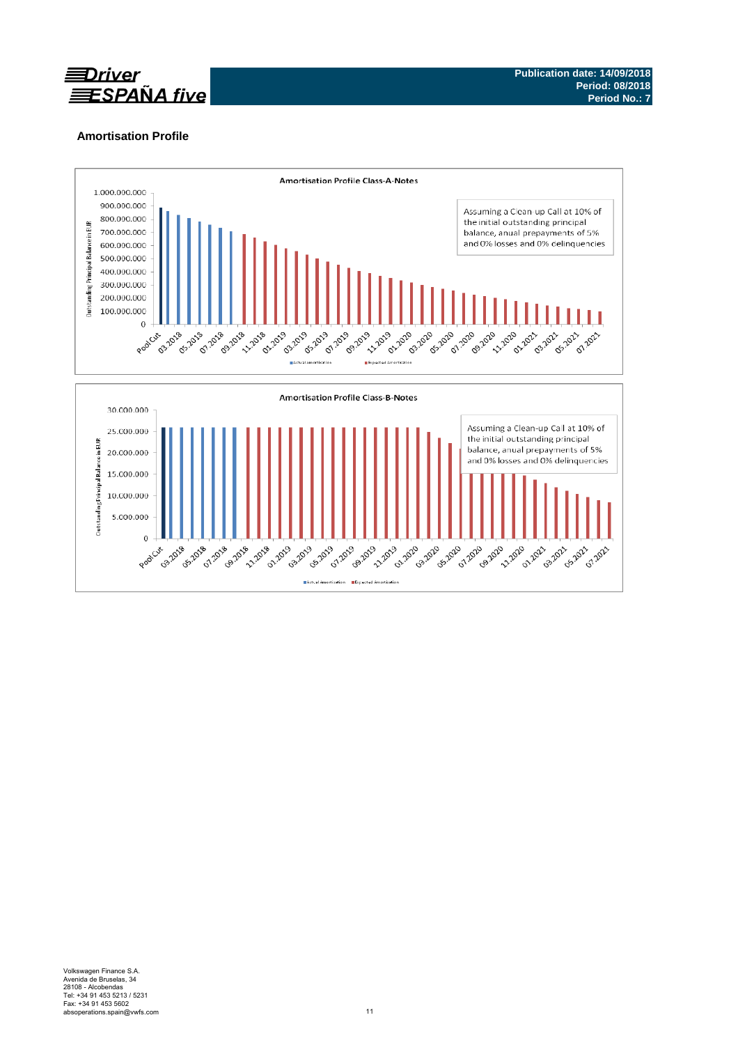

# **Amortisation Profile**

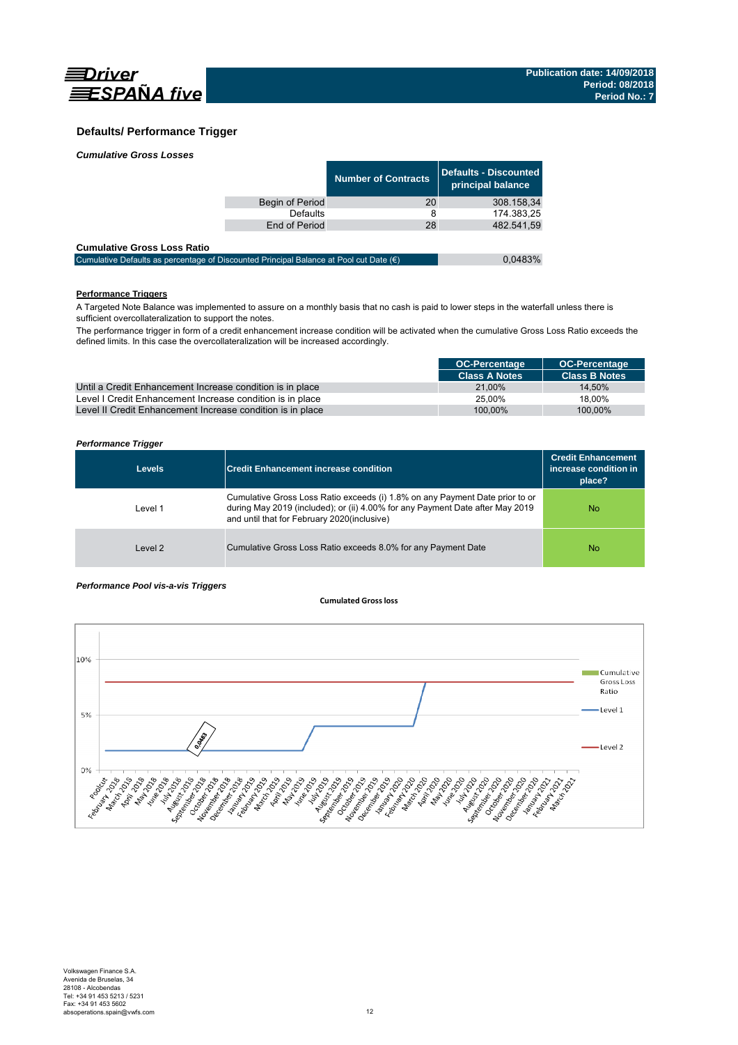

### **Defaults/ Performance Trigger**

| <b>Cumulative Gross Losses</b> |  |
|--------------------------------|--|
|                                |  |

|                 | <b>Number of Contracts</b> | Defaults - Discounted<br>principal balance b |
|-----------------|----------------------------|----------------------------------------------|
| Begin of Period | 20                         | 308.158.34                                   |
| Defaults        |                            | 174.383,25                                   |
| End of Period   | 28                         | 482.541.59                                   |
|                 |                            |                                              |

#### **Cumulative Gross Loss Ratio**

| -------------------------------                                                                 |         |
|-------------------------------------------------------------------------------------------------|---------|
| Cumulative Defaults as percentage of Discounted Principal Balance at Pool cut Date $(\epsilon)$ | 0.0483% |
|                                                                                                 |         |

### **Performance Triggers**

A Targeted Note Balance was implemented to assure on a monthly basis that no cash is paid to lower steps in the waterfall unless there is sufficient overcollateralization to support the notes.

The performance trigger in form of a credit enhancement increase condition will be activated when the cumulative Gross Loss Ratio exceeds the defined limits. In this case the overcollateralization will be increased accordingly.

|                                                            | <b>OC-Percentage</b> | <b>OC-Percentage</b> |
|------------------------------------------------------------|----------------------|----------------------|
|                                                            | <b>Class A Notes</b> | <b>Class B Notes</b> |
| Until a Credit Enhancement Increase condition is in place  | 21.00%               | 14.50%               |
| Level I Credit Enhancement Increase condition is in place  | 25.00%               | 18.00%               |
| Level II Credit Enhancement Increase condition is in place | 100.00%              | 100.00%              |

### *Performance Trigger*

| <b>Levels</b> | <b>Credit Enhancement increase condition</b>                                                                                                                                                                 | <b>Credit Enhancement</b><br>increase condition in<br>place? |
|---------------|--------------------------------------------------------------------------------------------------------------------------------------------------------------------------------------------------------------|--------------------------------------------------------------|
| Level 1       | Cumulative Gross Loss Ratio exceeds (i) 1.8% on any Payment Date prior to or<br>during May 2019 (included); or (ii) 4.00% for any Payment Date after May 2019<br>and until that for February 2020(inclusive) | No                                                           |
| Level 2       | Cumulative Gross Loss Ratio exceeds 8.0% for any Payment Date                                                                                                                                                | No                                                           |

### *Performance Pool vis-a-vis Triggers*

#### **Cumulated Grossloss**

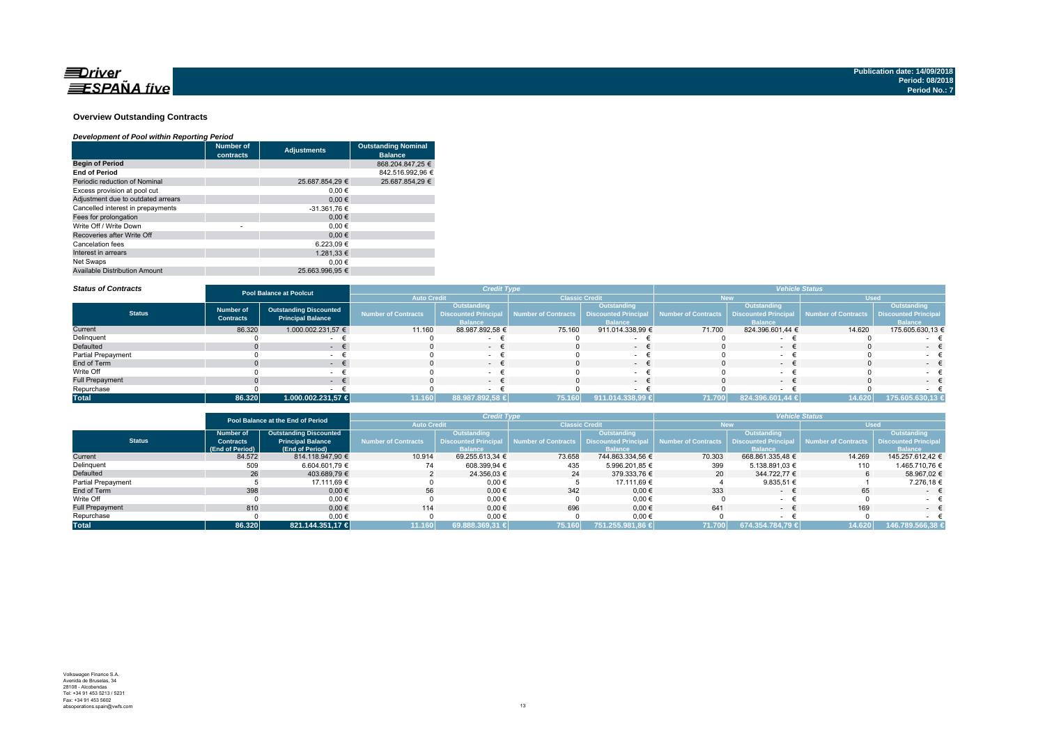

#### **Overview Outstanding Contracts**

#### *Development of Pool within Reporting Period*

|                                      | <b>Number of</b><br>contracts | <b>Adjustments</b> | <b>Outstanding Nominal</b><br><b>Balance</b> |
|--------------------------------------|-------------------------------|--------------------|----------------------------------------------|
| <b>Begin of Period</b>               |                               |                    | 868.204.847.25 €                             |
| <b>End of Period</b>                 |                               |                    | 842.516.992.96 €                             |
| Periodic reduction of Nominal        |                               | 25.687.854.29 €    | 25.687.854.29 €                              |
| Excess provision at pool cut         |                               | 0.00€              |                                              |
| Adjustment due to outdated arrears   |                               | 0.00€              |                                              |
| Cancelled interest in prepayments    |                               | -31.361,76 €       |                                              |
| Fees for prolongation                |                               | 0.00€              |                                              |
| Write Off / Write Down               | ٠                             | 0.00€              |                                              |
| Recoveries after Write Off           |                               | 0.00€              |                                              |
| Cancelation fees                     |                               | 6.223.09€          |                                              |
| Interest in arrears                  |                               | 1.281.33 €         |                                              |
| Net Swaps                            |                               | 0.00€              |                                              |
| <b>Available Distribution Amount</b> |                               | 25.663.996.95 €    |                                              |

#### *Status of Contracts*

| <b>Status of Contracts</b> | <b>Pool Balance at Poolcut</b>       |                                                           |                            | <b>Credit Type</b>                                           |                       | <b>Vehicle Status</b>                                        |                            |                                                              |                     |                                                                     |
|----------------------------|--------------------------------------|-----------------------------------------------------------|----------------------------|--------------------------------------------------------------|-----------------------|--------------------------------------------------------------|----------------------------|--------------------------------------------------------------|---------------------|---------------------------------------------------------------------|
|                            |                                      |                                                           | <b>Auto Credit</b>         |                                                              | <b>Classic Credit</b> |                                                              |                            | lew                                                          | <b>Used</b>         |                                                                     |
| <b>Status</b>              | <b>Number of</b><br><b>Contracts</b> | <b>Outstanding Discounted</b><br><b>Principal Balance</b> | <b>Number of Contracts</b> | Outstanding<br><b>Discounted Principal</b><br><b>Balance</b> | Number of Contracts   | Outstanding<br><b>Discounted Principal</b><br><b>Balance</b> | <b>Number of Contracts</b> | Outstanding<br><b>Discounted Principal</b><br><b>Balance</b> | Number of Contracts | <b>Outstanding</b><br><b>Discounted Principal</b><br><b>Balance</b> |
| Current                    | 86.320                               | 1.000.002.231,57 €                                        | 11.160                     | 88.987.892,58 €                                              | 75.160                | 911.014.338,99 €                                             | 71.700                     | 824.396.601,44 €                                             | 14.620              | 175.605.630,13 €                                                    |
| Delinquent                 |                                      |                                                           |                            |                                                              |                       |                                                              |                            |                                                              |                     |                                                                     |
| Defaulted                  |                                      | . .                                                       |                            | $\sim$                                                       |                       | $\sim$                                                       |                            |                                                              |                     | $-$                                                                 |
| Partial Prepayment         |                                      |                                                           |                            |                                                              |                       |                                                              |                            |                                                              |                     |                                                                     |
| End of Term                |                                      |                                                           |                            | $\sim$                                                       |                       | $\sim$                                                       |                            | $\sim$                                                       |                     | $-1$                                                                |
| Write Off                  |                                      |                                                           |                            | $\sim$                                                       |                       |                                                              |                            |                                                              |                     |                                                                     |
| <b>Full Prepayment</b>     |                                      | . .                                                       |                            | $ \pm$                                                       |                       | $\sim$                                                       |                            | $ -$                                                         |                     | $\sim$                                                              |
| Repurchase                 |                                      |                                                           |                            |                                                              |                       |                                                              |                            |                                                              |                     |                                                                     |
| <b>Total</b>               | 86.320                               | 1.000.002.231,57 €                                        | 11.160                     | 88.987.892,58 €                                              | 75.160                | 911.014.338,99 €                                             | 71.700                     | 824.396.601,44 €                                             | 14.620              | 175.605.630,13 €                                                    |

|                        |                                                   | Pool Balance at the End of Period |                     | <b>Credit Type</b> |                                                               |                  | <b>Vehicle Status</b> |                                                 |             |                             |  |
|------------------------|---------------------------------------------------|-----------------------------------|---------------------|--------------------|---------------------------------------------------------------|------------------|-----------------------|-------------------------------------------------|-------------|-----------------------------|--|
|                        |                                                   |                                   | <b>Auto Credit</b>  |                    | <b>Classic Credit</b>                                         |                  | <b>New</b>            |                                                 | <b>Used</b> |                             |  |
|                        | <b>Outstanding Discounted</b><br><b>Number of</b> |                                   |                     | Outstanding        | Outstanding                                                   |                  |                       | Outstanding                                     | Outstanding |                             |  |
| <b>Status</b>          | <b>Contracts</b>                                  | <b>Principal Balance</b>          | Number of Contracts |                    | Discounted Principal Number of Contracts Discounted Principal |                  | Number of Contracts   | <b>Discounted Principal Number of Contracts</b> |             | <b>Discounted Principal</b> |  |
|                        | (End of Period)                                   | (End of Period)                   |                     | <b>Balance</b>     |                                                               | <b>Balance</b>   |                       | <b>Balance</b>                                  |             | <b>Balance</b>              |  |
| Current                | 84.572                                            | 814.118.947.90 €                  | 10.914              | 69.255.613.34 €    | 73.658                                                        | 744.863.334.56 € | 70.303                | 668.861.335.48 €                                | 14.269      | 145.257.612.42 €            |  |
| Delinquent             | 509                                               | 6.604.601.79 €                    | 74                  | 608.399.94 €       | 435                                                           | 5.996.201,85 €   | 399                   | 5.138.891,03 €                                  | 110         | 1.465.710.76 €              |  |
| Defaulted              | 26                                                | 403.689.79 €                      |                     | 24.356.03 €        | 24                                                            | 379.333.76 €     | 20 <sup>1</sup>       | 344.722.77 €                                    | 6           | 58.967.02 €                 |  |
| Partial Prepayment     |                                                   | 17.111.69 €                       |                     | 0,00€              |                                                               | 17.111,69 €      |                       | 9.835.51 $\in$                                  |             | 7.276.18 €                  |  |
| End of Term            | 398                                               | $0,00 \in$                        | 56                  | $0,00 \in$         | 342                                                           | $0,00 \in$       | 333                   | $\sim$                                          | 65          | $ \epsilon$                 |  |
| Write Off              |                                                   | $0.00 \in$                        |                     | 0,00€              |                                                               | $0,00$ €         |                       |                                                 |             |                             |  |
| <b>Full Prepayment</b> | 810                                               | $0.00 \in$                        | 114                 | $0.00 \in$         | 696                                                           | $0.00 \in$       | 641                   | $\sim$                                          | 169         | $ \epsilon$                 |  |
| Repurchase             |                                                   | 0,00€                             |                     | 0,00€              |                                                               | $0,00 \in$       |                       |                                                 |             |                             |  |
| <b>Total</b>           | 86.320                                            | 821.144.351.17 €                  | 11.160              | 169.888.369,31 €   | 75.160                                                        | 751.255.981.86 € | 71.700                | 674.354.784.79 €                                | 14.620      | 146.789.566,38 €            |  |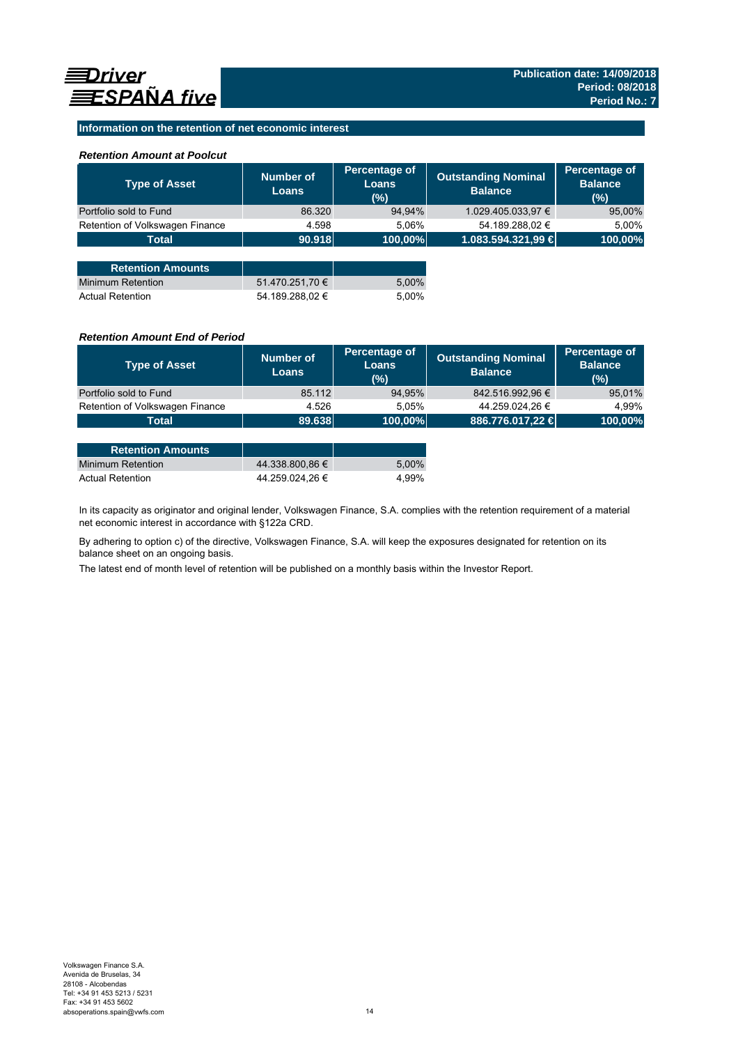### **Information on the retention of net economic interest**

### *Retention Amount at Poolcut*

| <b>Type of Asset</b>            | Number of<br><b>Loans</b> | Percentage of<br><b>Loans</b><br>$(\%)$ | <b>Outstanding Nominal</b><br><b>Balance</b> | Percentage of<br><b>Balance</b><br>(%) |
|---------------------------------|---------------------------|-----------------------------------------|----------------------------------------------|----------------------------------------|
| Portfolio sold to Fund          | 86.320                    | 94,94%                                  | 1.029.405.033,97 €                           | 95,00%                                 |
| Retention of Volkswagen Finance | 4.598                     | 5,06%                                   | 54.189.288,02 €                              | 5.00%                                  |
| <b>Total</b>                    | 90.918                    | 100,00%                                 | 1.083.594.321,99 €                           | 100,00%                                |
|                                 |                           |                                         |                                              |                                        |
| <b>Retention Amounts</b>        |                           |                                         |                                              |                                        |
| <b>Minimum Retention</b>        | 51.470.251,70 €           | 5,00%                                   |                                              |                                        |
| <b>Actual Retention</b>         | 54.189.288.02 €           | 5.00%                                   |                                              |                                        |

### *Retention Amount End of Period*

| <b>Number of</b><br>Loans | Percentage of<br><b>Loans</b><br>(%) | <b>Outstanding Nominal</b><br><b>Balance</b> | Percentage of<br><b>Balance</b><br>(%) |
|---------------------------|--------------------------------------|----------------------------------------------|----------------------------------------|
| 85.112                    | 94,95%                               | 842.516.992,96 €                             | 95,01%                                 |
| 4.526                     | 5.05%                                | 44.259.024,26 €                              | 4.99%                                  |
|                           |                                      | 886.776.017,22 €                             | 100,00%                                |
|                           |                                      | 89.638                                       | 100,00%                                |

| <b>Retention Amounts</b> |                 |       |
|--------------------------|-----------------|-------|
| Minimum Retention        | 44.338.800.86 € | 5.00% |
| <b>Actual Retention</b>  | 44.259.024.26 € | 4.99% |

In its capacity as originator and original lender, Volkswagen Finance, S.A. complies with the retention requirement of a material net economic interest in accordance with §122a CRD.

By adhering to option c) of the directive, Volkswagen Finance, S.A. will keep the exposures designated for retention on its balance sheet on an ongoing basis.

The latest end of month level of retention will be published on a monthly basis within the Investor Report.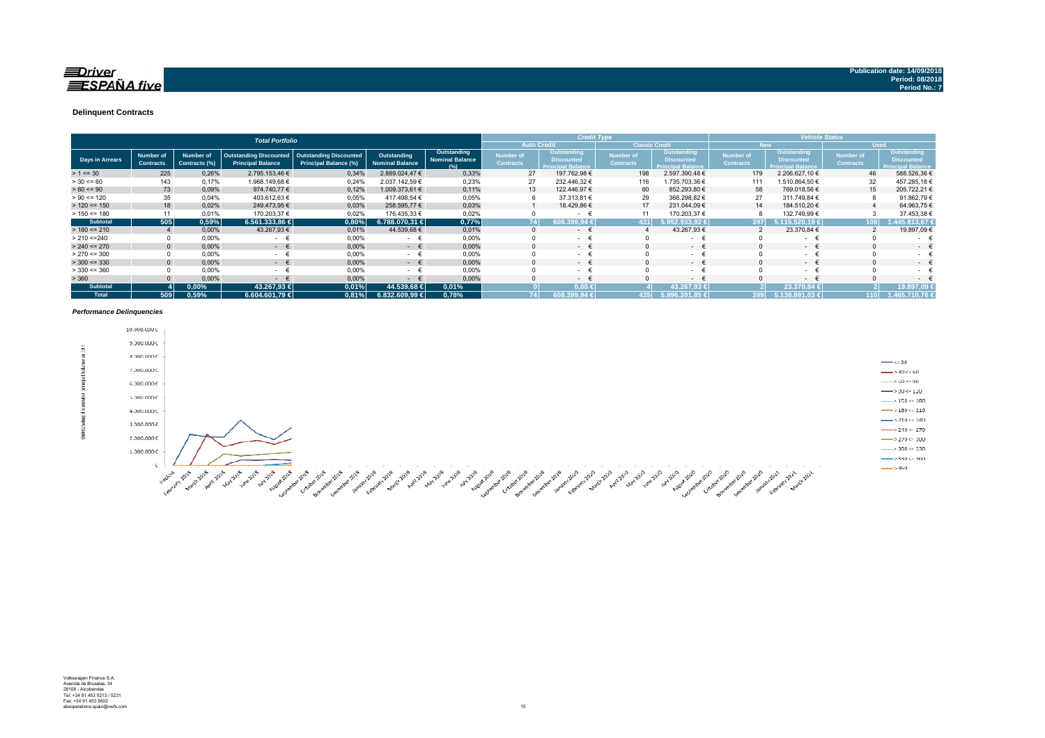### $\equiv$ Driver **ESPAÑA** five

#### **Delinquent Contracts**

|                 |                                      |                            | <b>Total Portfolio</b>                                    |                                                        |                                       |                                              |                               | <b>Credit Type</b>                                                  |                                      |                                                               | <b>Vehicle Status</b>         |                                                              |                                      |                                                                     |  |
|-----------------|--------------------------------------|----------------------------|-----------------------------------------------------------|--------------------------------------------------------|---------------------------------------|----------------------------------------------|-------------------------------|---------------------------------------------------------------------|--------------------------------------|---------------------------------------------------------------|-------------------------------|--------------------------------------------------------------|--------------------------------------|---------------------------------------------------------------------|--|
|                 |                                      |                            |                                                           |                                                        |                                       |                                              |                               | <b>Auto Credit</b>                                                  |                                      | <b>Classic Credit</b>                                         |                               | <b>New</b>                                                   |                                      | <b>Used</b>                                                         |  |
| Days in Arrears | <b>Number of</b><br><b>Contracts</b> | Number of<br>Contracts (%) | <b>Outstanding Discounted</b><br><b>Principal Balance</b> | <b>Outstanding Discounted</b><br>Principal Balance (%) | Outstanding<br><b>Nominal Balance</b> | Outstanding<br><b>Nominal Balance</b><br>(%) | Number of<br><b>Contracts</b> | <b>Outstanding</b><br><b>Discounted</b><br><b>Principal Balance</b> | <b>Number of</b><br><b>Contracts</b> | <b>Outstanding</b><br>Discounted<br><b>Principal Balance,</b> | Number of<br><b>Contracts</b> | Outstanding<br><b>Discounted</b><br><b>Principal Balance</b> | <b>Number of</b><br><b>Contracts</b> | <b>Outstanding</b><br><b>Discounted</b><br><b>Principal Balance</b> |  |
| $> 1 \le 30$    | 225                                  | 0,26%                      | 2.795.153,46 €                                            | 0,34%                                                  | 2.889.024,47 €                        | 0.33%                                        | 27                            | 197.762,98 €                                                        | 198                                  | 2.597.390.48 €                                                | 179                           | 2.206.627,10 €                                               | 46                                   | 588.526,36 €                                                        |  |
| $> 30 \le 60$   | 143                                  | 0,17%                      | 1.968.149,68 €                                            | 0,24%                                                  | 2.037.142,59 €                        | 0,23%                                        | 27                            | 232.446,32 €                                                        | 116                                  | 1.735.703,36 €                                                | 111                           | .510.864,50 €                                                | 32                                   | 457.285,18 €                                                        |  |
| $> 60 \le 90$   | 73                                   | 0,09%                      | 974.740,77 €                                              | 0,12%                                                  | 1.009.373,61 €                        | 0,11%                                        | 13                            | 122.446,97 €                                                        | 60                                   | 852.293,80 €                                                  | 58                            | 769.018,56 €                                                 | 15                                   | 205.722,21 €                                                        |  |
| $> 90 \le 120$  | 35                                   | 0.04%                      | 403.612,63 €                                              | 0,05%                                                  | 417.498,54 €                          | 0,05%                                        | 6                             | 37.313,81 €                                                         | 29                                   | 366.298,82 €                                                  | 27                            | 311.749,84 €                                                 |                                      | 91.862,79 €                                                         |  |
| $> 120 \le 150$ | 18                                   | 0,02%                      | 249.473,95 €                                              | 0,03%                                                  | 258.595,77 €                          | 0,03%                                        |                               | 18.429,86 €                                                         | 17                                   | 231.044,09 €                                                  | 14                            | 184.510,20 €                                                 |                                      | 64.963,75 €                                                         |  |
| $> 150 \le 180$ | 11                                   | 0,01%                      | 170.203,37 €                                              | 0,02%                                                  | 176.435,33 €                          | 0,02%                                        |                               | $\sim$                                                              |                                      | 170.203,37 €                                                  |                               | 132.749,99 €                                                 |                                      | 37.453,38 €                                                         |  |
| <b>Subtotal</b> | 505                                  | 0,59%                      | $6.561.333,86 \in$                                        | 0.80%                                                  | $6.788.070.31 \in$                    | 0,77%                                        |                               | 74<br>99.94 €<br>608.3                                              | 431                                  | .952.933.92 €                                                 | 397                           | 115.520.19 €                                                 | 108                                  | 45.813.67 €                                                         |  |
| $> 180 \le 210$ |                                      | 0,00%                      | 43.267,93 €                                               | 0,01%                                                  | 44.539,68 €                           | 0.01%                                        | $\Omega$                      | $\sim$                                                              |                                      | 43.267,93 €                                                   |                               | 23.370,84 €                                                  |                                      | 19.897,09 €                                                         |  |
| > 210 < 240     |                                      | 0,00%                      | $\sim$                                                    | 0,00%                                                  | $\sim$                                | 0,00%                                        |                               | $\sim$                                                              |                                      | $\sim$                                                        |                               | $\sim$                                                       |                                      | $\sim$ 10 $\pm$                                                     |  |
| $> 240 \le 270$ | $\Omega$                             | 0.00%                      | $ \epsilon$                                               | 0,00%                                                  | $ \epsilon$                           | 0.00%                                        | $\Omega$                      | $-1$                                                                |                                      | $ \epsilon$                                                   |                               | $ \epsilon$                                                  |                                      | - +                                                                 |  |
| $> 270 \le 300$ |                                      | 0,00%                      | <b>Service</b>                                            | 0,00%                                                  | - <del>t</del>                        | 0,00%                                        |                               | $\sim$                                                              |                                      | - 1                                                           |                               | ۰                                                            |                                      | $\sim$                                                              |  |
| $>$ 300 <= 330  | $\Omega$                             | 0,00%                      | $ \epsilon$                                               | 0,00%                                                  | $ \epsilon$                           | 0,00%                                        | $\mathbf{0}$                  | $\sim$ 100 $\mu$                                                    |                                      | $ \epsilon$                                                   | $\Omega$                      | $ \epsilon$                                                  |                                      | $\sim$                                                              |  |
| $> 330 \le 360$ |                                      | 0,00%                      | $\sim$                                                    | 0,00%                                                  | - €                                   | 0,00%                                        |                               | $\sim$                                                              |                                      | $\sim$                                                        |                               | ۰                                                            |                                      | $\sim$                                                              |  |
| > 360           |                                      | 0.00%                      | $\sim$                                                    | 0,00%                                                  | $\epsilon$<br>$\sim$                  | 0.00%                                        |                               | $\sim$                                                              |                                      | $ \epsilon$                                                   |                               | $ \epsilon$                                                  |                                      | $\sim$                                                              |  |
| <b>Subtotal</b> |                                      | $0.00\%$                   | 43.267,93 €                                               | 0,01%                                                  | 44.539,68 €                           | 0,01%                                        |                               | $0.00*$                                                             |                                      | 43.267.93 €                                                   |                               | 23.370.84 €                                                  |                                      | 19.897.09                                                           |  |
| <b>Total</b>    | 509                                  | 0,59%                      | 6.604.601.79 €                                            | 0.81%                                                  | $6.832.609.99 \in$                    | 0,78%                                        | 74                            | 608.399.94 €                                                        | 435                                  | 5.996.201.85 €                                                | 399                           | 5.138.891.03 €                                               | 110 <sup>1</sup>                     | 1.465.710.76 €                                                      |  |

#### *Performance Delinquencies*

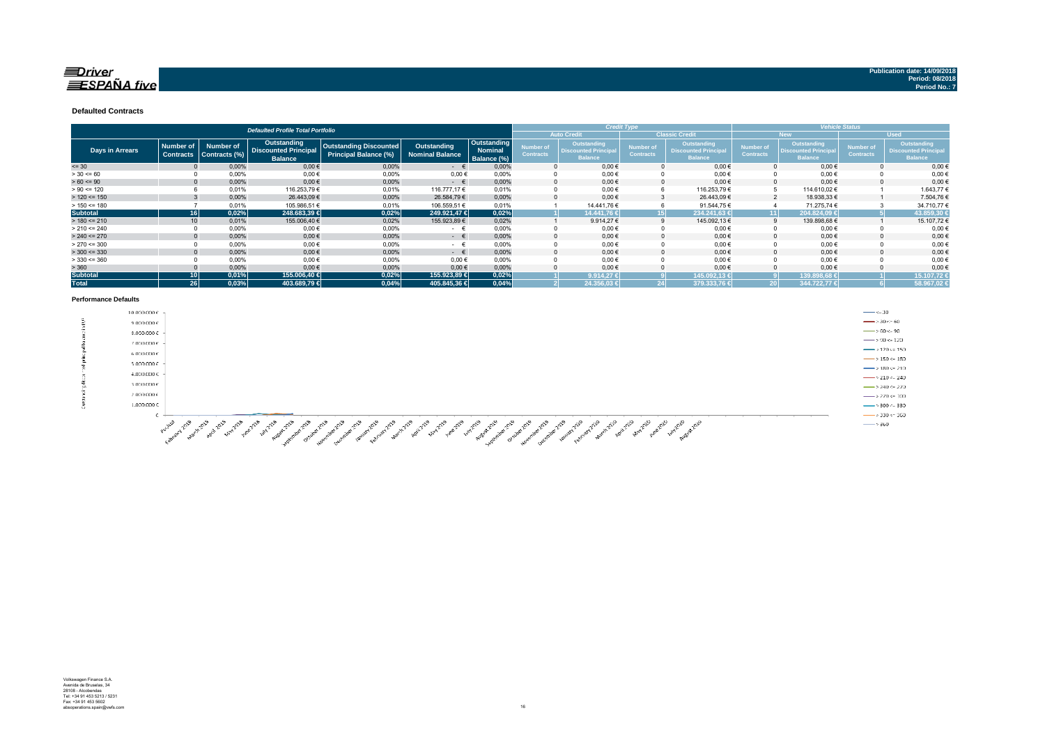### $\equiv$ Driver  $ESPA\tilde{N}A$  five

**Defaulted Contracts** 

|                        |                                      |                                   | <b>Defaulted Profile Total Portfolio</b>                     |                                                        |                                       |                                       |                               |                                                              | <b>Credit Type</b>            |                                                                     | <b>Vehicle Status</b>                |                                                             |                                      |                                                                     |  |
|------------------------|--------------------------------------|-----------------------------------|--------------------------------------------------------------|--------------------------------------------------------|---------------------------------------|---------------------------------------|-------------------------------|--------------------------------------------------------------|-------------------------------|---------------------------------------------------------------------|--------------------------------------|-------------------------------------------------------------|--------------------------------------|---------------------------------------------------------------------|--|
|                        |                                      |                                   |                                                              |                                                        |                                       |                                       | <b>Auto Credit</b>            |                                                              |                               | <b>Classic Credit</b>                                               |                                      | New.                                                        |                                      | <b>Used</b>                                                         |  |
| <b>Days in Arrears</b> | <b>Number of</b><br><b>Contracts</b> | <b>Number of</b><br>Contracts (%) | Outstanding<br><b>Discounted Principal</b><br><b>Balance</b> | <b>Outstanding Discounted</b><br>Principal Balance (%) | Outstanding<br><b>Nominal Balance</b> | Outstanding<br>Nominal<br>Balance (%) | Number of<br><b>Contracts</b> | Outstanding<br><b>Discounted Principal</b><br><b>Balance</b> | Number of<br><b>Contracts</b> | <b>Outstanding</b><br><b>Discounted Principal</b><br><b>Balance</b> | <b>Number of</b><br><b>Contracts</b> | Outstanding<br><b>Discounted Principa</b><br><b>Balance</b> | <b>Number of</b><br><b>Contracts</b> | <b>Outstanding</b><br><b>Discounted Principal</b><br><b>Balance</b> |  |
| $= 30$                 |                                      | 0,00%                             | $0,00$ €                                                     | 0,00%                                                  | $ \epsilon$                           | 0,00%                                 |                               | $0,00 \in$                                                   |                               | $0,00 \in$                                                          |                                      | $0,00 \in$                                                  |                                      | $0,00 \in$                                                          |  |
| $> 30 \le 60$          |                                      | 0,00%                             | $0,00$ €                                                     | 0,00%                                                  | 0,00€                                 | 0,00%                                 |                               | $0,00 \in$                                                   |                               | $0,00 \in$                                                          |                                      | $0,00 \in$                                                  |                                      | $0,00 \in$                                                          |  |
| $> 60 \le 90$          |                                      | 0,00%                             | $0,00$ €                                                     | 0,00%                                                  | $ \in$                                | 0,00%                                 |                               | $0.00 \in$                                                   |                               | $0,00 \in$                                                          |                                      | $0,00 \in$                                                  |                                      | $0,00 \in$                                                          |  |
| $> 90 \le 120$         |                                      | 0,01%                             | 116.253,79€                                                  | 0,01%                                                  | 116.777.17 €                          | 0.01%                                 |                               | $0,00 \in$                                                   | 6                             | 116.253,79€                                                         |                                      | 114.610,02 €                                                |                                      | 1.643,77 €                                                          |  |
| $> 120 \le 150$        |                                      | 0,00%                             | 26.443,09€                                                   | 0.00%                                                  | 26.584.79€                            | 0.00%                                 |                               | $0.00 \in$                                                   | 3                             | 26.443.09€                                                          |                                      | 18.938.33 €                                                 |                                      | 7.504,76€                                                           |  |
| $> 150 \le 180$        |                                      | 0.01%                             | 105.986,51 €                                                 | 0.01%                                                  | 106.559,51 €                          | 0.01%                                 |                               | 14.441,76 €                                                  | 6                             | 91.544,75 €                                                         |                                      | 71.275,74 €                                                 |                                      | 34.710,77€                                                          |  |
| <b>Subtotal</b>        | 16 I                                 | 0,02%                             | 248.683,39 €                                                 | 0,02%                                                  | 249.921.47 €                          | 0,02%                                 |                               | 14.441.76 €                                                  | 15 <sup>1</sup>               | 234.241.63 €                                                        |                                      | 11  <br>204.824.09 €                                        |                                      | 43.859.30                                                           |  |
| $> 180 \le 210$        | 10                                   | 0.01%                             | 155.006,40 €                                                 | 0,02%                                                  | 155.923,89 €                          | 0.02%                                 |                               | 9.914,27€                                                    |                               | 145.092,13€                                                         |                                      | 139.898,68€                                                 |                                      | 15.107,72€                                                          |  |
| $> 210 \le 240$        |                                      | 0,00%                             | $0,00$ €                                                     | 0,00%                                                  | - +                                   | 0.00%                                 |                               | $0,00 \in$                                                   |                               | $0,00 \in$                                                          |                                      | $0,00 \in$                                                  |                                      | $0,00 \in$                                                          |  |
| $> 240 \le 270$        |                                      | 0,00%                             | $0,00$ €                                                     | 0,00%                                                  | $ \epsilon$                           | 0.00%                                 |                               | $0,00 \in$                                                   | $\Omega$                      | $0,00 \in$                                                          |                                      | $0,00 \in$                                                  |                                      | $0,00 \in$                                                          |  |
| $> 270 \le 300$        |                                      | 0,00%                             | $0,00$ €                                                     | 0,00%                                                  | $ \epsilon$                           | 0,00%                                 |                               | $0,00 \in$                                                   |                               | $0,00 \in$                                                          |                                      | $0,00 \in$                                                  |                                      | $0,00 \in$                                                          |  |
| $> 300 \le 330$        |                                      | 0,00%                             | $0,00$ €                                                     | 0,00%                                                  | $ \in$                                | 0.00%                                 |                               | $0,00 \in$                                                   | $\Omega$                      | $0,00 \in$                                                          |                                      | $0,00 \in$                                                  |                                      | $0,00 \in$                                                          |  |
| $>$ 330 <= 360         |                                      | 0,00%                             | $0,00$ €                                                     | $0.00\%$                                               | 0.00€                                 | 0.00%                                 |                               | $0.00 \in$                                                   |                               | $0.00 \in$                                                          |                                      | $0.00 \in$                                                  |                                      | $0,00 \in$                                                          |  |
| > 360                  |                                      | 0,00%                             | $0,00$ €                                                     | 0,00%                                                  | 0,00€                                 | 0,00%                                 |                               | $0.00 \in$                                                   |                               | $0,00 \in$                                                          |                                      | $0,00 \in$                                                  |                                      | $0,00$ €                                                            |  |
| <b>Subtotal</b>        | 10I                                  | 0,01%                             | 155.006,40 €                                                 | 0,02%                                                  | 155.923,89 €                          | 0,02%                                 |                               | 9.914.27 €                                                   |                               | 145.092.13 €                                                        |                                      | 139.898.68 €                                                |                                      | 15.107,72                                                           |  |
| <b>Total</b>           | 26 <sup>1</sup>                      | 0,03%                             | 403.689,79 €                                                 | 0,04%                                                  | 405.845,36 €                          | 0,04%                                 |                               | 24.356,03 €                                                  |                               | 379.333,76 €                                                        |                                      | 344.722.77 €                                                |                                      | 58.967,02                                                           |  |

#### **Performance Defaults**

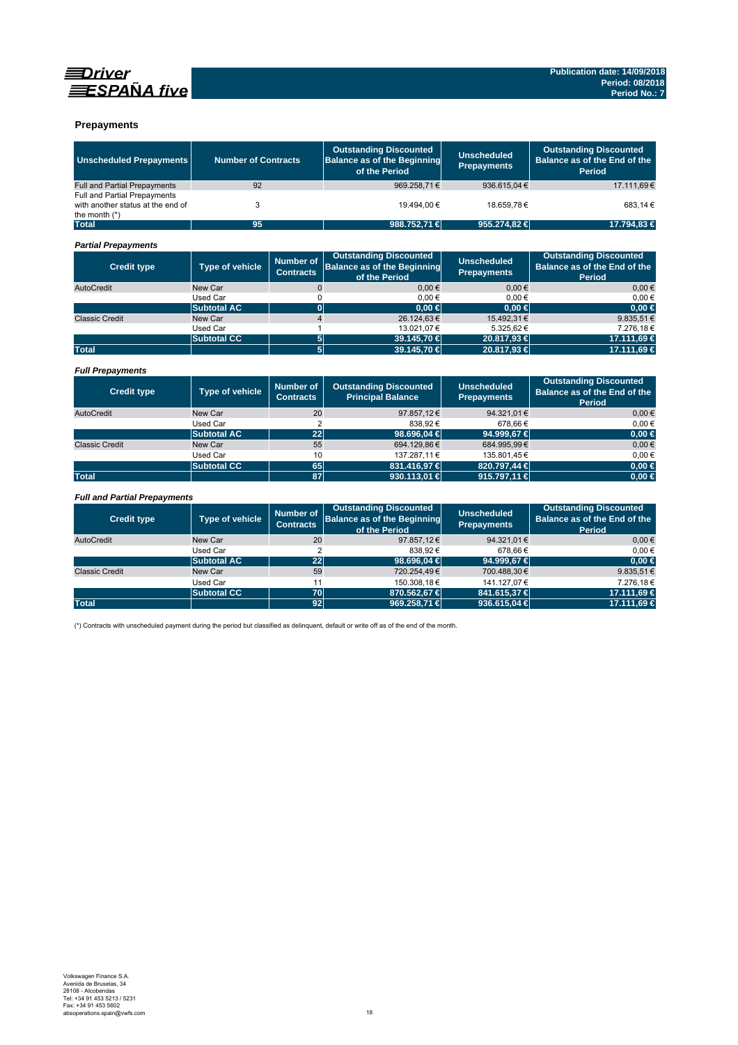



### **Prepayments**

| <b>Unscheduled Prepayments</b>                                                       | <b>Number of Contracts</b> |                                      | <b>Outstanding Discounted</b><br><b>Balance as of the Beginning</b><br>of the Period | <b>Unscheduled</b><br><b>Prepayments</b> | <b>Outstanding Discounted</b><br>Balance as of the End of the<br>Period |
|--------------------------------------------------------------------------------------|----------------------------|--------------------------------------|--------------------------------------------------------------------------------------|------------------------------------------|-------------------------------------------------------------------------|
| <b>Full and Partial Prepayments</b>                                                  | 92                         |                                      | 969.258,71€                                                                          | 936.615,04€                              | 17.111,69€                                                              |
| Full and Partial Prepayments<br>with another status at the end of<br>the month $(*)$ | 3                          |                                      | 19.494.00 €                                                                          | 18.659.78€                               | 683.14 €                                                                |
| <b>Total</b>                                                                         | 95                         |                                      | 988.752,71 €                                                                         | 955,274,82 €                             | 17.794.83 €                                                             |
| <b>Partial Prepayments</b>                                                           |                            |                                      |                                                                                      |                                          |                                                                         |
| <b>Credit type</b>                                                                   | Type of vehicle            | <b>Number of</b><br><b>Contracts</b> | <b>Outstanding Discounted</b><br><b>Balance as of the Beginning</b><br>of the Period | <b>Unscheduled</b><br><b>Prepayments</b> | <b>Outstanding Discounted</b><br>Balance as of the End of the<br>Period |
| AutoCredit                                                                           | New Car                    | $\overline{0}$                       | $0.00 \in$                                                                           | $0.00 \in$                               | $0.00 \in$                                                              |
|                                                                                      | <b>Used Car</b>            | 0                                    | $0,00 \in$                                                                           | $0.00 \in$                               | 0.00€                                                                   |
|                                                                                      | <b>Subtotal AC</b>         | $\mathbf{0}$                         | $0.00 \in$                                                                           | $0.00 \in$                               | 0.00 ∈                                                                  |
| <b>Classic Credit</b>                                                                | New Car                    | $\overline{4}$                       | 26.124,63€                                                                           | 15.492,31€                               | 9.835,51€                                                               |
|                                                                                      | <b>Used Car</b>            | 1                                    | 13.021,07€                                                                           | 5.325,62€                                | 7.276,18€                                                               |
|                                                                                      | <b>Subtotal CC</b>         | 5                                    | 39.145,70 €                                                                          | 20.817,93 €                              | 17.111,69 €                                                             |
| <b>Total</b>                                                                         |                            | 5                                    | 39.145,70 €                                                                          | 20.817,93 €                              | 17.111,69 €                                                             |
| <b>Full Prepayments</b>                                                              |                            |                                      |                                                                                      |                                          |                                                                         |
| <b>Credit type</b>                                                                   | <b>Type of vehicle</b>     | <b>Number of</b><br><b>Contracts</b> | <b>Outstanding Discounted</b><br><b>Principal Balance</b>                            | <b>Unscheduled</b><br><b>Prepayments</b> | <b>Outstanding Discounted</b><br>Balance as of the End of the<br>Period |
| AutoCredit                                                                           | New Car                    | 20                                   | 97.857,12€                                                                           | 94.321,01€                               | $0.00 \in$                                                              |
|                                                                                      | <b>Used Car</b>            | $\overline{2}$                       | 838,92€                                                                              | 678,66€                                  | 0.00€                                                                   |
|                                                                                      | <b>Subtotal AC</b>         | 22                                   | 98,696.04 €                                                                          | 94.999.67 €                              | $0.00 \in$                                                              |
| <b>Classic Credit</b>                                                                | New Car                    | 55                                   | 694.129,86€                                                                          | 684.995,99€                              | 0.00€                                                                   |
|                                                                                      | <b>Used Car</b>            | 10                                   | 137.287,11€                                                                          | 135.801,45€                              | $0.00 \in$                                                              |
|                                                                                      | <b>Subtotal CC</b>         | 65                                   | 831.416,97€                                                                          | 820.797,44 €                             | $0,00 \in$                                                              |
| <b>Total</b>                                                                         |                            | 87                                   | 930.113,01 €                                                                         | 915.797,11 €                             | $0.00 \in$                                                              |
|                                                                                      |                            |                                      |                                                                                      |                                          |                                                                         |
| <b>Full and Partial Prepayments</b>                                                  |                            |                                      |                                                                                      |                                          |                                                                         |
| <b>Credit type</b>                                                                   | Type of vehicle            | <b>Number of</b><br><b>Contracts</b> | <b>Outstanding Discounted</b><br><b>Balance as of the Beginning</b><br>of the Period | <b>Unscheduled</b><br><b>Prepayments</b> | <b>Outstanding Discounted</b><br>Balance as of the End of the<br>Period |
| AutoCredit                                                                           | New Car                    | 20                                   | 97.857,12€                                                                           | 94.321,01€                               | $0,00 \in$                                                              |
|                                                                                      | Used Car                   | $\overline{2}$                       | 838.92€                                                                              | 678.66€                                  | 0.00€                                                                   |
|                                                                                      | <b>Subtotal AC</b>         | 22                                   | 98,696.04 €                                                                          | 94.999.67 €                              | $0.00 \in$                                                              |
| <b>Classic Credit</b>                                                                | New Car                    | 59                                   | 720.254,49€                                                                          | 700.488.30€                              | 9.835.51 $\in$                                                          |
|                                                                                      | Used Car                   | 11                                   | 150.308,18€                                                                          | 141.127,07€                              | 7.276.18€                                                               |
|                                                                                      | <b>Subtotal CC</b>         | 70                                   | 870.562,67 €                                                                         | 841.615,37 €                             | 17.111,69 €                                                             |
| <b>Total</b>                                                                         |                            | 92                                   | 969.258,71 €                                                                         | 936.615,04 €                             | 17.111,69 €                                                             |

(\*) Contracts with unscheduled payment during the period but classified as delinquent, default or write off as of the end of the month.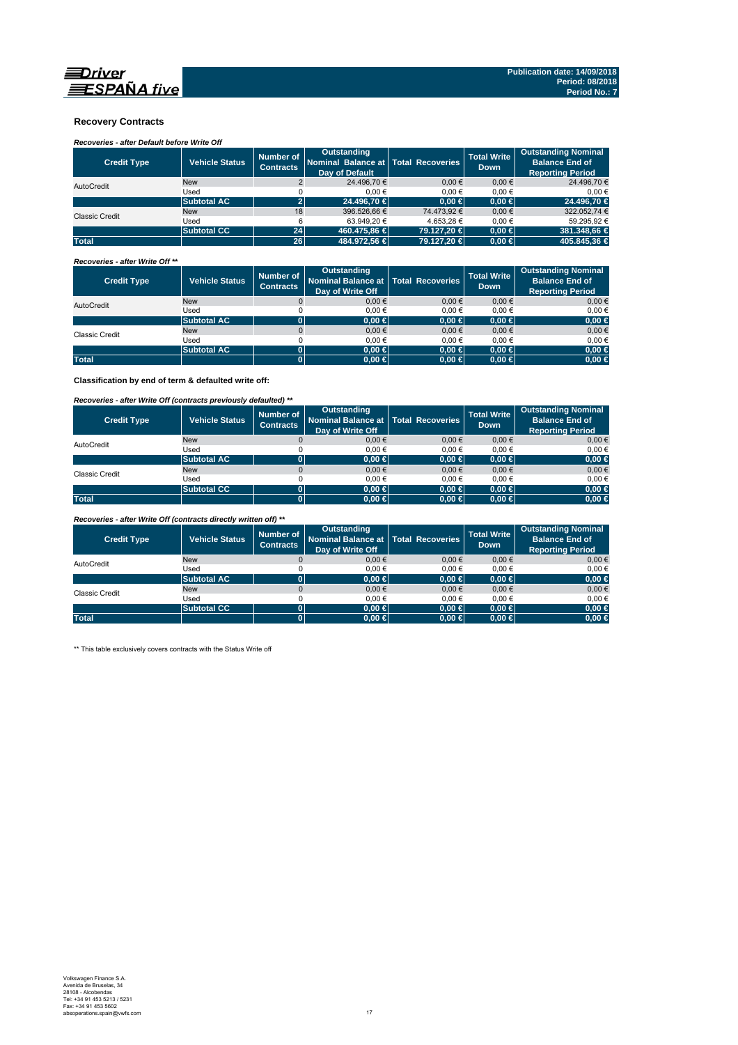

### **Recovery Contracts**

### *Recoveries - after Default before Write Off*

| <b>Credit Type</b>    | <b>Vehicle Status</b> | Number of<br><b>Contracts</b> | Outstanding<br>Nominal Balance at Total Recoveries<br>Day of Default |             | <b>Total Write</b><br><b>Down</b> | <b>Outstanding Nominal</b><br><b>Balance End of</b><br><b>Reporting Period</b> |
|-----------------------|-----------------------|-------------------------------|----------------------------------------------------------------------|-------------|-----------------------------------|--------------------------------------------------------------------------------|
| AutoCredit            | <b>New</b>            |                               | 24.496.70 €                                                          | $0.00 \in$  | $0.00 \in$                        | 24.496,70 €                                                                    |
|                       | Used                  |                               | 0.00€                                                                | 0.00€       | 0.00€                             | 0.00€                                                                          |
|                       | <b>Subtotal AC</b>    |                               | 24,496.70 €                                                          | $0.00 \in$  | $0.00 \in$                        | 24.496.70 €                                                                    |
| <b>Classic Credit</b> | <b>New</b>            | 18                            | 396.526.66 €                                                         | 74.473.92 € | $0.00 \in$                        | 322.052.74 €                                                                   |
|                       | Used                  | 6                             | 63.949.20 €                                                          | 4.653.28 €  | 0.00€                             | 59.295.92 €                                                                    |
|                       | <b>Subtotal CC</b>    | 24                            | 460.475.86 €                                                         | 79.127.20 € | $0.00 \in$                        | 381.348.66 €                                                                   |
| <b>Total</b>          |                       | 26                            | 484.972.56 €                                                         | 79.127.20 € | $0.00 \in$                        | 405.845.36 €                                                                   |

#### *Recoveries - after Write Off \*\**

| <b>Credit Type</b> | <b>Vehicle Status</b> | Number of<br><b>Contracts</b> | Outstanding<br>Nominal Balance at Total Recoveries<br>Day of Write Off |            | <b>Total Write</b><br><b>Down</b> | <b>Outstanding Nominal</b><br><b>Balance End of</b><br><b>Reporting Period</b> |
|--------------------|-----------------------|-------------------------------|------------------------------------------------------------------------|------------|-----------------------------------|--------------------------------------------------------------------------------|
| AutoCredit         | <b>New</b>            |                               | $0,00 \in$                                                             | $0.00 \in$ | $0,00 \in$                        | $0,00 \in$                                                                     |
|                    | Used                  |                               | 0.00€                                                                  | 0.00€      | 0.00€                             | 0,00€                                                                          |
|                    | <b>Subtotal AC</b>    |                               | $0.00 \in$                                                             | $0,00 \in$ | $0.00 \in$                        | $0,00 \in$                                                                     |
| Classic Credit     | <b>New</b>            |                               | $0,00 \in$                                                             | $0.00 \in$ | $0,00 \in$                        | $0,00 \in$                                                                     |
|                    | Used                  |                               | 0.00€                                                                  | 0.00€      | 0.00€                             | 0,00€                                                                          |
|                    | <b>Subtotal AC</b>    | 01                            | $0.00 \in$                                                             | $0,00 \in$ | $0.00 \in$                        | $0,00 \in$                                                                     |
| <b>Total</b>       |                       |                               | $0.00 \in$                                                             | $0,00 \in$ | $0.00 \in$                        | $0,00 \in$                                                                     |

**Classification by end of term & defaulted write off:**

### *Recoveries - after Write Off (contracts previously defaulted) \*\**

| <b>Credit Type</b> | Vehicle Status     | Number of<br><b>Contracts</b> | <b>Outstanding</b><br>Nominal Balance at Total Recoveries<br>Day of Write Off |            | <b>Total Write</b><br><b>Down</b> | <b>Outstanding Nominal</b><br><b>Balance End of</b><br><b>Reporting Period</b> |
|--------------------|--------------------|-------------------------------|-------------------------------------------------------------------------------|------------|-----------------------------------|--------------------------------------------------------------------------------|
| AutoCredit         | <b>New</b>         |                               | 0.00€                                                                         | 0.00€      | 0.00€                             | $0.00 \in$                                                                     |
|                    | Used               |                               | 0.00€                                                                         | 0.00€      | 0.00€                             | $0.00 \in$                                                                     |
|                    | <b>Subtotal AC</b> | 0                             | $0.00 \in$                                                                    | $0,00 \in$ | $0.00 \in$                        | $0,00 \in$                                                                     |
| Classic Credit     | <b>New</b>         |                               | 0.00€                                                                         | 0.00€      | 0.00€                             | $0,00 \in$                                                                     |
|                    | Used               |                               | 0.00€                                                                         | 0.00€      | 0.00€                             | $0.00 \in$                                                                     |
|                    | <b>Subtotal CC</b> | 0                             | 0.00 ∈                                                                        | $0.00 \in$ | $0.00 \in$                        | $0,00 \in$                                                                     |
| <b>Total</b>       |                    | 0                             | $0.00 \in$                                                                    | $0,00 \in$ | $0.00 \in$                        | $0,00 \in$                                                                     |

*Recoveries - after Write Off (contracts directly written off) \*\**

| <b>Credit Type</b> | <b>Vehicle Status</b> | Number of<br><b>Contracts</b> | Outstanding<br>Nominal Balance at   Total Recoveries<br>Day of Write Off |            | <b>Total Write</b><br><b>Down</b> | <b>Outstanding Nominal</b><br><b>Balance End of</b><br><b>Reporting Period</b> |
|--------------------|-----------------------|-------------------------------|--------------------------------------------------------------------------|------------|-----------------------------------|--------------------------------------------------------------------------------|
| AutoCredit         | <b>New</b>            |                               | 0.00€                                                                    | $0.00 \in$ | 0.00€                             | $0,00 \in$                                                                     |
|                    | Used                  |                               | 0.00€                                                                    | 0.00€      | 0.00€                             | $0.00 \in$                                                                     |
|                    | <b>Subtotal AC</b>    |                               | $0.00 \in$                                                               | $0,00 \in$ | $0,00 \in$                        | $0,00 \in$                                                                     |
| Classic Credit     | <b>New</b>            |                               | 0.00€                                                                    | $0.00 \in$ | 0.00€                             | $0,00 \in$                                                                     |
|                    | Used                  |                               | 0.00€                                                                    | 0.00€      | 0.00€                             | $0.00 \in$                                                                     |
|                    | <b>Subtotal CC</b>    | 01                            | $0.00 \in$                                                               | $0.00 \in$ | $0.00 \in$                        | $0,00 \in$                                                                     |
| <b>Total</b>       |                       | Юľ                            | $0.00 \in$                                                               | $0,00 \in$ | $0.00 \in$                        | $0,00 \in$                                                                     |

\*\* This table exclusively covers contracts with the Status Write off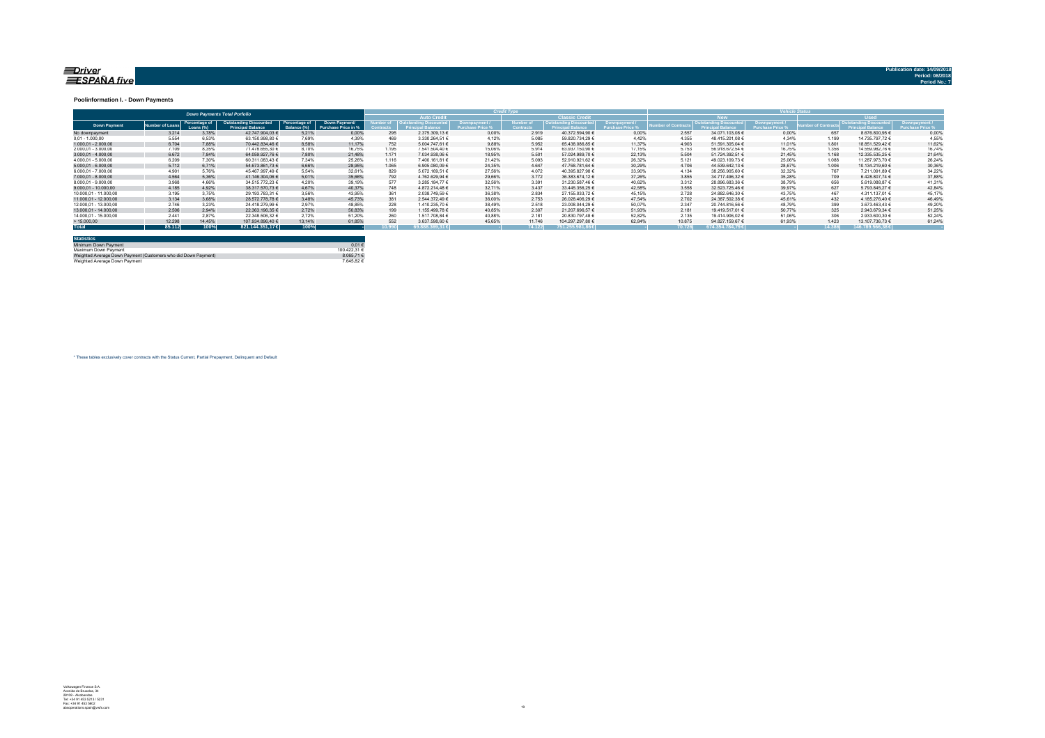#### <u>=Driver</u> ESPAÑA five

**Publication date: 14/09/20** 

#### **Poolinformation I. - Down Payments**

|                       |                |                            | <b>Down Payments Total Porfolio</b>                |                              |                                      | ______ |                                             |                    |                              |                         |             |                 |                             |                    |               |                 |                |
|-----------------------|----------------|----------------------------|----------------------------------------------------|------------------------------|--------------------------------------|--------|---------------------------------------------|--------------------|------------------------------|-------------------------|-------------|-----------------|-----------------------------|--------------------|---------------|-----------------|----------------|
|                       |                |                            |                                                    |                              |                                      |        | <b>Auto Credit</b>                          |                    |                              | <b>Classic Credit</b>   |             |                 |                             |                    |               | <b>Head</b>     |                |
| <b>Down Payment</b>   | umber of Loan: | Percentage of<br>Loans (%) | Outstanding Discounted<br><b>Princinal Balance</b> | Percentage of<br>Balance (%) | Down Payment/<br>Purchase Price in % |        | <b>Cutstanding Discounted</b><br>al Balance | <b>Rownpayment</b> | <b>Jumber</b> c<br>Contracts | <i><b>Iscounted</b></i> | Downpayment | mber of Contrac | <b>Outstanding Discount</b> | <b>Downpayment</b> | nber of Contr | Principa        | rchase Price % |
| No downpayment        | 3.214          | 3.78%                      | 42.747.904.03 €                                    | 5.21%                        | 0.00%                                | 295    | 2.375.309.13 €                              | 0.00%              | 2.919                        | 40.372.594.90 €         | 0.00%       | 2.557           | 34.071.103.08 €             | 0.00%              | 657           | 8.676.800.95 €  | 0.00%          |
| $0.01 - 1.000.00$     | 5.554          | 6.53%                      | 63.150.998.80 6                                    | 7.69%                        | 4.39%                                | 469    | 3.330.264,51 €                              | 4.12%              | 5.085                        | 59.820.734.29 €         | 4.42%       | 4.355           | 48.415.201.08 €             | 4.34%              | 1.199         | 14.735.797.72 € | 4,55%          |
| $1.000.01 - 2.000.00$ | 6.704          | 7.88%                      | 70.442.834.46 €                                    | 8.58%                        | 11.17%                               | 752    | 5.004.747.61 €                              | 9.88%              | 5.952                        | 65.438.086.85 €         | 11.37%      | 4.903           | 51.591.305.04 €             | 11.01%             | 1.801         | 18.851.529.42 € | 11.62%         |
| 2.000.01 - 3.000.00   | 7.109          | 8.35%                      | 71.478.655.30 €                                    | 8.70%                        | 16.75%                               | 1.195  | 7.541.504.40 €                              | 15.06%             | 5.914                        | 63.937.150.90 €         | 17.15%      | 5.753           | 56.918.672.54 €             | 16.75%             | 1.356         | 14.559.982.76 € | 16.74%         |
| $3.000.01 - 4.000.00$ | 6.672          | 7.84%                      | 64.059.927.76 €                                    | 7.80%                        | 21.48%                               | 1.171  | 7.034.938.06 €                              | 18.95%             | 5.501                        | 57.024.989.70 €         | 22.13%      | 5.504           | 51.724.392.51 €             | 21.45%             | 1.168         | 12.335.535.25 € | 21.64%         |
| 4.000.01 - 5.000.00   | 6.209          | 7.30%                      | 60.311.083.43 €                                    | 7.34%                        | 25.26%                               | 1.116  | 7.400.161.81 €                              | 21.42%             | 5.093                        | 52.910.921.62 €         | 26.32%      | 5.121           | 49.023.109.73 €             | 25.06%             | 1.088         | 11.287.973.70 € | 26.24%         |
| $5.000.01 - 6.000.00$ | 5.712          | 6.71%                      | 54.673.861.73 €                                    | 6.66%                        | 28.95%                               | 1.065  | 6.905.080.09 €                              | 24.35%             | 4.647                        | 47.768.781.64 €         | 30.29%      | 4.706           | 44.539.642.13 €             | 28.67%             | 1.006         | 10.134.219.60 € | 30,36%         |
| 6.000.01 - 7.000.00   | 4.901          | 5.76%                      | 45.467.997.49 €                                    | 5.54%                        | 32.61%                               | 829    | 5.072.169.51 €                              | 27.56%             | 4.072                        | 40.395.827.98 €         | 33.90%      | 4.134           | 38.256.905.60 €             | 32.32%             |               | 7.211.091.89 €  | 34,22%         |
| 7.000.01 - 8.000.00   | 4.564          | 5.36%                      | 41.146.304.06 €                                    | 5.01%                        | 35.66%                               | 792    | 4.762.629.94 €                              | 29.66%             | 3.772                        | 36.383.674.12 €         | 37.26%      | 3.855           | 34.717.496.32 €             | 35.28%             | 709           | 6.428.807.74 €  | 37,88%         |
| 8.000.01 - 9.000.00   | 3.968          | 4.66%                      | 34.515.772.23 €                                    | 4.20%                        | 39.19%                               | 577    | 3.285.184.77 €                              | 32.56%             | 3.391                        | 31.230.587.46 €         | 40.62%      | 3.312           | 28.896.683.36 €             | 38.79%             | 656           | 5.619.088.87 €  | 41.31%         |
| 9.000.01 - 10.000.00  | 4.185          | 4.92%                      | 38.317.570.73 €                                    | 4.67%                        | 40.37%                               | 748    | 4.872.214.48 €                              | 32.71%             | 3.437                        | 33.445.356.25 €         | 42.58%      | 3.558           | 32.523.725.46 €             | 39.97%             |               | 5.793.845.27 €  | 42.84%         |
| 10.000.01 - 11.000.00 | 3.195          | 3.75%                      | 29.193.783.31 €                                    | 3.56%                        | 43.95%                               | 36'    | 2.038.749.59 €                              | 36.38%             | 2.834                        | 27.155.033.72 €         | 45.15%      | 2.728           | 24.882.646.30 €             | 43.75%             | 467           | 4.311.137.01 €  | 45.17%         |
| 11.000.01 - 12.000.00 | 3.134          | 3.68%                      | 28.572.778.78 €                                    | 3.48%                        | 45.73%                               | 381    | 2.544.372.49 €                              | 36.00%             | 2.753                        | 26.028.406.29 €         | 47.54%      | 2.702           | 24.387.502.38 €             | 45.61%             | 432           | 4.185.276.40 €  | 46.49%         |
| 12.000.01 - 13.000.00 | 2.746          | 3.23%                      | 24.418.279.99 €                                    | 2.97%                        | 48.85%                               | 228    | 1.410.235.70 €                              | 38.49%             | 2.518                        | 23.008.044.29 €         | 50.07%      | 2.347           | 20.744.816.56 €             | 48.79%             | 399           | 3.673.463.43 €  | 49,20%         |
| 13.000.01 - 14.000.00 | 2.506          | 2.94%                      | 22.363.196.35 €                                    | 2.72%                        | 50.83%                               | 199    | 1.155.499.78 €                              | 40.85%             | 2.307                        | 21.207.696.57 €         | 51.93%      | 2.181           | 19.419.517.01 €             | 50.77%             | 325           | 2.943.679.34 €  | 51,25%         |
| 14.000.01 - 15.000.00 | 2.441          | 2.87%                      | 22.348.506.32 €                                    | 2.72%                        | 51.20%                               | 260    | 1.517.708.84 €                              | 40.88%             | 2.181                        | 20.830.797.48 €         | 52.82%      | 2.135           | 19.414.906.02 €             | 51.06%             |               | 2.933.600.30 €  | 52.24%         |
| >15.000,00            | 12.298         | 14.45%                     | 107.934.896.40 €                                   | 13.14%                       | 61.85%                               | 55     | 3.637.598.60 €                              | 45.65%             | 11,746                       | 104.297.297.80 €        | 62.84%      | 10.875          | 94.827.159.67 €             | 61.93%             | 1.423         | 13.107.736.73 € | 61.24%         |
| <b>Total</b>          | 85.112         | 100%                       | 821.144.351.17 €                                   | 100%                         |                                      | 10.990 | $39.888.369.31 \in$                         |                    | 74.122                       | 751.255.981.86 €        |             | 70.726          | 674.354.784.79€             |                    | 14.386        | 146,789,566,38€ |                |

| <b>Statistics</b>                                              |              |
|----------------------------------------------------------------|--------------|
| Minimum Down Payment                                           | 0.01€        |
| Maximum Down Payment                                           | 100 422 31 6 |
| Weighted Average Down Payment (Customers who did Down Payment) | 8.065.71 €   |
| Weighted Average Down Payment                                  | 764582€      |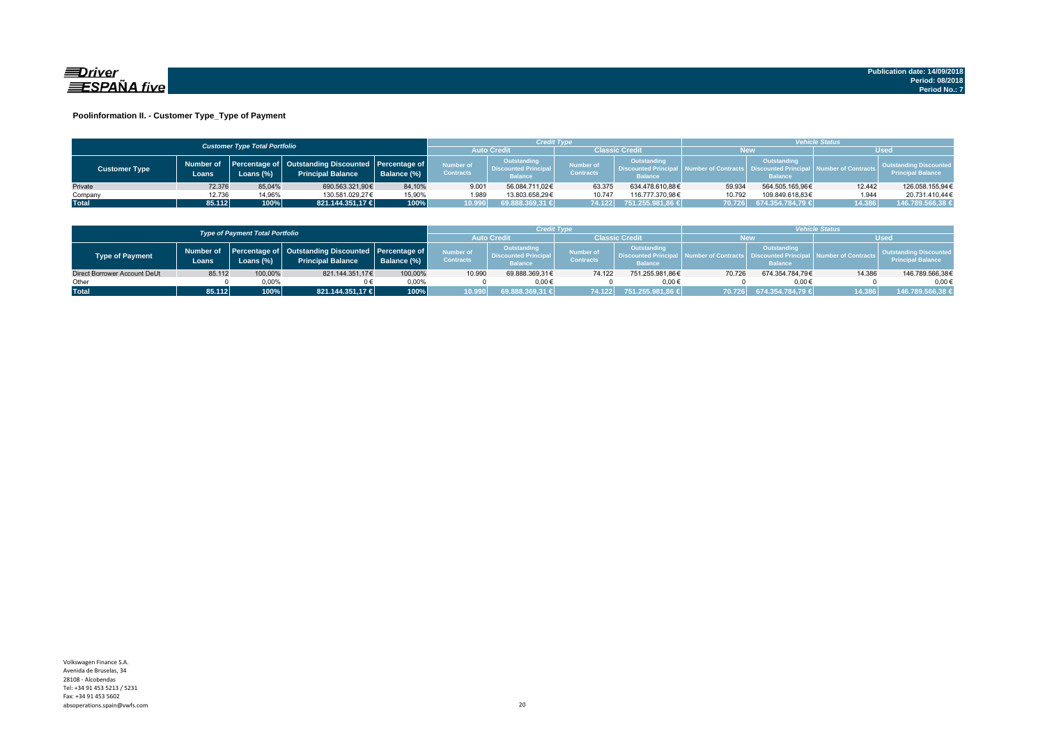

### **Poolinformation II. - Customer Type\_Type of Payment**

|                      |                    | <b>Customer Type Total Portfolio</b> |                                                                                    |             |                               |                                                              | Credit Type                          |                               | <b>Vehicle Status</b> |                                                                                                                                 |             |                                                           |  |
|----------------------|--------------------|--------------------------------------|------------------------------------------------------------------------------------|-------------|-------------------------------|--------------------------------------------------------------|--------------------------------------|-------------------------------|-----------------------|---------------------------------------------------------------------------------------------------------------------------------|-------------|-----------------------------------------------------------|--|
|                      |                    |                                      |                                                                                    |             | <b>Auto Credit</b>            |                                                              | <b>Classic Credit</b>                |                               | <b>New</b>            |                                                                                                                                 | <b>Used</b> |                                                           |  |
| <b>Customer Type</b> | Number of<br>Loans | Loans (%)                            | Percentage of   Outstanding Discounted   Percentage of<br><b>Principal Balance</b> | Balance (%) | Number of<br><b>Contracts</b> | Outstanding<br><b>Discounted Principal</b><br><b>Balance</b> | <b>Number of</b><br><b>Contracts</b> | Outstanding<br><b>Balance</b> |                       | <b>Outstanding</b><br>Discounted Principal   Number of Contracts   Discounted Principal   Number of Contracts<br><b>Balance</b> |             | <b>Outstanding Discounted</b><br><b>Principal Balance</b> |  |
| Private              | 72.376             | 85.04%                               | 690.563.321.90€                                                                    | 84,10%      | 9.001                         | 56.084.711.02€                                               | 63.375                               | 634.478.610.88€               | 59.934                | 564.505.165.96€                                                                                                                 | 12.442      | 126.058.155,94€                                           |  |
| Company              | 12.736             | 14,96%                               | 130.581.029.27€                                                                    | 15,90%      | 1.989                         | 13.803.658.29€                                               | 10.747                               | 116.777.370.98€               | 10.792                | 109.849.618.83€                                                                                                                 | 1.944       | 20.731.410.44€                                            |  |
| <b>Total</b>         | 85.112             | 100%                                 | 821.144.351.17 €                                                                   | 100%        | 10.990                        | 69.888.369,31 €                                              | 74.122                               | 751.255.981,86 €              |                       | 70.726 674.354.784,79 €                                                                                                         | 14.386      | 146.789.566,38 €                                          |  |

|                              |        | <b>Type of Payment Total Portfolio</b> |                                                                                          |             |                                      | <b>Credit Type</b>                                          |                               |                                                                 | <i><b>Vehicle Status</b></i> |                                                         |                              |                                                    |
|------------------------------|--------|----------------------------------------|------------------------------------------------------------------------------------------|-------------|--------------------------------------|-------------------------------------------------------------|-------------------------------|-----------------------------------------------------------------|------------------------------|---------------------------------------------------------|------------------------------|----------------------------------------------------|
|                              |        |                                        |                                                                                          |             | <b>Auto Credi</b>                    |                                                             | Classic Credit                |                                                                 | New                          |                                                         | <b>Used</b>                  |                                                    |
| Type of Payment              | Loans  | Loans (%)                              | Number of Percentage of Outstanding Discounted Percentage of<br><b>Principal Balance</b> | Balance (%) | <b>Number of</b><br><b>Contracts</b> | Outstanding<br><b>Discounted Principa</b><br><b>Balance</b> | Number of<br><b>Contracts</b> | Outstanding<br><b>L. Discounted Principal</b><br><b>Balance</b> | A Number of Contracts        | Outstanding<br>- Discounted Principal<br><b>Balance</b> | <b>I</b> Number of Contracts | Outstanding Discounted<br><b>Principal Balance</b> |
| Direct Borrower Account DeUt | 85.112 | 100,00%                                | 821.144.351.17€                                                                          | 100,00%     | 10.990                               | 69.888.369.31€                                              | 74.122                        | 751.255.981.86€                                                 | 70.726                       | 674.354.784.79€                                         | 14.386                       | 146.789.566,38€                                    |
| Other                        |        | $0.00\%$                               |                                                                                          | 0.00%       |                                      | $0.00 \in$                                                  |                               | 0.006                                                           |                              | $0.00 \in$                                              |                              | $0.00 \in$                                         |
| <b>Total</b>                 | 85.112 | 100%                                   | 821.144.351.17 €                                                                         | 100%        | 10.990                               | 69.888.369.31 €                                             | 74.122                        | 1,751.255.981.86 €                                              | 70.7261                      | 674.354.784.79 €                                        | 14.386                       | 146.789.566,38 €                                   |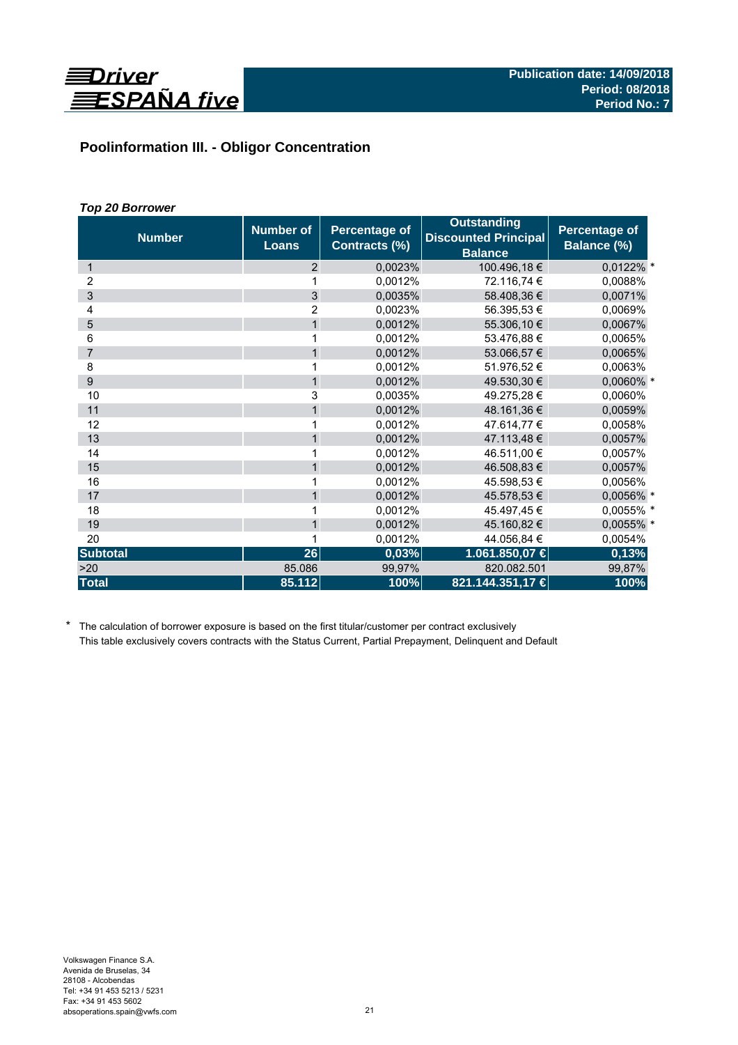

# **Poolinformation III. - Obligor Concentration**

# *Top 20 Borrower*

| <b>Number</b>   | <b>Number of</b><br><b>Loans</b> | <b>Percentage of</b><br><b>Contracts (%)</b> | <b>Outstanding</b><br><b>Discounted Principal</b><br><b>Balance</b> | Percentage of<br>Balance (%) |
|-----------------|----------------------------------|----------------------------------------------|---------------------------------------------------------------------|------------------------------|
| 1               | 2                                | 0,0023%                                      | 100.496,18€                                                         | $0,0122\%$ *                 |
| 2               | 1                                | 0,0012%                                      | 72.116,74 €                                                         | 0,0088%                      |
| 3               | 3                                | 0,0035%                                      | 58.408,36 €                                                         | 0,0071%                      |
| 4               | 2                                | 0,0023%                                      | 56.395,53 €                                                         | 0,0069%                      |
| 5               | $\mathbf{1}$                     | 0.0012%                                      | 55.306,10 €                                                         | 0,0067%                      |
| 6               | 1                                | 0,0012%                                      | 53.476,88 €                                                         | 0,0065%                      |
| $\overline{7}$  | $\mathbf{1}$                     | 0,0012%                                      | 53.066,57 €                                                         | 0,0065%                      |
| 8               | 1                                | 0,0012%                                      | 51.976,52 €                                                         | 0,0063%                      |
| 9               | $\mathbf{1}$                     | 0,0012%                                      | 49.530,30 €                                                         | 0,0060% *                    |
| 10              | 3                                | 0,0035%                                      | 49.275,28 €                                                         | 0,0060%                      |
| 11              | 1                                | 0,0012%                                      | 48.161,36€                                                          | 0,0059%                      |
| 12              | 1                                | 0,0012%                                      | 47.614,77 €                                                         | 0,0058%                      |
| 13              | $\mathbf{1}$                     | 0,0012%                                      | 47.113,48 €                                                         | 0,0057%                      |
| 14              | 1                                | 0,0012%                                      | 46.511,00 €                                                         | 0,0057%                      |
| 15              | $\mathbf{1}$                     | 0,0012%                                      | 46.508,83 €                                                         | 0,0057%                      |
| 16              | 1                                | 0,0012%                                      | 45.598.53 €                                                         | 0,0056%                      |
| 17              | $\mathbf{1}$                     | 0,0012%                                      | 45.578,53 €                                                         | 0,0056% *                    |
| 18              | 1                                | 0,0012%                                      | 45.497,45€                                                          | 0,0055% *                    |
| 19              | $\mathbf{1}$                     | 0,0012%                                      | 45.160,82 €                                                         | 0,0055% *                    |
| 20              |                                  | 0,0012%                                      | 44.056,84 €                                                         | 0,0054%                      |
| <b>Subtotal</b> | 26                               | 0,03%                                        | 1.061.850,07 €                                                      | 0,13%                        |
| >20             | 85.086                           | 99,97%                                       | 820.082.501                                                         | 99,87%                       |
| <b>Total</b>    | 85.112                           | 100%                                         | 821.144.351,17 €                                                    | 100%                         |

\* The calculation of borrower exposure is based on the first titular/customer per contract exclusively This table exclusively covers contracts with the Status Current, Partial Prepayment, Delinquent and Default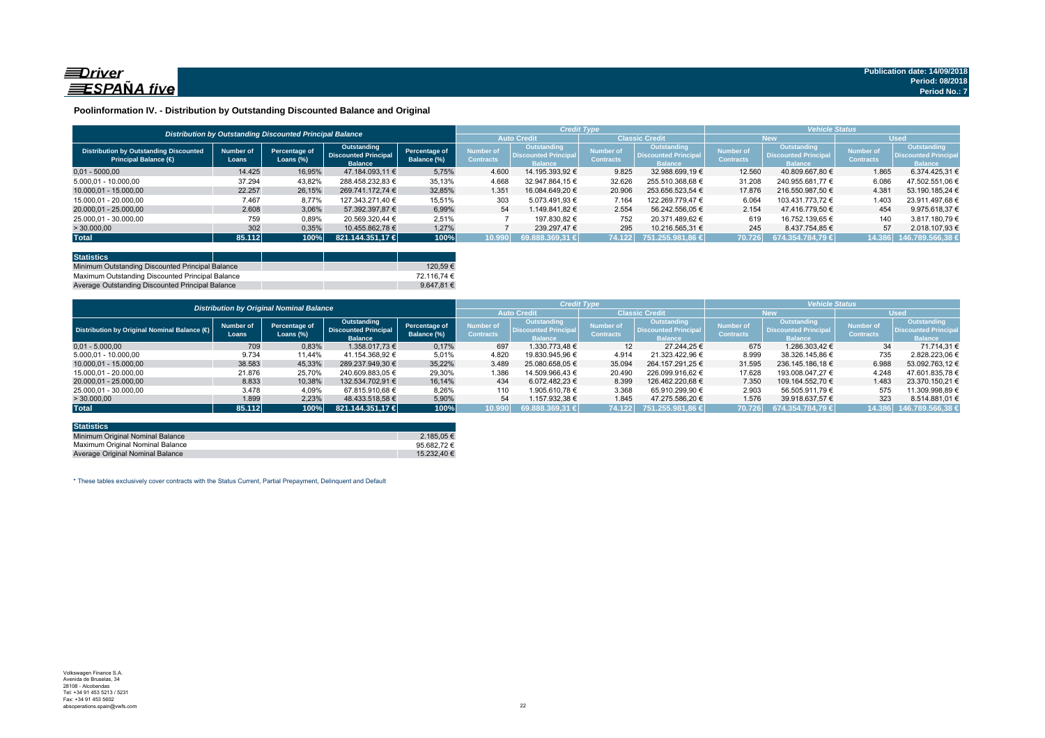

### **Poolinformation IV. - Distribution by Outstanding Discounted Balance and Original**

|                                                                              |                    | Distribution by Outstanding Discounted Principal Balance |                                                                     |                              |                               | <b>Credit Type</b>                                          |                                      |                                                                     | <b>Vehicle Status</b>                |                                                             |                                      |                                                                    |
|------------------------------------------------------------------------------|--------------------|----------------------------------------------------------|---------------------------------------------------------------------|------------------------------|-------------------------------|-------------------------------------------------------------|--------------------------------------|---------------------------------------------------------------------|--------------------------------------|-------------------------------------------------------------|--------------------------------------|--------------------------------------------------------------------|
|                                                                              |                    |                                                          |                                                                     |                              |                               | <b>Auto Credit</b>                                          | <b>Classic Credit</b>                |                                                                     | <b>New</b>                           |                                                             | <b>Used</b>                          |                                                                    |
| <b>Distribution by Outstanding Discounted</b><br><b>Principal Balance (€</b> | Number of<br>Loans | Percentage of<br>Loans $(\%)$                            | <b>Outstanding</b><br><b>Discounted Principal</b><br><b>Balance</b> | Percentage of<br>Balance (%) | Number of<br><b>Contracts</b> | <b>Outstanding</b><br><b>Discounted Principa</b><br>Ralance | <b>Number of</b><br><b>Contracts</b> | <b>Outstanding</b><br><b>Discounted Principal</b><br><b>Ralance</b> | <b>Number of</b><br><b>Contracts</b> | Outstanding<br><b>Discounted Principa</b><br><b>Ralance</b> | <b>Number of</b><br><b>Contracts</b> | <b>Outstanding</b><br><b>Discounted Principa</b><br><b>Ralance</b> |
| $0.01 - 5000.00$                                                             | 14.425             | 16,95%                                                   | 47.184.093.11 €                                                     | 5.75%                        | 4.600                         | 14.195.393.92 €                                             | 9.825                                | 32.988.699.19 €                                                     | 12.560                               | 40.809.667.80 €                                             | 1.865                                | 6.374.425.31 €                                                     |
| 5.000.01 - 10.000.00                                                         | 37.294             | 43.82%                                                   | 288.458.232.83 €                                                    | 35.13%                       | 4.668                         | 32.947.864.15 €                                             | 32.626                               | 255.510.368.68 €                                                    | 31.208                               | 240.955.681.77 €                                            | 6.086                                | 47.502.551.06 €                                                    |
| 10.000.01 - 15.000.00                                                        | 22.257             | 26.15%                                                   | 269.741.172.74 €                                                    | 32,85%                       | 1.351                         | 16.084.649.20 €                                             | 20.906                               | 253.656.523.54 €                                                    | 17.876                               | 216.550.987.50 €                                            | 4.381                                | 53.190.185.24 €                                                    |
| 15.000.01 - 20.000.00                                                        | 7.467              | 8.77%                                                    | 127.343.271.40 €                                                    | 15,51%                       | 303                           | 5.073.491.93 €                                              | 7.164                                | 122.269.779.47 €                                                    | 6.064                                | 103.431.773.72 €                                            | 1.403                                | 23.911.497.68 €                                                    |
| 20.000,01 - 25.000,00                                                        | 2.608              | 3,06%                                                    | 57.392.397.87 €                                                     | 6,99%                        | 54                            | 1.149.841.82 €                                              | 2.554                                | 56.242.556.05 €                                                     | 2.154                                | 47.416.779.50 €                                             | 454                                  | 9.975.618.37 €                                                     |
| 25.000.01 - 30.000.00                                                        | 759                | 0,89%                                                    | 20.569.320.44 €                                                     | 2,51%                        |                               | 197.830.82 €                                                | 752                                  | 20.371.489.62 €                                                     | 619                                  | 16.752.139.65 €                                             | 140                                  | 3.817.180.79 €                                                     |
| > 30.000,00                                                                  | 302                | 0,35%                                                    | 10.455.862.78 €                                                     | 1.27%                        |                               | 239.297.47 €                                                | 295                                  | 10.216.565.31 €                                                     | 245                                  | 8.437.754.85 €                                              | 57                                   | 2.018.107.93 €                                                     |
| <b>Total</b>                                                                 | 85.112             | 100%                                                     | 821.144.351.17 €                                                    | 100%                         | 10.990                        | 69.888.369.31 €                                             | 74.122                               | 751.255.981.86 €                                                    | 70.726                               | 674.354.784.79 €                                            | 14.386                               | 146.789.566.38 €                                                   |

| <b>Statistics</b>                                |  |             |
|--------------------------------------------------|--|-------------|
| Minimum Outstanding Discounted Principal Balance |  | 120.59€     |
| Maximum Outstanding Discounted Principal Balance |  | 72.116.74 € |
| Average Outstanding Discounted Principal Balance |  | 9.647.81 €  |

|                                             |                                                 |                               |                                                              |                              |                               |                                                                     | <b>Credit Type</b>                   |                                                              |                               | <b>Vehicle Status</b>                                               |                               |                                                             |
|---------------------------------------------|-------------------------------------------------|-------------------------------|--------------------------------------------------------------|------------------------------|-------------------------------|---------------------------------------------------------------------|--------------------------------------|--------------------------------------------------------------|-------------------------------|---------------------------------------------------------------------|-------------------------------|-------------------------------------------------------------|
|                                             | <b>Distribution by Original Nominal Balance</b> |                               |                                                              |                              |                               | <b>Auto Credit</b>                                                  | <b>Classic Credit</b>                |                                                              | <b>New</b>                    |                                                                     | <b>Used</b>                   |                                                             |
| Distribution by Original Nominal Balance (O | <b>Number of</b><br>Loans                       | Percentage of<br>Loans $(\%)$ | Outstanding<br><b>Discounted Principal</b><br><b>Balance</b> | Percentage of<br>Balance (%) | Number of<br><b>Contracts</b> | <b>Outstanding</b><br><b>Discounted Principal</b><br><b>Balance</b> | <b>Number of</b><br><b>Contracts</b> | Outstanding<br><b>Discounted Principal</b><br><b>Balance</b> | Number of<br><b>Contracts</b> | <b>Outstanding</b><br><b>Discounted Principal</b><br><b>Balance</b> | Number of<br><b>Contracts</b> | <b>Outstanding</b><br>Discounted Principa<br><b>Balance</b> |
| $0.01 - 5.000.00$                           | 709                                             | 0,83%                         | 1.358.017.73 €                                               | 0,17%                        | 697                           | 1.330.773.48 €                                                      | 12                                   | 27.244.25 €                                                  | 675                           | 1.286.303.42 €                                                      | 34                            | 71.714.31 €                                                 |
| 5.000,01 - 10.000,00                        | 9.734                                           | 11,44%                        | 41.154.368,92 €                                              | 5,01%                        | 4.820                         | 19.830.945.96 €                                                     | 4.914                                | 21.323.422.96 €                                              | 8.999                         | 38.326.145.86 €                                                     | 735                           | 2.828.223.06 €                                              |
| 10.000.01 - 15.000.00                       | 38.583                                          | 45,33%                        | 289.237.949,30 €                                             | 35.22%                       | 3.489                         | 25.080.658.05 €                                                     | 35.094                               | 264.157.291.25 €                                             | 31.595                        | 236.145.186.18 €                                                    | 6.988                         | 53.092.763.12 €                                             |
| 15.000.01 - 20.000.00                       | 21.876                                          | 25,70%                        | 240.609.883.05 €                                             | 29,30%                       | 1.386                         | 14.509.966.43 €                                                     | 20.490                               | 226.099.916.62 €                                             | 17.628                        | 193.008.047.27 €                                                    | 4.248                         | 47.601.835.78 €                                             |
| 20.000.01 - 25.000.00                       | 8.833                                           | 10,38%                        | 132.534.702.91 €                                             | 16.14%                       | 434                           | 6.072.482.23 €                                                      | 8.399                                | 126.462.220.68 €                                             | 7.350                         | 109.164.552.70 €                                                    | 1.483                         | 23.370.150.21 €                                             |
| 25.000.01 - 30.000.00                       | 3.478                                           | 4,09%                         | 67.815.910.68 €                                              | 8.26%                        | 110                           | 1.905.610.78 €                                                      | 3.368                                | 65.910.299.90 €                                              | 2.903                         | 56.505.911.79 €                                                     | 575                           | 11.309.998.89 €                                             |
| >30.000,00                                  | 1.899                                           | 2,23%                         | 48.433.518.58 €                                              | 5,90%                        | 54                            | 1.157.932.38 €                                                      | 1.845                                | 47.275.586.20 €                                              | 1.576                         | 39.918.637.57 €                                                     | 323                           | 8.514.881.01 €                                              |
| <b>Total</b>                                | 85.112                                          | 100%                          | 821.144.351.17 €                                             | 100%                         | 10.990                        | 69.888.369,31 €                                                     | 74.122                               | 751.255.981.86 €                                             | 70.726                        | 674.354.784.79 €                                                    | 14.386                        | 146.789.566,38                                              |

| <b>Statistics</b>                |                 |
|----------------------------------|-----------------|
| Minimum Original Nominal Balance | 2.185.05 €      |
| Maximum Original Nominal Balance | 95.682.72 $\in$ |
| Average Original Nominal Balance | 15.232.40 €     |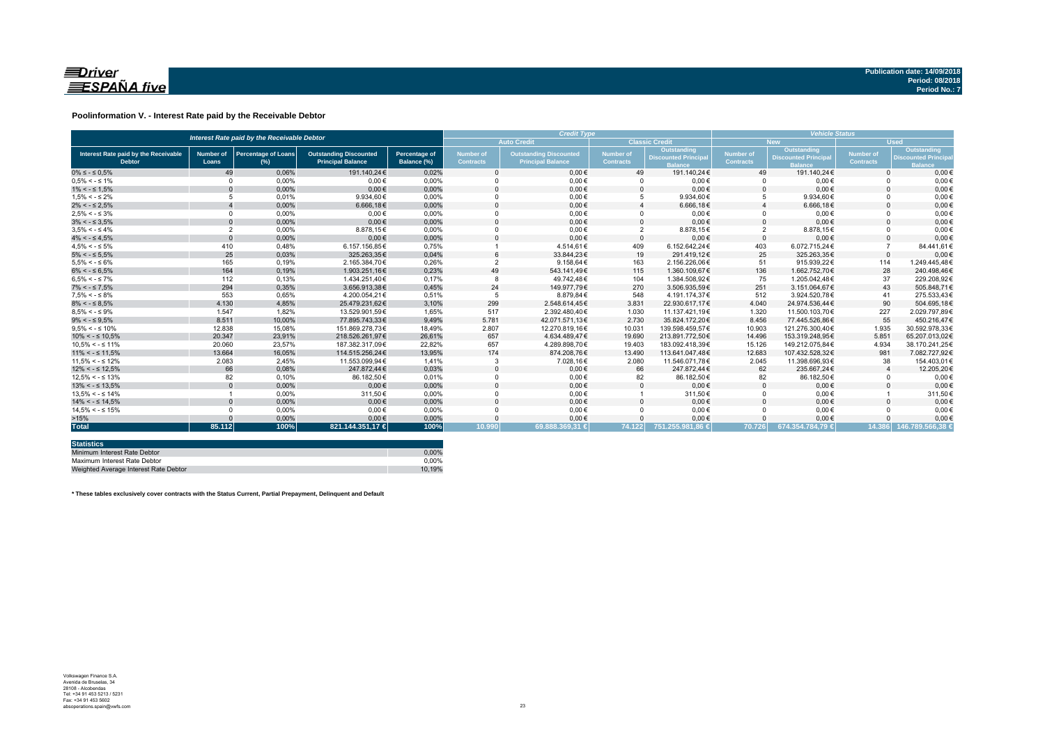

### **Poolinformation V. - Interest Rate paid by the Receivable Debtor**

| Interest Rate paid by the Receivable Debtor           |                           |                                      |                                                           |                                     | <b>Credit Type</b>                   | <b>Vehicle Status</b>                                     |                               |                                                                    |                               |                                                             |                               |                                                            |
|-------------------------------------------------------|---------------------------|--------------------------------------|-----------------------------------------------------------|-------------------------------------|--------------------------------------|-----------------------------------------------------------|-------------------------------|--------------------------------------------------------------------|-------------------------------|-------------------------------------------------------------|-------------------------------|------------------------------------------------------------|
|                                                       |                           |                                      |                                                           |                                     |                                      | <b>Auto Credit</b>                                        |                               | <b>Classic Credit</b>                                              |                               | <b>New</b>                                                  | <b>Used</b>                   |                                                            |
| Interest Rate paid by the Receivable<br><b>Debtor</b> | <b>Number of</b><br>Loans | <b>Percentage of Loans</b><br>$(\%)$ | <b>Outstanding Discounted</b><br><b>Principal Balance</b> | <b>Percentage of</b><br>Balance (%) | <b>Number of</b><br><b>Contracts</b> | <b>Outstanding Discounted</b><br><b>Principal Balance</b> | Number of<br><b>Contracts</b> | <b>Outstanding</b><br><b>Discounted Principa</b><br><b>Balance</b> | Number of<br><b>Contracts</b> | Outstanding<br><b>Discounted Principa</b><br><b>Ralance</b> | Number of<br><b>Contracts</b> | Outstanding<br><b>Discounted Princip</b><br><b>Balance</b> |
| $0\% \leq -\leq 0.5\%$                                | 49                        | 0.06%                                | 191.140.24€                                               | 0.02%                               |                                      | $0.00 \in$                                                | 49                            | 191.140.24€                                                        | 49                            | 191.140.24€                                                 | $\Omega$                      | $0.00 \in$                                                 |
| $0.5\% < -5.1\%$                                      | $\Omega$                  | 0.00%                                | $0.00 \in$                                                | 0.00%                               |                                      | $0.00 \in$                                                |                               | $0.00 \in$                                                         |                               | $0.00 \in$                                                  |                               | $0.00 \in$                                                 |
| $1\% < - \leq 1.5\%$                                  | $\Omega$                  | 0,00%                                | $0.00 \in$                                                | 0,00%                               |                                      | $0,00 \in$                                                |                               | $0,00 \in$                                                         | $\Omega$                      | $0,00 \in$                                                  |                               | $0,00 \in$                                                 |
| $1.5\% < -5.2\%$                                      |                           | 0.01%                                | 9.934.60€                                                 | 0.00%                               |                                      | $0,00 \in$                                                |                               | 9.934.60€                                                          | 5                             | 9.934,60€                                                   |                               | $0,00 \in$                                                 |
| $2\% < - \leq 2.5\%$                                  |                           | 0,00%                                | 6.666,18€                                                 | 0,00%                               |                                      | $0.00 \in$                                                |                               | 6.666,18€                                                          |                               | 6.666,18€                                                   |                               | $0.00 \in$                                                 |
| $2.5\% < -5.3\%$                                      | $\Omega$                  | 0.00%                                | $0.00 \in$                                                | 0.00%                               |                                      | $0.00 \in$                                                |                               | $0.00 \in$                                                         | $\Omega$                      | $0.00 \in$                                                  |                               | $0.00 \in$                                                 |
| $3\% < - \leq 3.5\%$                                  | $\Omega$                  | 0,00%                                | $0.00 \in$                                                | 0,00%                               |                                      | $0.00 \in$                                                |                               | $0.00 \in$                                                         | $\Omega$                      | $0,00 \in$                                                  |                               | $0.00 \in$                                                 |
| $3.5\% < -5.4\%$                                      | $\overline{2}$            | 0.00%                                | 8.878.15€                                                 | 0.00%                               |                                      | $0.00 \in$                                                | $\overline{2}$                | 8.878.15€                                                          | $\overline{2}$                | 8.878,15€                                                   |                               | $0.00 \in$                                                 |
| $4\% < - \leq 4.5\%$                                  | $\Omega$                  | 0.00%                                | $0.00 \in$                                                | 0.00%                               |                                      | $0.00 \in$                                                | $\Omega$                      | $0.00 \in$                                                         | $\Omega$                      | $0.00 \in$                                                  |                               | $0,00 \in$                                                 |
| $4.5\% < -5\%$                                        | 410                       | 0.48%                                | 6.157.156.85€                                             | 0.75%                               |                                      | 4.514.61€                                                 | 409                           | 6.152.642.24€                                                      | 403                           | 6.072.715.24€                                               |                               | 84.441.61€                                                 |
| $5\% < - \leq 5.5\%$                                  | 25                        | 0,03%                                | 325.263.35€                                               | 0,04%                               |                                      | 33.844.23€                                                | 19                            | 291.419.12€                                                        | 25                            | 325.263.35€                                                 | $\Omega$                      | $0,00 \in$                                                 |
| $5.5\% < -5.6\%$                                      | 165                       | 0,19%                                | 2.165.384,70€                                             | 0,26%                               |                                      | 9.158,64 $\in$                                            | 163                           | 2.156.226,06€                                                      | 51                            | 915.939,22€                                                 | 114                           | 1.249.445.48€                                              |
| $6\% < - \leq 6.5\%$                                  | 164                       | 0,19%                                | 1.903.251,16€                                             | 0,23%                               | 49                                   | 543.141,49€                                               | 115                           | 1.360.109.67€                                                      | 136                           | 1.662.752.70€                                               | 28                            | 240.498.46€                                                |
| $6.5\% < -5.7\%$                                      | 112                       | 0.13%                                | 1.434.251.40€                                             | 0.17%                               |                                      | 49.742.48€                                                | 104                           | 1.384.508.92€                                                      | 75                            | 1.205.042.48€                                               | 37                            | 229.208.92€                                                |
| $7\% < - \leq 7.5\%$                                  | 294                       | 0,35%                                | 3.656.913.38€                                             | 0,45%                               | 24                                   | 149.977.79€                                               | 270                           | 3.506.935.59€                                                      | 251                           | 3.151.064.67€                                               | 43                            | 505.848,71€                                                |
| $7.5\% < -5.8\%$                                      | 553                       | 0.65%                                | 4.200.054.21€                                             | 0.51%                               |                                      | 8.879.84€                                                 | 548                           | 4.191.174.37€                                                      | 512                           | 3.924.520.78€                                               | 41                            | 275.533.43€                                                |
| $8\% < - \leq 8.5\%$                                  | 4.130                     | 4,85%                                | 25.479.231,62€                                            | 3,10%                               | 299                                  | 2.548.614.45€                                             | 3.831                         | 22.930.617.17€                                                     | 4.040                         | 24.974.536.44€                                              | 90                            | 504.695.18€                                                |
| $8.5\% < -5.9\%$                                      | 1.547                     | 1.82%                                | 13.529.901.59€                                            | 1.65%                               | 517                                  | 2.392.480.40€                                             | 1.030                         | 11.137.421.19€                                                     | 1.320                         | 11.500.103.70€                                              | 227                           | 2.029.797.89€                                              |
| $9\% < - \leq 9.5\%$                                  | 8.511                     | 10.00%                               | 77.895.743.33€                                            | 9,49%                               | 5.781                                | 42.071.571.13€                                            | 2.730                         | 35.824.172.20€                                                     | 8.456                         | 77.445.526.86€                                              | 55                            | 450.216.47€                                                |
| $9.5\% < -5.10\%$                                     | 12,838                    | 15.08%                               | 151.869.278,73€                                           | 18.49%                              | 2.807                                | 12.270.819.16€                                            | 10.031                        | 139.598.459.57€                                                    | 10.903                        | 121.276.300.40€                                             | 1.935                         | 30.592.978.33€                                             |
| $10\% < -\leq 10.5\%$                                 | 20.347                    | 23,91%                               | 218.526.261.97€                                           | 26,61%                              | 657                                  | 4.634.489,47€                                             | 19,690                        | 213.891.772.50€                                                    | 14,496                        | 153.319.248.95€                                             | 5.851                         | 65.207.013.02€                                             |
| $10.5\% < -5.11\%$                                    | 20.060                    | 23,57%                               | 187.382.317.09€                                           | 22,82%                              | 657                                  | 4.289.898,70€                                             | 19.403                        | 183.092.418.39€                                                    | 15.126                        | 149.212.075.84€                                             | 4.934                         | 38.170.241,25€                                             |
| $11\% < - \leq 11.5\%$                                | 13.664                    | 16,05%                               | 114.515.256.24€                                           | 13,95%                              | 174                                  | 874.208,76€                                               | 13.490                        | 113.641.047,48€                                                    | 12.683                        | 107.432.528.32€                                             | 981                           | 7.082.727,92€                                              |
| $11.5\% < -5.12\%$                                    | 2.083                     | 2.45%                                | 11.553.099.94€                                            | 1.41%                               |                                      | 7.028,16€                                                 | 2.080                         | 11.546.071.78€                                                     | 2.045                         | 11.398.696.93€                                              | 38                            | 154.403.01€                                                |
| $12\% < -512.5\%$                                     | 66                        | 0,08%                                | 247.872,44€                                               | 0,03%                               |                                      | $0,00 \in$                                                | 66                            | 247.872,44€                                                        | 62                            | 235.667,24€                                                 |                               | 12.205,20€                                                 |
| $12.5\% < -5.13\%$                                    | 82                        | 0.10%                                | 86.182.50€                                                | 0.01%                               |                                      | $0.00 \in$                                                | 82                            | 86.182,50€                                                         | 82                            | 86.182,50€                                                  |                               | $0,00 \in$                                                 |
| $13\% < -513.5\%$                                     |                           | 0,00%                                | $0.00 \in$                                                | 0,00%                               |                                      | $0,00 \in$                                                |                               | $0,00 \in$                                                         | $\Omega$                      | $0,00 \in$                                                  |                               | $0,00 \in$                                                 |
| $13.5\% < -5.14\%$                                    |                           | 0.00%                                | 311.50€                                                   | 0.00%                               |                                      | $0.00 \in$                                                |                               | 311.50€                                                            | $\Omega$                      | $0.00 \in$                                                  |                               | 311,50€                                                    |
| $14\% < -5.14.5\%$                                    |                           | 0.00%                                | $0.00 \in$                                                | 0.00%                               |                                      | $0.00 \in$                                                |                               | $0.00 \in$                                                         | $\Omega$                      | $0.00 \in$                                                  |                               | $0,00 \in$                                                 |
| $14.5\% < -5.15\%$                                    |                           | 0.00%                                | $0.00 \in$                                                | 0.00%                               |                                      | $0.00 \in$                                                |                               | $0.00 \in$                                                         | $\Omega$                      | $0.00 \in$                                                  |                               | $0.00 \in$                                                 |
| >15%                                                  |                           | 0,00%                                | $0.00 \in$                                                | 0,00%                               |                                      | $0,00 \in$                                                |                               | $0,00 \in$                                                         |                               | $0.00 \in$                                                  |                               | $0,00 \in$                                                 |
| <b>Total</b>                                          | 85.112                    | 100%                                 | 821.144.351,17 €                                          | 100%                                | 10.990                               | 69.888.369.31 €                                           | 74.122                        | 751.255.981.86 €                                                   | 70.726                        | 674.354.784.79 €                                            |                               | 14.386 146.789.566.38 €                                    |

| <b>Statistics</b>                     |        |
|---------------------------------------|--------|
| Minimum Interest Rate Debtor          | 0.00%  |
| Maximum Interest Rate Debtor          | 0.00%  |
| Weighted Average Interest Rate Debtor | 10.19% |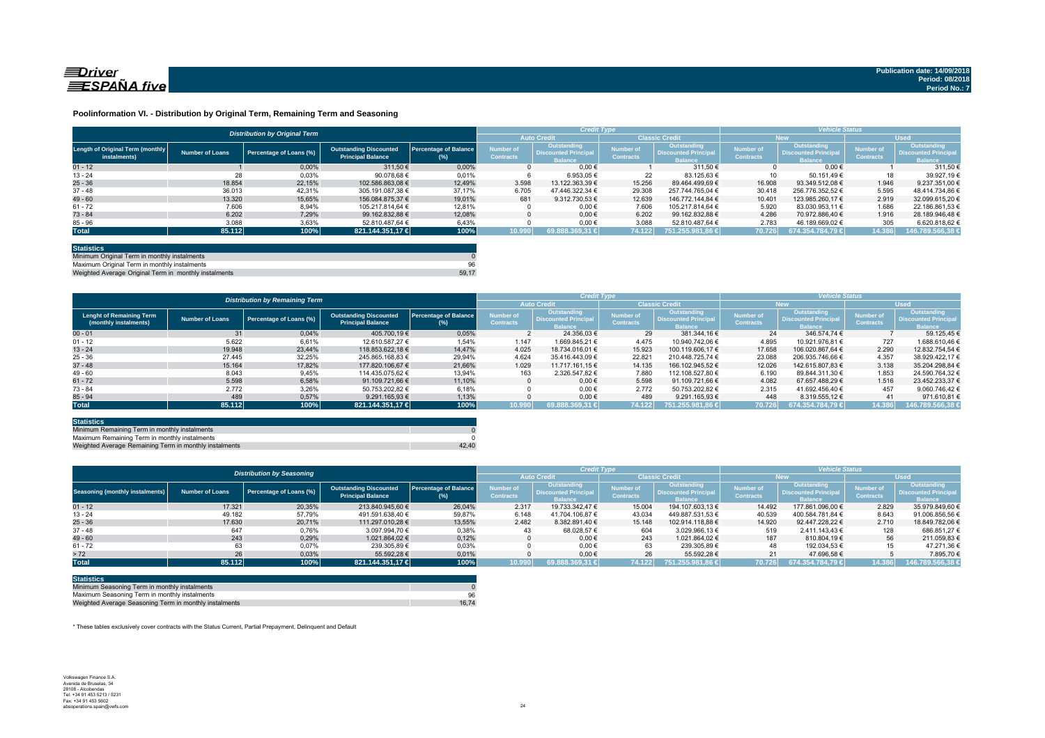

#### **Poolinformation VI. - Distribution by Original Term, Remaining Term and Seasoning**

|                                                  |                 | <b>Distribution by Original Term</b> |                                                           |                              |                                      | <b>Credit Type</b>                                          |                               |                                                             |                                      | <b>Vehicle Status</b>                                       |                                      |                                                             |
|--------------------------------------------------|-----------------|--------------------------------------|-----------------------------------------------------------|------------------------------|--------------------------------------|-------------------------------------------------------------|-------------------------------|-------------------------------------------------------------|--------------------------------------|-------------------------------------------------------------|--------------------------------------|-------------------------------------------------------------|
|                                                  |                 |                                      |                                                           |                              | <b>Auto Credit</b>                   |                                                             | <b>Classic Credit</b>         |                                                             | <b>New</b>                           |                                                             | <b>Used</b>                          |                                                             |
| Length of Original Term (monthly<br>instalments) | Number of Loans | Percentage of Loans (%)              | <b>Outstanding Discounted</b><br><b>Principal Balance</b> | Percentage of Balance<br>(%) | <b>Number of</b><br><b>Contracts</b> | Outstanding<br><b>Discounted Principa</b><br><b>Balance</b> | Number of<br><b>Contracts</b> | Outstanding<br><b>Discounted Principa</b><br><b>Balance</b> | <b>Number of</b><br><b>Contracts</b> | Outstanding<br><b>Discounted Principa</b><br><b>Ralance</b> | <b>Number of</b><br><b>Contracts</b> | Outstanding<br><b>Discounted Principa</b><br><b>Balance</b> |
| $01 - 12$                                        |                 | 0.00%                                | 311.50 €                                                  | 0.00%                        |                                      | $0.00 \in$                                                  |                               | 311.50 €                                                    |                                      | $0.00 \in$                                                  |                                      | 311.50 €                                                    |
| $13 - 24$                                        | 28              | 0,03%                                | 90.078.68 €                                               | 0.01%                        |                                      | 6.953.05 €                                                  | 22                            | 83.125.63 €                                                 |                                      | 50.151.49 €                                                 | 18                                   | 39.927.19 €                                                 |
| $25 - 36$                                        | 18.854          | 22.15%                               | 102.586.863.08 €                                          | 12.49%                       | 3.598                                | 13.122.363.39 €                                             | 15.256                        | 89.464.499.69 €                                             | 16.908                               | 93.349.512.08 €                                             | 1.946                                | 9.237.351.00 €                                              |
| $37 - 48$                                        | 36.013          | 42.31%                               | 305.191.087.38 €                                          | 37.17%                       | 6.705                                | 47.446.322.34 €                                             | 29.308                        | 257.744.765.04 €                                            | 30.418                               | 256.776.352.52 €                                            | 5.595                                | 48.414.734.86 €                                             |
| $49 - 60$                                        | 13.320          | 15.65%                               | 156.084.875.37 €                                          | 19.01%                       | 681                                  | 9.312.730.53 €                                              | 12.639                        | 146.772.144.84 €                                            | 10.401                               | 123.985.260.17 €                                            | 2.919                                | 32.099.615.20 €                                             |
| $61 - 72$                                        | 7.606           | 8,94%                                | 105.217.814.64 €                                          | 12.81%                       |                                      | $0.00 \in$                                                  | 7.606                         | 105.217.814.64 €                                            | 5.920                                | 83.030.953,11 €                                             | 1.686                                | 22.186.861.53 €                                             |
| $73 - 84$                                        | 6.202           | 7.29%                                | 99.162.832.88 €                                           | 12.08%                       |                                      | $0.00 \in$                                                  | 6.202                         | 99.162.832.88 €                                             | 4.286                                | 70.972.886.40 €                                             | 1.916                                | 28.189.946.48 €                                             |
| $85 - 96$                                        | 3.088           | 3,63%                                | 52.810.487.64 €                                           | 6.43%                        |                                      | $0,00 \in$                                                  | 3.088                         | 52.810.487.64 €                                             | 2.783                                | 46.189.669,02 €                                             | 305                                  | 6.620.818,62 €                                              |
| <b>Total</b>                                     | 85.112          | 100%                                 | 821.144.351,17 €                                          | 100%                         | 10.990                               | $69.888.369.31 \in$                                         | 74.122                        | 751.255.981.86 €                                            | 70.726                               | 1674.354.784.79 €                                           | 14.386                               | 146.789.566,38 €                                            |

| <b>Statistics</b>                                     |       |
|-------------------------------------------------------|-------|
| Minimum Original Term in monthly instalments          |       |
| Maximum Original Term in monthly instalments          | 96    |
| Weighted Average Original Term in monthly instalments | 59.17 |

Weighted Average Original Term in monthly install

|                                                          |                        | <b>Distribution by Remaining Term</b> |                                                           |                              |                               | <b>Credit Type</b>                                           |                               |                                                       |                                      | <b>Vehicle Status</b>                                        |                               |                                                                     |
|----------------------------------------------------------|------------------------|---------------------------------------|-----------------------------------------------------------|------------------------------|-------------------------------|--------------------------------------------------------------|-------------------------------|-------------------------------------------------------|--------------------------------------|--------------------------------------------------------------|-------------------------------|---------------------------------------------------------------------|
|                                                          |                        |                                       |                                                           |                              | <b>Auto Credit</b>            |                                                              | <b>Classic Credita</b>        |                                                       |                                      | <b>New</b>                                                   | <b>Used</b>                   |                                                                     |
| <b>Lenght of Remaining Term</b><br>(monthly instalments) | <b>Number of Loans</b> | Percentage of Loans (%)               | <b>Outstanding Discounted</b><br><b>Principal Balance</b> | Percentage of Balance<br>(%) | Number of<br><b>Contracts</b> | Outstanding<br><b>Discounted Principal</b><br><b>Balance</b> | Number of<br><b>Contracts</b> | Outstanding<br>Discounted Principal<br><b>Balance</b> | <b>Number of</b><br><b>Contracts</b> | Outstanding<br><b>Discounted Principal</b><br><b>Balance</b> | Number of<br><b>Contracts</b> | <b>Outstanding</b><br><b>Discounted Principal</b><br><b>Balance</b> |
| $00 - 01$                                                | 31                     | 0,04%                                 | 405.700.19 €                                              | 0.05%                        |                               | 24.356.03 €                                                  | 29                            | 381.344.16 €                                          | 24                                   | 346.574.74 €                                                 |                               | 59.125.45 €                                                         |
| $01 - 12$                                                | 5.622                  | 6,61%                                 | 12.610.587.27 €                                           | 1.54%                        | 1.147                         | 1.669.845.21 €                                               | 4.475                         | 10.940.742.06 €                                       | 4.895                                | 10.921.976.81 €                                              | 727                           | 1.688.610.46 6                                                      |
| $13 - 24$                                                | 19.948                 | 23.44%                                | 118.853.622.18 €                                          | 14.47%                       | 4.025                         | 18.734.016.01 €                                              | 15.923                        | 100.119.606.17 €                                      | 17.658                               | 106.020.867.64 €                                             | 2.290                         | 12.832.754.54 €                                                     |
| $25 - 36$                                                | 27.445                 | 32.25%                                | 245.865.168.83 €                                          | 29,94%                       | 4.624                         | 35.416.443.09 €                                              | 22.821                        | 210.448.725.74 €                                      | 23.088                               | 206.935.746.66 €                                             | 4.357                         | 38.929.422,17 €                                                     |
| $37 - 48$                                                | 15.164                 | 17.82%                                | 177.820.106.67 €                                          | 21.66%                       | 1.029                         | 11.717.161.15 €                                              | 14.135                        | 166.102.945.52 €                                      | 12.026                               | 142.615.807.83 €                                             | 3.138                         | 35.204.298.84 €                                                     |
| $49 - 60$                                                | 8.043                  | 9,45%                                 | 114.435.075.62 €                                          | 13.94%                       | 163                           | 2.326.547.82 €                                               | 7.880                         | 112.108.527.80 €                                      | 6.190                                | 89.844.311.30 €                                              | 1.853                         | 24.590.764.32 €                                                     |
| $61 - 72$                                                | 5.598                  | 6,58%                                 | 91.109.721.66 €                                           | 11.10%                       |                               | $0.00 \in$                                                   | 5.598                         | 91.109.721.66 €                                       | 4.082                                | 67.657.488.29 €                                              | 1.516                         | 23.452.233.37 €                                                     |
| $73 - 84$                                                | 2.772                  | 3,26%                                 | 50.753.202.82 €                                           | 6,18%                        |                               | $0.00 \in$                                                   | 2.772                         | 50.753.202.82 €                                       | 2.315                                | 41.692.456.40 €                                              | 457                           | 9.060.746,42 €                                                      |
| $85 - 94$                                                | 489                    | 0.57%                                 | 9.291.165.93 €                                            | 1.13%                        |                               | $0.00 \in$                                                   | 489                           | 9.291.165.93 €                                        | 448                                  | 8.319.555.12 €                                               | 41                            | 971.610.81 €                                                        |
| <b>Total</b>                                             | 85.112                 | 100%                                  | 821.144.351,17 €                                          | 100%                         | 10.990                        | $69.888.369.31 \in$                                          | 74.122                        | 751.255.981.86 €                                      | 70.726                               | 674.354.784,79 €                                             | 14.386                        | 146.789.566,38 €                                                    |

| <b>Statistics</b>                                      |       |
|--------------------------------------------------------|-------|
| Minimum Remaining Term in monthly instalments          |       |
| Maximum Remaining Term in monthly instalments          |       |
| Weighted Average Remaining Term in monthly instalments | 42.40 |

|                                        |                        | <b>Distribution by Seasoning</b> |                                                           |                              |                                      | <b>Credit Type</b>                                    |                                      |                                                              |                                      | <b>Vehicle Status</b>                                       |                                      |                                                              |
|----------------------------------------|------------------------|----------------------------------|-----------------------------------------------------------|------------------------------|--------------------------------------|-------------------------------------------------------|--------------------------------------|--------------------------------------------------------------|--------------------------------------|-------------------------------------------------------------|--------------------------------------|--------------------------------------------------------------|
|                                        |                        |                                  |                                                           | <b>Auto Credit</b>           |                                      | <b>Classic Credit</b>                                 |                                      | New.                                                         |                                      | <b>Used</b>                                                 |                                      |                                                              |
| <b>Seasoning (monthly instalments)</b> | <b>Number of Loans</b> | Percentage of Loans (%)          | <b>Outstanding Discounted</b><br><b>Principal Balance</b> | Percentage of Balance<br>(%) | <b>Number of</b><br><b>Contracts</b> | Outstanding<br>Discounted Principal<br><b>Balance</b> | <b>Number of</b><br><b>Contracts</b> | Outstanding<br><b>Discounted Principal</b><br><b>Balance</b> | <b>Number of</b><br><b>Contracts</b> | Outstanding<br><b>Discounted Principa</b><br><b>Balance</b> | <b>Number of</b><br><b>Contracts</b> | Outstanding<br><b>Discounted Principal</b><br><b>Balance</b> |
| $01 - 12$                              | 17.321                 | 20,35%                           | 213.840.945.60 €                                          | 26,04%                       | 2.317                                | 19.733.342.47 €                                       | 15.004                               | 194.107.603.13 €                                             | 14.492                               | 177.861.096.00 €                                            | 2.829                                | 35.979.849.60 €                                              |
| $13 - 24$                              | 49.182                 | 57,79%                           | 491.591.638.40 €                                          | 59,87%                       | 6.148                                | 41.704.106.87 €                                       | 43.034                               | 449.887.531.53 €                                             | 40.539                               | 400.584.781.84 €                                            | 8.643                                | 91.006.856,56 €                                              |
| $25 - 36$                              | 17.630                 | 20,71%                           | 111.297.010.28 €                                          | 13,55%                       | 2.482                                | 8.382.891.40 €                                        | 15.148                               | 102.914.118.88 €                                             | 14.920                               | 92.447.228.22 €                                             | 2.710                                | 18.849.782.06 €                                              |
| $37 - 48$                              | 647                    | 0,76%                            | 3.097.994.70 €                                            | 0,38%                        | 43                                   | 68.028.57 €                                           | 604                                  | 3.029.966.13 €                                               | 519                                  | 2.411.143.43 €                                              | 128                                  | 686.851.27 €                                                 |
| $49 - 60$                              | 243                    | 0.29%                            | 1.021.864.02 €                                            | 0.12%                        |                                      | $0.00 \in$                                            | 243                                  | 1.021.864.02 €                                               | 187                                  | 810.804.19 €                                                | 56                                   | 211.059.83 €                                                 |
| $61 - 72$                              | 63                     | 0,07%                            | 239.305,89 €                                              | 0,03%                        |                                      | $0.00 \in$                                            | 63                                   | 239.305.89 €                                                 | 48                                   | 192.034.53 €                                                |                                      | 47.271.36 €                                                  |
| > 72                                   | 26                     | 0.03%                            | 55.592.28 €                                               | 0,01%                        |                                      | $0.00 \in$                                            | 26                                   | 55.592.28 €                                                  |                                      | 47.696.58 €                                                 |                                      | 7.895.70 €                                                   |
| <b>Total</b>                           | 85.112                 | 100%                             | 821.144.351.17 €                                          | 100%                         | 10.990                               | 69.888.369.31 €                                       | 74.122                               | l 751.255.981.86 € '                                         | 70.726                               | $674.354.784.79 \in$                                        | 14.386                               | 146.789.566,38                                               |

| <b>Statistics</b>                                      |       |
|--------------------------------------------------------|-------|
| Minimum Seasoning Term in monthly instalments          |       |
| Maximum Seasoning Term in monthly instalments          | 96    |
| Weighted Average Seasoning Term in monthly instalments | 16.74 |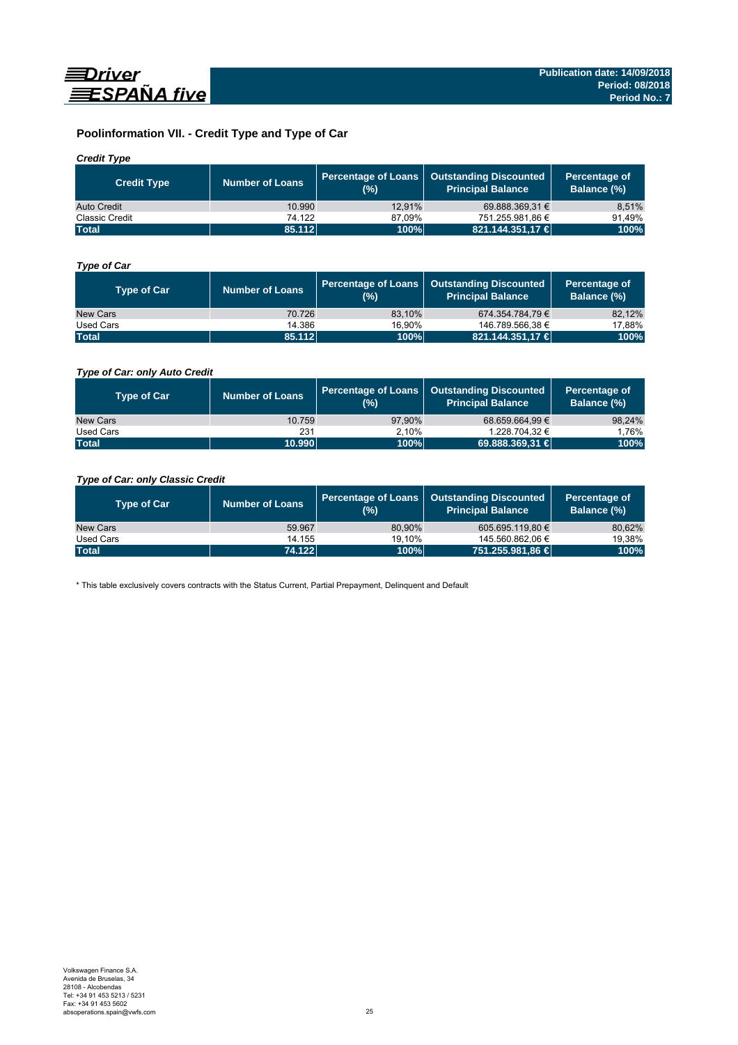

## **Poolinformation VII. - Credit Type and Type of Car**

### *Credit Type*

| <b>Credit Type</b> | <b>Number of Loans</b> | (%)    | Percentage of Loans   Outstanding Discounted<br>l Principal Balance <sup>'</sup> | Percentage of<br>Balance (%) |
|--------------------|------------------------|--------|----------------------------------------------------------------------------------|------------------------------|
| Auto Credit        | 10.990                 | 12.91% | 69.888.369.31 €                                                                  | 8,51%                        |
| Classic Credit     | 74.122                 | 87.09% | 751.255.981.86 €                                                                 | 91.49%                       |
| <b>Total</b>       | 85.112                 | 100%   | 821.144.351,17 €                                                                 | 100%                         |

### *Type of Car*

| <b>Type of Car</b> | <b>Number of Loans</b> | (%)    | Percentage of Loans   Outstanding Discounted<br><b>Principal Balance</b> | Percentage of<br>Balance (%) |
|--------------------|------------------------|--------|--------------------------------------------------------------------------|------------------------------|
| New Cars           | 70.726                 | 83.10% | 674.354.784.79€                                                          | 82,12%                       |
| Used Cars          | 14.386                 | 16.90% | 146.789.566.38 €                                                         | 17,88%                       |
| <b>Total</b>       | 85.112                 | 100%   | 821.144.351.17 €                                                         | 100%                         |

### *Type of Car: only Auto Credit*

| <b>Type of Car</b> | <b>Number of Loans</b> | (% )   | Percentage of Loans   Outstanding Discounted<br><b>Principal Balance</b> | Percentage of<br>Balance (%) |
|--------------------|------------------------|--------|--------------------------------------------------------------------------|------------------------------|
| New Cars           | 10.759                 | 97.90% | 68.659.664.99 €                                                          | 98,24%                       |
| Used Cars          | 231                    | 2.10%  | 1.228.704.32 €                                                           | 1.76%                        |
| <b>Total</b>       | 10.990                 | 100%   | 69.888.369,31 €                                                          | 100%                         |

### *Type of Car: only Classic Credit*

| <b>Type of Car</b> | <b>Number of Loans</b> | (%)    | Percentage of Loans   Outstanding Discounted<br><b>Principal Balance</b> | Percentage of<br>Balance (%) |
|--------------------|------------------------|--------|--------------------------------------------------------------------------|------------------------------|
| New Cars           | 59.967                 | 80.90% | 605.695.119.80 €                                                         | 80,62%                       |
| Used Cars          | 14.155                 | 19.10% | 145.560.862.06 €                                                         | 19,38%                       |
| <b>Total</b>       | 74.122                 | 100%   | 751.255.981,86 €                                                         | 100%                         |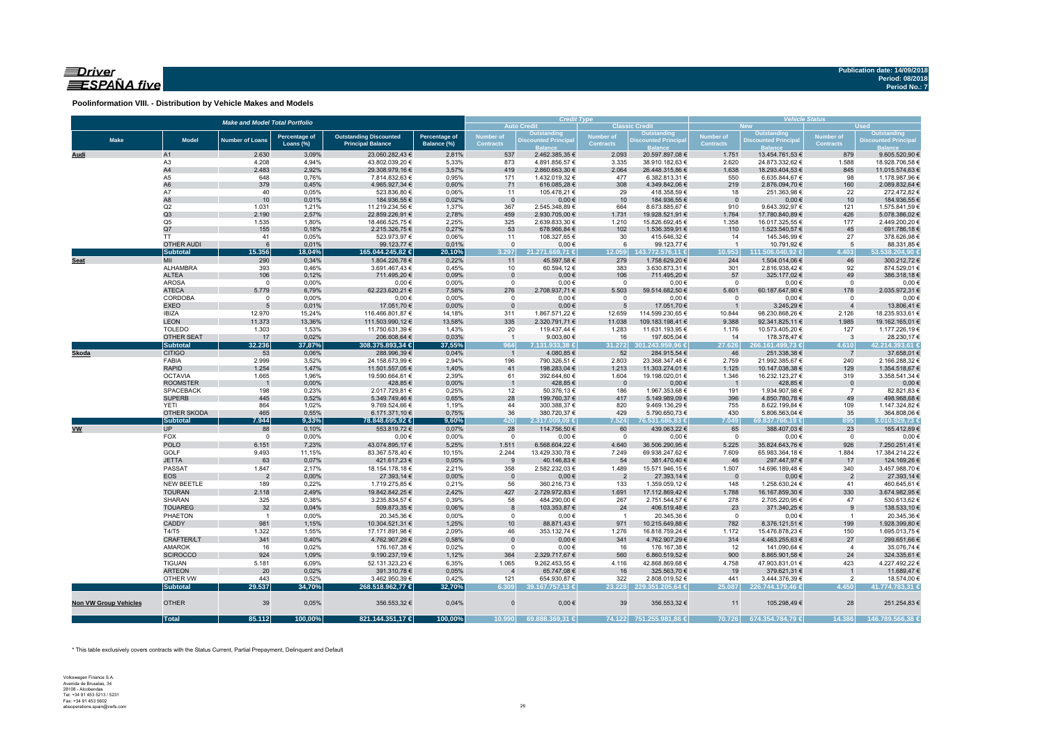### $\equiv$ Driver ESPAÑA five

**Poolinformation VIII. - Distribution by Vehicle Makes and Models**

|                              |                                | <b>Make and Model Total Portfolio</b> |                      |                                  |                | <b>Credit Type</b> |                                   |                                   | <b>Vehicle Status</b><br><b>Used</b><br><b>New</b> |                                |                                  |                                      |                                  |  |  |
|------------------------------|--------------------------------|---------------------------------------|----------------------|----------------------------------|----------------|--------------------|-----------------------------------|-----------------------------------|----------------------------------------------------|--------------------------------|----------------------------------|--------------------------------------|----------------------------------|--|--|
|                              |                                |                                       |                      |                                  |                |                    | <b>Auto Credit</b><br>Outstanding |                                   | <b>Classic Credit</b><br>Outstanding               |                                | Outstanding                      |                                      | <b>Outstanding</b>               |  |  |
| <b>Make</b>                  | <b>Model</b>                   | <b>Number of Loans</b>                | <b>Percentage of</b> | <b>Outstanding Discounted</b>    | Percentage of  | <b>Number of</b>   | <b>Discounted Principa</b>        | Number of                         | <b>Discounted Principa</b>                         | Number of<br><b>Contracts</b>  | <b>Discounted Principal</b>      | <b>Number of</b><br><b>Contracts</b> | <b>Discounted Principal</b>      |  |  |
|                              |                                |                                       | Loans (%)            | <b>Principal Balance</b>         | Balance (%)    | <b>Contracts</b>   |                                   | <b>Contracts</b>                  |                                                    |                                |                                  |                                      |                                  |  |  |
| Audi                         | A1                             | 2.630                                 | 3,09%                | 23.060.282,43 €                  | 2,81%          | 537                | 2.462.385,35 €                    | 2.093                             | 20.597.897,08 €                                    | 1.751                          | 13.454.761,53 €                  | 879                                  | 9.605.520,90 €                   |  |  |
|                              | A <sub>3</sub>                 | 4.208                                 | 4,94%                | 43.802.039,20 €                  | 5,33%          | 873                | 4.891.856,57 €                    | 3.335                             | 38.910.182,63 €                                    | 2.620                          | 24.873.332,62 €                  | 1.588                                | 18.928.706,58 €                  |  |  |
|                              | A4                             | 2.483                                 | 2,92%                | 29.308.979,16 €                  | 3,57%          | 419                | 2.860.663,30 €                    | 2.064                             | 26.448.315,86 €                                    | 1.638                          | 18.293.404,53 €                  | 845                                  | 11.015.574,63 €                  |  |  |
|                              | A5<br>A <sub>6</sub>           | 648<br>379                            | 0,76%<br>0,45%       | 7.814.832,63 €<br>4.965.927,34 € | 0,95%<br>0,60% | 171<br>71          | 1.432.019,32 €<br>616.085,28€     | 477<br>308                        | 6.382.813,31 €<br>4.349.842,06 €                   | 550<br>219                     | 6.635.844,67 €<br>2.876.094,70 € | 98<br>160                            | 1.178.987,96 €<br>2.089.832,64 € |  |  |
|                              | A7                             | 40                                    | 0,05%                | 523.836,80 €                     | 0,06%          | 11                 | 105.478,21 €                      | 29                                | 418.358,59€                                        | 18                             | 251.363,98 €                     | 22                                   | 272.472,82 €                     |  |  |
|                              | A8                             | 10                                    | 0,01%                | 184.936,55 €                     | 0,02%          | $\mathbf{0}$       | $0,00 \in$                        | 10                                | 184.936,55 €                                       | $\overline{0}$                 | $0,00 \in$                       | 10                                   | 184.936,55 €                     |  |  |
|                              | Q2                             | 1.031                                 | 1,21%                | 11.219.234,56 €                  | 1,37%          | 367                | 2.545.348,89 €                    | 664                               | 8.673.885,67 €                                     | 910                            | 9.643.392,97 €                   | 121                                  | 1.575.841,59 €                   |  |  |
|                              | Q3                             | 2.190                                 | 2,57%                | 22.859.226,91 €                  | 2,78%          | 459                | 2.930.705,00 €                    | 1.731                             | 19.928.521,91 €                                    | 1.764                          | 17.780.840,89 €                  | 426                                  | 5.078.386,02 €                   |  |  |
|                              | Q <sub>5</sub>                 | 1.535                                 | 1,80%                | 18.466.525,75 €                  | 2,25%          | 325                | 2.639.833,30 €                    | 1.210                             | 15.826.692,45 €                                    | 1.358                          | 16.017.325,55 €                  | 177                                  | 2.449.200,20 €                   |  |  |
|                              | Q7                             | 155                                   | 0,18%                | 2.215.326,75 €                   | 0,27%          | 53                 | 678.966,84 €                      | 102                               | 1.536.359,91 €                                     | 110                            | 1.523.540,57 €                   | 45                                   | 691.786,18€                      |  |  |
|                              | <b>TT</b>                      | 41                                    | 0,05%                | 523.973,97 €                     | 0,06%          | 11                 | 108.327,65 €                      | 30                                | 415.646,32 €                                       | 14                             | 145.346,99 €                     | 27                                   | 378.626,98€                      |  |  |
|                              | <b>OTHER AUDI</b>              | $6\phantom{1}6$                       | 0,01%                | 99.123,77 €                      | 0,01%          | $\mathbf{0}$       | $0,00 \in$                        | 6                                 | 99.123,77 €                                        | $\overline{1}$                 | 10.791,92 €                      | 5                                    | 88.331,85 €                      |  |  |
|                              | <b>Subtotal</b>                | 15.356                                | 18,04%               | 165.044.245,82 €                 | 20,10%         | 3.297              | 21.271.669.71 €                   | 12.059                            | 143.772.576,11 €                                   | 10.953                         | 111.506.040.92 €                 | 4.403                                | 53.538.204,90 €                  |  |  |
| <b>Seat</b>                  | MII<br>ALHAMBRA                | 290<br>393                            | 0,34%<br>0,46%       | 1.804.226,78 €                   | 0,22%<br>0,45% | 11<br>10           | 45.597,58 €                       | 279<br>383                        | 1.758.629,20 €<br>3.630.873,31 €                   | 244<br>301                     | 1.504.014,06 €                   | 46<br>92                             | 300.212,72 €<br>874.529,01 €     |  |  |
|                              | <b>ALTEA</b>                   | 106                                   | 0,12%                | 3.691.467,43 €<br>711.495,20 €   | 0,09%          | $\mathbf 0$        | 60.594,12€<br>0,00€               | 106                               | 711.495,20 €                                       | 57                             | 2.816.938,42 €<br>325.177,02 €   | 49                                   | 386.318,18€                      |  |  |
|                              | <b>AROSA</b>                   | $\mathbf 0$                           | 0,00%                | $0,00 \in$                       | 0,00%          | $\mathbf 0$        | $0,00 \in$                        | $\overline{0}$                    | $0,00 \in$                                         | $\overline{0}$                 | $0,00 \in$                       | $\Omega$                             | $0,00 \in$                       |  |  |
|                              | <b>ATECA</b>                   | 5.779                                 | 6,79%                | 62.223.620,21 €                  | 7,58%          | 276                | 2.708.937,71 €                    | 5.503                             | 59.514.682,50 €                                    | 5.601                          | 60.187.647,90 €                  | 178                                  | 2.035.972,31 €                   |  |  |
|                              | CORDOBA                        | $\mathbf 0$                           | 0,00%                | $0,00 \in$                       | 0,00%          | $\mathsf 0$        | $0,00 \in$                        | $\overline{\mathbf{0}}$           | $0,00 \in$                                         | $\overline{0}$                 | $0,00 \in$                       | $\mathbf 0$                          | $0,00 \in$                       |  |  |
|                              | <b>EXEO</b>                    | 5                                     | 0,01%                | 17.051,70 €                      | 0,00%          | $\Omega$           | $0,00 \in$                        | $5\overline{5}$                   | 17.051,70 €                                        |                                | 3.245,29€                        |                                      | 13.806,41€                       |  |  |
|                              | <b>IBIZA</b>                   | 12.970                                | 15,24%               | 116.466.801,87 €                 | 14,18%         | 311                | 1.867.571,22 €                    | 12.659                            | 114.599.230,65 €                                   | 10.844                         | 98.230.868,26 €                  | 2.126                                | 18.235.933,61 €                  |  |  |
|                              | <b>LEON</b>                    | 11.373                                | 13,36%               | 111.503.990,12 €                 | 13,58%         | 335                | 2.320.791,71 €                    | 11.038                            | 109.183.198,41 €                                   | 9.388                          | 92.341.825,11 €                  | 1.985                                | 19.162.165,01 €                  |  |  |
|                              | <b>TOLEDO</b>                  | 1.303                                 | 1,53%                | 11.750.631,39 €                  | 1,43%          | 20                 | 119.437,44 €                      | 1.283                             | 11.631.193,95 €                                    | 1.176                          | 10.573.405,20 €                  | 127                                  | 1.177.226,19€                    |  |  |
|                              | OTHER SEAT                     | 17                                    | 0,02%                | 206.608,64 €                     | 0,03%          | $\overline{1}$     | 9.003,60 $\in$                    | 16                                | 197.605,04 €                                       | 14                             | 178.378,47 €                     | $\overline{\mathbf{3}}$              | 28.230,17€                       |  |  |
|                              | <b>Subtotal</b>                | 32.236                                | 37,87%               | 308.375.893,34 €                 | 37,55%         | 964                | 7.131.933,38 €                    | 31.272                            | 301.243.959,96 €                                   | 27.626                         | 266.161.499,73 €                 | 4.610                                | 42.214.393,61 €                  |  |  |
| Skoda                        | <b>CITIGO</b>                  | 53                                    | 0,06%                | 288.996,39€                      | 0,04%          | $\overline{1}$     | 4.080,85 €                        | 52                                | 284.915,54 €                                       | 46                             | 251.338,38 €                     | $\overline{7}$                       | 37.658,01 €                      |  |  |
|                              | FABIA                          | 2.999                                 | 3,52%                | 24.158.673,99 €                  | 2,94%          | 196                | 790.326,51 €                      | 2.803                             | 23.368.347,48 €                                    | 2.759                          | 21.992.385,67 €                  | 240                                  | 2.166.288,32 €                   |  |  |
|                              | <b>RAPID</b><br><b>OCTAVIA</b> | 1.254                                 | 1,47%<br>1,96%       | 11.501.557,05 €                  | 1,40%<br>2,39% | 41<br>61           | 198.283,04 €                      | 1.213                             | 11.303.274,01 €                                    | 1.125<br>1.346                 | 10.147.038,38 €                  | 129<br>319                           | 1.354.518,67 €<br>3.358.541,34 € |  |  |
|                              | <b>ROOMSTER</b>                | 1.665                                 | 0,00%                | 19.590.664,61 €<br>428,85€       | 0,00%          | $\overline{1}$     | 392.644,60 €<br>428,85€           | 1.604<br>$\overline{\phantom{0}}$ | 19.198.020,01 €<br>$0,00 \in$                      | $\overline{\phantom{0}}$       | 16.232.123,27 €<br>428,85 €      | $\mathbf 0$                          | $0,00 \in$                       |  |  |
|                              | <b>SPACEBACK</b>               | 198                                   | 0,23%                | 2.017.729,81 €                   | 0,25%          | 12                 | 50.376,13€                        | 186                               | 1.967.353,68 €                                     | 191                            | 1.934.907,98 €                   | $\overline{7}$                       | 82.821,83 €                      |  |  |
|                              | <b>SUPERB</b>                  | 445                                   | 0,52%                | 5.349.749,46 €                   | 0,65%          | 28                 | 199.760,37 €                      | 417                               | 5.149.989,09 €                                     | 396                            | 4.850.780,78 €                   | 49                                   | 498.968,68€                      |  |  |
|                              | <b>YETI</b>                    | 864                                   | 1,02%                | 9.769.524,66 €                   | 1,19%          | 44                 | 300.388,37 €                      | 820                               | 9.469.136,29€                                      | 755                            | 8.622.199,84 €                   | 109                                  | 1.147.324,82 €                   |  |  |
|                              | OTHER SKODA                    | 465                                   | 0,55%                | 6.171.371,10 €                   | 0,75%          | 36                 | 380.720,37 €                      | 429                               | 5.790.650,73 €                                     | 430                            | 5.806.563,04 €                   | 35                                   | 364.808,06 €                     |  |  |
|                              | <b>Subtotal</b>                | 7.944                                 | 9,33%                | 78.848.695,92 €                  | 9,60%          | 420                | 2.317.009,09 €                    | 7.524                             | 76.531.686,83 €                                    | 7.049                          | 69.837.766,19 €                  | 895                                  | 9.010.929,73 €                   |  |  |
| <b>VW</b>                    | <b>UP</b>                      | 88                                    | 0,10%                | 553.819,72 €                     | 0,07%          | 28                 | 114.756,50 €                      | 60                                | 439.063,22 €                                       | 65                             | 388.407,03 €                     | 23                                   | 165.412,69 €                     |  |  |
|                              | FOX                            | $\overline{0}$                        | 0,00%                | $0,00 \in$                       | 0,00%          | $\mathbf 0$        | $0,00 \in$                        | $\overline{0}$                    | $0,00 \in$                                         | $\overline{0}$                 | $0,00 \in$                       | $\overline{0}$                       | $0,00$ €                         |  |  |
|                              | <b>POLO</b>                    | 6.151                                 | 7,23%                | 43.074.895,17 €                  | 5,25%          | 1.511              | 6.568.604,22 €                    | 4.640                             | 36.506.290,95 €                                    | 5.225                          | 35.824.643,76 €                  | 926                                  | 7.250.251,41 €                   |  |  |
|                              | GOLF                           | 9.493                                 | 11,15%               | 83.367.578,40 €                  | 10,15%         | 2.244              | 13.429.330,78 €                   | 7.249                             | 69.938.247,62 €                                    | 7.609                          | 65.983.364,18 €                  | 1.884                                | 17.384.214,22 €                  |  |  |
|                              | <b>JETTA</b><br>PASSAT         | 63                                    | 0,07%                | 421.617,23 €                     | 0,05%          | 9<br>358           | 40.146,83 €                       | 54                                | 381.470,40 €                                       | 46                             | 297.447,97 €                     | 17                                   | 124.169,26€<br>3.457.988,70 €    |  |  |
|                              | <b>EOS</b>                     | 1.847<br>$\overline{2}$               | 2,17%<br>0,00%       | 18.154.178,18 €<br>27.393,14 €   | 2,21%<br>0,00% | $\mathbf 0$        | 2.582.232,03 €<br>$0,00 \in$      | 1.489<br>$\overline{2}$           | 15.571.946,15 €<br>27.393,14 €                     | 1.507                          | 14.696.189,48 €<br>$0,00 \in$    | 340<br>$\overline{2}$                | 27.393,14 €                      |  |  |
|                              | NEW BEETLE                     | 189                                   | 0,22%                | 1.719.275,85 €                   | 0,21%          | 56                 | 360.216,73 €                      | 133                               | 1.359.059,12 €                                     | $\overline{\mathbf{0}}$<br>148 | 1.258.630,24 €                   | 41                                   | 460.645,61 €                     |  |  |
|                              | <b>TOURAN</b>                  | 2.118                                 | 2,49%                | 19.842.842,25 €                  | 2,42%          | 427                | 2.729.972,83 €                    | 1.691                             | 17.112.869,42 €                                    | 1.788                          | 16.167.859,30 €                  | 330                                  | 3.674.982,95 €                   |  |  |
|                              | SHARAN                         | 325                                   | 0,38%                | 3.235.834,57 €                   | 0,39%          | 58                 | 484.290,00 €                      | 267                               | 2.751.544,57 €                                     | 278                            | 2.705.220,95 €                   | 47                                   | 530.613,62€                      |  |  |
|                              | <b>TOUAREG</b>                 | 32                                    | 0,04%                | 509.873,35 €                     | 0,06%          | 8                  | 103.353,87 €                      | 24                                | 406.519,48€                                        | 23                             | 371.340,25 €                     | 9                                    | 138.533,10 €                     |  |  |
|                              | PHAETON                        | $\overline{1}$                        | 0,00%                | 20.345,36 €                      | 0,00%          | $^{\circ}$         | $0,00 \in$                        | $\overline{1}$                    | 20.345,36 €                                        | $\overline{\mathbf{0}}$        | $0,00 \in$                       | $\overline{1}$                       | 20.345,36 €                      |  |  |
|                              | CADDY                          | 981                                   | 1,15%                | 10.304.521,31 €                  | 1,25%          | 10                 | 88.871,43 €                       | 971                               | 10.215.649,88 €                                    | 782                            | 8.376.121,51 €                   | 199                                  | 1.928.399,80 €                   |  |  |
|                              | T4/T5                          | 1.322                                 | 1,55%                | 17.171.891,98 €                  | 2,09%          | 46                 | 353.132,74 €                      | 1.276                             | 16.818.759,24 €                                    | 1.172                          | 15.476.878,23 €                  | 150                                  | 1.695.013,75 €                   |  |  |
|                              | CRAFTER/LT                     | 341                                   | 0,40%                | 4.762.907,29 €                   | 0,58%          | $\overline{0}$     | $0,00 \in$                        | 341                               | 4.762.907,29 €                                     | 314                            | 4.463.255,63 €                   | 27                                   | 299.651,66 €                     |  |  |
|                              | <b>AMAROK</b>                  | 16                                    | 0,02%                | 176.167,38 €                     | 0,02%          | $\mathsf 0$        | $0,00 \in$                        | 16                                | 176.167,38 €                                       | 12                             | 141.090,64 €                     | $\overline{4}$                       | 35.076,74 €                      |  |  |
|                              | <b>SCIROCCO</b>                | 924                                   | 1,09%                | 9.190.237,19€                    | 1,12%          | 364                | 2.329.717,67 €                    | 560                               | 6.860.519,52€                                      | 900                            | 8.865.901,58 €                   | 24                                   | 324.335,61 €                     |  |  |
|                              | <b>TIGUAN</b>                  | 5.181                                 | 6,09%                | 52.131.323,23 €                  | 6,35%          | 1.065              | 9.262.453,55 €                    | 4.116                             | 42.868.869,68 €                                    | 4.758                          | 47.903.831,01 €                  | 423                                  | 4.227.492,22 €                   |  |  |
|                              | <b>ARTEON</b>                  | 20                                    | 0,02%                | 391.310,78 €                     | 0,05%          | $\overline{4}$     | 65.747,08 €                       | 16                                | 325.563,70 €                                       | 19                             | 379.621,31 €                     | $\overline{1}$                       | 11.689,47€                       |  |  |
|                              | OTHER VW                       | 443                                   | 0,52%                | 3.462.950,39 €                   | 0,42%          | 121                | 654.930,87 €                      | 322                               | 2.808.019,52 €                                     | 441                            | 3.444.376,39 €                   | $\overline{2}$                       | 18.574,00 €                      |  |  |
|                              | <b>Subtotal</b>                | 29.537                                | 34,70%               | 268.518.962,77 €                 | 32,70%         | 6.309              | 39.167.757,13 €                   |                                   | 23.228 229.351.205,64 €                            | 25.087                         | 226.744.179,46 €                 | 4.450                                | 41.774.783,31 €                  |  |  |
| <b>Non VW Group Vehicles</b> | <b>OTHER</b>                   | 39                                    | 0,05%                | 356.553,32 €                     | 0,04%          | $\Omega$           | $0,00 \in$                        | 39                                | 356.553,32 €                                       | 11                             | 105.298,49€                      | 28                                   | 251.254,83 €                     |  |  |
|                              | <b>Total</b>                   | 85.112                                | 100,00%              | 821.144.351,17 €                 | 100,00%        | 10.990             | 69.888.369,31 €                   |                                   | 74.122 751.255.981,86 €                            | 70.726                         | 674.354.784,79 €                 | 14.386                               | 146.789.566,38 €                 |  |  |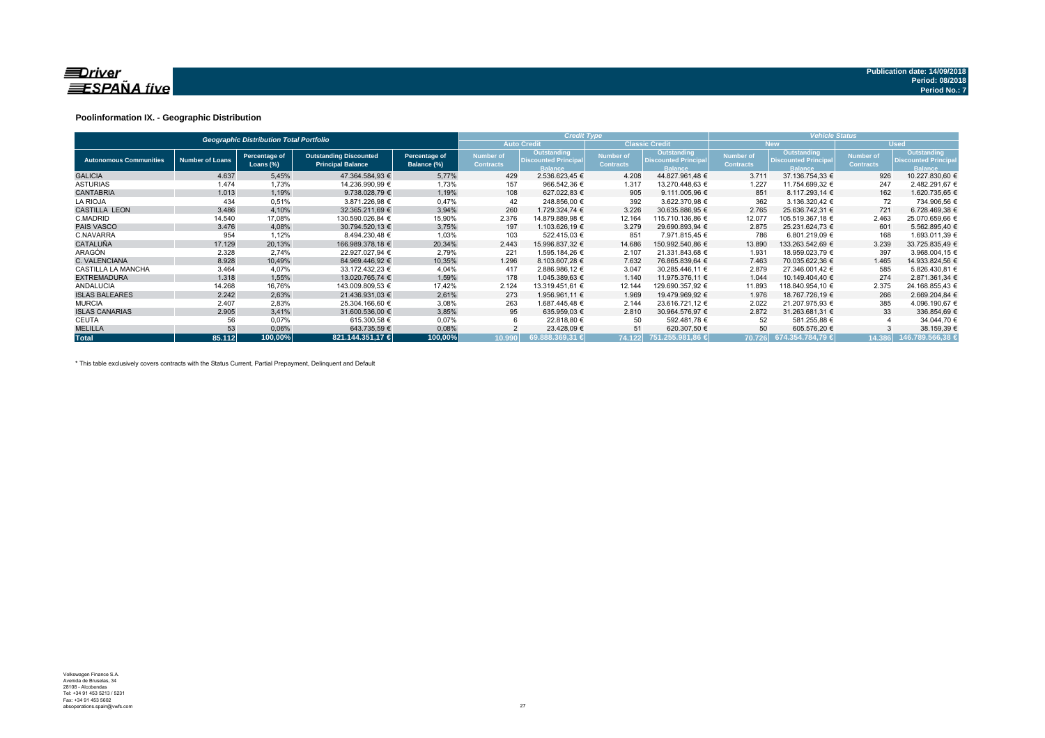

#### **Poolinformation IX. - Geographic Distribution**

|                               |                        | <b>Geographic Distribution Total Portfolio</b> |                                                           |                              | <b>Credit Type</b>                          |                                                              |                                      | <b>Vehicle Status</b>                                               |                                      |                                                                     |                               |                                                             |  |
|-------------------------------|------------------------|------------------------------------------------|-----------------------------------------------------------|------------------------------|---------------------------------------------|--------------------------------------------------------------|--------------------------------------|---------------------------------------------------------------------|--------------------------------------|---------------------------------------------------------------------|-------------------------------|-------------------------------------------------------------|--|
|                               |                        |                                                |                                                           |                              | <b>Auto Credit</b><br><b>Classic Credit</b> |                                                              |                                      |                                                                     |                                      | <b>New</b>                                                          | <b>Used</b>                   |                                                             |  |
| <b>Autonomous Communities</b> | <b>Number of Loans</b> | Percentage of<br>Loans $(\%)$                  | <b>Outstanding Discounted</b><br><b>Principal Balance</b> | Percentage of<br>Balance (%) | Number of<br><b>Contracts</b>               | Outstanding<br><b>Discounted Principal</b><br><b>Balance</b> | <b>Number of</b><br><b>Contracts</b> | <b>Outstanding</b><br><b>Discounted Principal</b><br><b>Balance</b> | <b>Number of</b><br><b>Contracts</b> | <b>Outstanding</b><br><b>Discounted Principal</b><br><b>Balance</b> | Number of<br><b>Contracts</b> | Outstanding<br><b>Discounted Principa</b><br><b>Balance</b> |  |
| <b>GALICIA</b>                | 4.637                  | 5,45%                                          | 47.364.584.93 €                                           | 5,77%                        | 429                                         | 2.536.623.45 €                                               | 4.208                                | 44.827.961.48 €                                                     | 3.711                                | 37.136.754.33 €                                                     | 926                           | 10.227.830,60 €                                             |  |
| <b>ASTURIAS</b>               | 1.474                  | 1,73%                                          | 14.236.990.99 €                                           | 1,73%                        | 157                                         | 966.542,36 €                                                 | 1.317                                | 13.270.448,63 €                                                     | 1.227                                | 11.754.699,32 €                                                     | 247                           | 2.482.291,67 €                                              |  |
| <b>CANTABRIA</b>              | 1.013                  | 1,19%                                          | 9.738.028,79 €                                            | 1,19%                        | 108                                         | 627.022.83 €                                                 | 905                                  | 9.111.005,96 €                                                      | 851                                  | 8.117.293,14 €                                                      | 162                           | 1.620.735,65 €                                              |  |
| <b>LA RIOJA</b>               | 434                    | 0,51%                                          | 3.871.226,98 €                                            | 0,47%                        | 42                                          | 248.856,00 €                                                 | 392                                  | 3.622.370,98 €                                                      | 362                                  | 3.136.320.42 €                                                      | 72                            | 734.906,56 €                                                |  |
| <b>CASTILLA LEON</b>          | 3.486                  | 4,10%                                          | 32.365.211.69 €                                           | 3,94%                        | 260                                         | 1.729.324.74 €                                               | 3.226                                | 30.635.886.95 €                                                     | 2.765                                | 25.636.742.31 €                                                     | 721                           | 6.728.469,38 €                                              |  |
| C.MADRID                      | 14.540                 | 17,08%                                         | 130.590.026.84 €                                          | 15,90%                       | 2.376                                       | 14.879.889.98 €                                              | 12.164                               | 115.710.136.86 €                                                    | 12.077                               | 105.519.367,18 €                                                    | 2.463                         | 25.070.659,66 €                                             |  |
| <b>PAIS VASCO</b>             | 3.476                  | 4,08%                                          | 30.794.520.13 €                                           | 3,75%                        | 197                                         | 1.103.626.19 €                                               | 3.279                                | 29.690.893.94 €                                                     | 2.875                                | 25.231.624,73 €                                                     | 601                           | 5.562.895.40 €                                              |  |
| C.NAVARRA                     | 954                    | 1,12%                                          | 8.494.230,48 €                                            | 1,03%                        | 103                                         | 522.415,03 €                                                 | 851                                  | 7.971.815,45 €                                                      | 786                                  | 6.801.219,09 €                                                      | 168                           | 1.693.011,39 €                                              |  |
| <b>CATALUÑA</b>               | 17.129                 | 20,13%                                         | 166.989.378.18 €                                          | 20,34%                       | 2.443                                       | 15.996.837,32 €                                              | 14.686                               | 150.992.540,86 €                                                    | 13.890                               | 133.263.542,69 €                                                    | 3.239                         | 33.725.835,49 €                                             |  |
| <b>ARAGÓN</b>                 | 2.328                  | 2,74%                                          | 22.927.027,94 €                                           | 2,79%                        | 221                                         | 1.595.184,26 €                                               | 2.107                                | 21.331.843,68 €                                                     | 1.931                                | 18.959.023,79 €                                                     | 397                           | 3.968.004,15 €                                              |  |
| C. VALENCIANA                 | 8.928                  | 10,49%                                         | 84.969.446.92 €                                           | 10,35%                       | 1.296                                       | 8.103.607,28 €                                               | 7.632                                | 76.865.839.64 €                                                     | 7.463                                | 70.035.622.36 €                                                     | 1.465                         | 14.933.824,56 €                                             |  |
| CASTILLA LA MANCHA            | 3.464                  | 4.07%                                          | 33.172.432.23 €                                           | 4,04%                        | 417                                         | 2.886.986.12 €                                               | 3.047                                | 30.285.446,11 €                                                     | 2.879                                | 27.346.001.42 €                                                     | 585                           | 5.826.430.81 €                                              |  |
| <b>EXTREMADURA</b>            | 1.318                  | 1,55%                                          | 13.020.765.74 €                                           | 1,59%                        | 178                                         | 1.045.389.63 €                                               | 1.140                                | 11.975.376.11 €                                                     | 1.044                                | 10.149.404.40 €                                                     | 274                           | 2.871.361.34 €                                              |  |
| <b>ANDALUCIA</b>              | 14.268                 | 16,76%                                         | 143.009.809,53 €                                          | 17,42%                       | 2.124                                       | 13.319.451,61 €                                              | 12.144                               | 129.690.357,92 €                                                    | 11.893                               | 118.840.954,10 €                                                    | 2.375                         | 24.168.855,43 €                                             |  |
| <b>ISLAS BALEARES</b>         | 2.242                  | 2,63%                                          | 21.436.931,03 €                                           | 2,61%                        | 273                                         | 1.956.961,11 €                                               | 1.969                                | 19.479.969,92 €                                                     | 1.976                                | 18.767.726,19 €                                                     | 266                           | 2.669.204,84 €                                              |  |
| <b>MURCIA</b>                 | 2.407                  | 2,83%                                          | 25.304.166,60 €                                           | 3,08%                        | 263                                         | 1.687.445,48 €                                               | 2.144                                | 23.616.721.12 €                                                     | 2.022                                | 21.207.975.93 €                                                     | 385                           | 4.096.190,67 €                                              |  |
| <b>ISLAS CANARIAS</b>         | 2.905                  | 3,41%                                          | 31.600.536.00 €                                           | 3,85%                        | 95                                          | 635.959.03 €                                                 | 2.810                                | 30.964.576.97 €                                                     | 2.872                                | 31.263.681.31 €                                                     | 33                            | 336.854,69 €                                                |  |
| <b>CEUTA</b>                  | 56                     | 0,07%                                          | 615.300,58 €                                              | 0,07%                        |                                             | 22.818,80 €                                                  | 50                                   | 592.481,78 €                                                        | 52                                   | 581.255,88 €                                                        |                               | 34.044,70 €                                                 |  |
| <b>MELILLA</b>                | 53                     | 0,06%                                          | 643.735,59 €                                              | 0,08%                        |                                             | 23.428,09 €                                                  | 51                                   | 620.307,50 €                                                        | 50                                   | 605.576.20 €                                                        |                               | 38.159,39 €                                                 |  |
| <b>Total</b>                  | 85.112                 | 100.00%                                        | 821.144.351.17 €                                          | 100.00%                      | 10.990                                      | 69.888.369.31 €                                              | 74.122                               | 751.255.981.86 €                                                    |                                      | 70.726 674.354.784.79 €                                             | 14.386                        | 146.789.566.38 €                                            |  |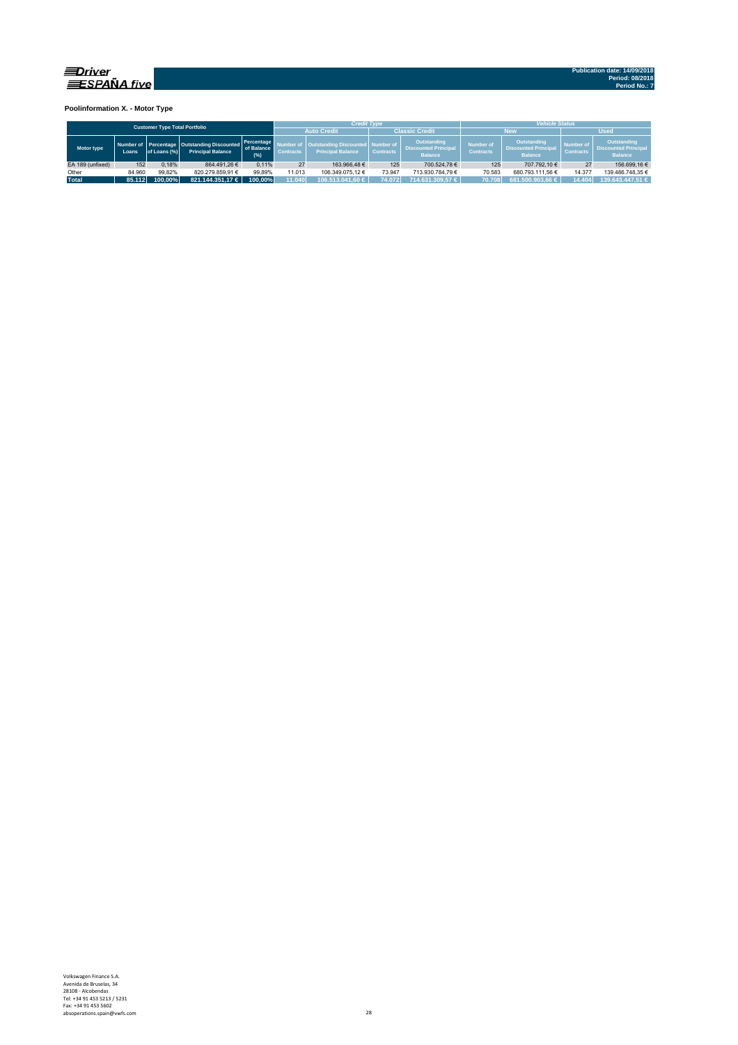

**Poolinformation X. - Motor Type**

| <b>Customer Type Total Portfolio</b> |        |              |                                                                             |                                 |                  | <b>Credit Type</b>                                       |                                 |                                                              | <b>Vehicle Status</b>                                                                                |                      |                                      |                                                              |  |  |  |
|--------------------------------------|--------|--------------|-----------------------------------------------------------------------------|---------------------------------|------------------|----------------------------------------------------------|---------------------------------|--------------------------------------------------------------|------------------------------------------------------------------------------------------------------|----------------------|--------------------------------------|--------------------------------------------------------------|--|--|--|
|                                      |        |              |                                                                             |                                 |                  | <b>Auto Credit</b>                                       |                                 | <b>Classic Credit</b>                                        |                                                                                                      | <b>New</b>           | <b>Used</b>                          |                                                              |  |  |  |
| Motor type                           | Loans  | of Loans (%) | Number of Percentage   Outstanding Discounted  <br><b>Principal Balance</b> | Percentage<br>of Balance<br>(%) | <b>Contracts</b> | <b>Outstanding Discounte</b><br><b>Principal Balance</b> | d Number of<br><b>Contracts</b> | Outstanding<br><b>Discounted Principal</b><br><b>Balance</b> | Outstanding<br><b>Number of</b><br><b>Discounted Principal</b><br><b>Contracts</b><br><b>Balance</b> |                      | <b>Number of</b><br><b>Contracts</b> | Outstanding<br><b>Discounted Principal</b><br><b>Balance</b> |  |  |  |
| EA 189 (unfixed)                     | 152    | 0.18%        | 864.491.26 €                                                                | 0.11%                           | 27               | 163.966.48 €                                             | 125                             | 700.524.78 €                                                 | 125                                                                                                  | 707.792.10 €         | 27                                   | 156.699.16 €                                                 |  |  |  |
| Other                                | 84.960 | 99.82%       | 820.279.859.91 €                                                            | 99.89%                          | 11.013           | 106.349.075.12 €                                         | 73.947                          | 713.930.784.79 €                                             | 70.583                                                                                               | 680.793.111.56 €     | 14.377                               | 139.486.748.35 €                                             |  |  |  |
| <b>Total</b>                         | 85.112 | 100.00%      | 821.144.351.17 $\in$                                                        | 100.00%                         | 11.040           | 106.513.041.60 €                                         | 74.072                          | 714.631.309.57 €                                             | 70.708                                                                                               | $681.500.903.66 \in$ | 14.404                               | 139.643.447.51 €                                             |  |  |  |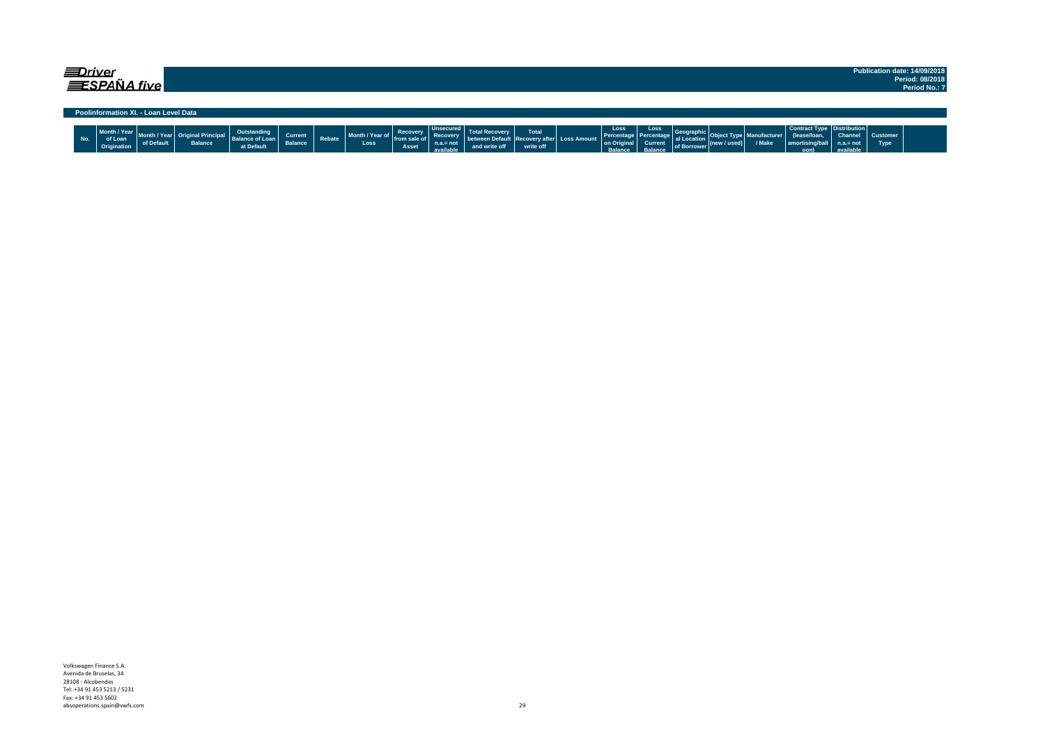| <i>EDriver</i><br>EESPAÑA five        | Publication date: 14/09/2018     |
|---------------------------------------|----------------------------------|
|                                       | Period: 08/2018<br>Period No.: 7 |
|                                       |                                  |
|                                       |                                  |
| Poolinformation XI. - Loan Level Data |                                  |

| No. | $-136 - 75$<br>Month / Year<br>$\sim$<br>Origination | $\sim$ Fig. $\sim$ $\epsilon$<br>vi polauk | <b>Balance</b> | at Default | <b>Current</b><br><b>Dalarice</b> | Rebate | Month / Year o<br>rear o <sub>II</sub> .<br><b>Loss</b> | vecover<br><br>Asset | ---<br>ecoverv<br>أبداعا والمراقون | recover v | Total | <sub>'</sub> ss Amount | Loss<br>recent.<br>on Oric | Loss. | <b>BUILDWEI</b> | seur | / Make | Contract Type<br>. حدم ۱۱ مومبر | .= not | Customer<br>Type |  |
|-----|------------------------------------------------------|--------------------------------------------|----------------|------------|-----------------------------------|--------|---------------------------------------------------------|----------------------|------------------------------------|-----------|-------|------------------------|----------------------------|-------|-----------------|------|--------|---------------------------------|--------|------------------|--|
|     |                                                      |                                            |                |            |                                   |        |                                                         |                      |                                    |           |       |                        |                            |       |                 |      |        | oon)                            |        |                  |  |